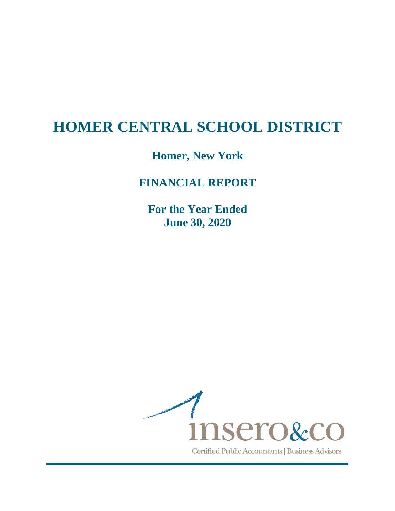# **Homer, New York**

# **FINANCIAL REPORT**

**For the Year Ended June 30, 2020** 

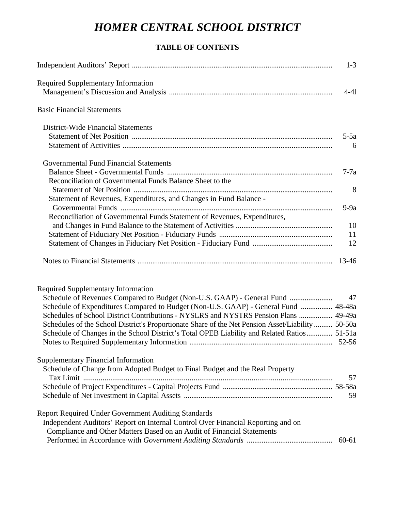# **TABLE OF CONTENTS**

|                                                                                                                            | $1 - 3$     |
|----------------------------------------------------------------------------------------------------------------------------|-------------|
| <b>Required Supplementary Information</b>                                                                                  | $4-41$      |
| <b>Basic Financial Statements</b>                                                                                          |             |
| District-Wide Financial Statements                                                                                         |             |
|                                                                                                                            | $5-5a$<br>6 |
| Governmental Fund Financial Statements                                                                                     |             |
| Reconciliation of Governmental Funds Balance Sheet to the                                                                  | $7-7a$      |
| Statement of Revenues, Expenditures, and Changes in Fund Balance -                                                         | 8           |
| Reconciliation of Governmental Funds Statement of Revenues, Expenditures,                                                  | $9-9a$      |
|                                                                                                                            | 10          |
|                                                                                                                            | 11          |
|                                                                                                                            | 12          |
|                                                                                                                            |             |
| <b>Required Supplementary Information</b>                                                                                  |             |
| Schedule of Revenues Compared to Budget (Non-U.S. GAAP) - General Fund                                                     | 47          |
| Schedule of Expenditures Compared to Budget (Non-U.S. GAAP) - General Fund  48-48a                                         |             |
| Schedules of School District Contributions - NYSLRS and NYSTRS Pension Plans  49-49a                                       |             |
| Schedules of the School District's Proportionate Share of the Net Pension Asset/Liability  50-50a                          |             |
| Schedule of Changes in the School District's Total OPEB Liability and Related Ratios 51-51a                                |             |
|                                                                                                                            |             |
| <b>Supplementary Financial Information</b><br>Schedule of Change from Adopted Budget to Final Budget and the Real Property | 57          |
|                                                                                                                            |             |
|                                                                                                                            | 59          |
| <b>Report Required Under Government Auditing Standards</b>                                                                 |             |
| Independent Auditors' Report on Internal Control Over Financial Reporting and on                                           |             |

| Compliance and Other Matters Based on an Audit of Financial Statements |       |
|------------------------------------------------------------------------|-------|
|                                                                        | 60-61 |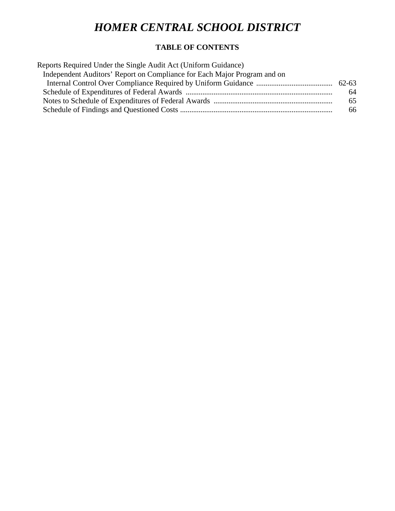# **TABLE OF CONTENTS**

| Reports Required Under the Single Audit Act (Uniform Guidance)           |    |
|--------------------------------------------------------------------------|----|
| Independent Auditors' Report on Compliance for Each Major Program and on |    |
|                                                                          |    |
|                                                                          | 64 |
|                                                                          | 65 |
|                                                                          | 66 |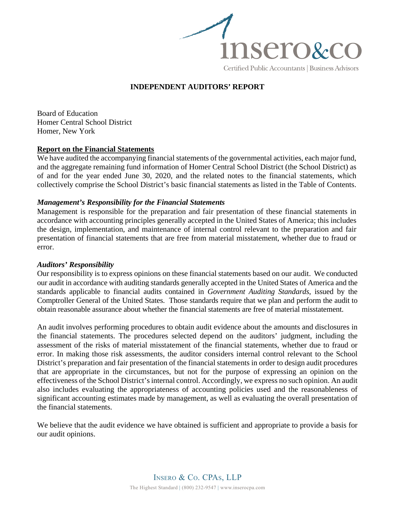

## **INDEPENDENT AUDITORS' REPORT**

Board of Education Homer Central School District Homer, New York

#### **Report on the Financial Statements**

We have audited the accompanying financial statements of the governmental activities, each major fund, and the aggregate remaining fund information of Homer Central School District (the School District) as of and for the year ended June 30, 2020, and the related notes to the financial statements, which collectively comprise the School District's basic financial statements as listed in the Table of Contents.

#### *Management's Responsibility for the Financial Statements*

Management is responsible for the preparation and fair presentation of these financial statements in accordance with accounting principles generally accepted in the United States of America; this includes the design, implementation, and maintenance of internal control relevant to the preparation and fair presentation of financial statements that are free from material misstatement, whether due to fraud or error.

#### *Auditors' Responsibility*

Our responsibility is to express opinions on these financial statements based on our audit. We conducted our audit in accordance with auditing standards generally accepted in the United States of America and the standards applicable to financial audits contained in *Government Auditing Standards*, issued by the Comptroller General of the United States. Those standards require that we plan and perform the audit to obtain reasonable assurance about whether the financial statements are free of material misstatement.

An audit involves performing procedures to obtain audit evidence about the amounts and disclosures in the financial statements. The procedures selected depend on the auditors' judgment, including the assessment of the risks of material misstatement of the financial statements, whether due to fraud or error. In making those risk assessments, the auditor considers internal control relevant to the School District's preparation and fair presentation of the financial statements in order to design audit procedures that are appropriate in the circumstances, but not for the purpose of expressing an opinion on the effectiveness of the School District's internal control. Accordingly, we express no such opinion. An audit also includes evaluating the appropriateness of accounting policies used and the reasonableness of significant accounting estimates made by management, as well as evaluating the overall presentation of the financial statements.

We believe that the audit evidence we have obtained is sufficient and appropriate to provide a basis for our audit opinions.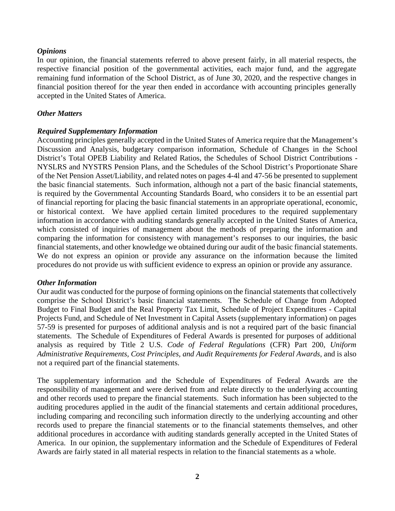#### *Opinions*

In our opinion, the financial statements referred to above present fairly, in all material respects, the respective financial position of the governmental activities, each major fund, and the aggregate remaining fund information of the School District, as of June 30, 2020, and the respective changes in financial position thereof for the year then ended in accordance with accounting principles generally accepted in the United States of America.

#### *Other Matters*

#### *Required Supplementary Information*

Accounting principles generally accepted in the United States of America require that the Management's Discussion and Analysis, budgetary comparison information, Schedule of Changes in the School District's Total OPEB Liability and Related Ratios, the Schedules of School District Contributions - NYSLRS and NYSTRS Pension Plans, and the Schedules of the School District's Proportionate Share of the Net Pension Asset/Liability, and related notes on pages 4-4l and 47-56 be presented to supplement the basic financial statements. Such information, although not a part of the basic financial statements, is required by the Governmental Accounting Standards Board, who considers it to be an essential part of financial reporting for placing the basic financial statements in an appropriate operational, economic, or historical context. We have applied certain limited procedures to the required supplementary information in accordance with auditing standards generally accepted in the United States of America, which consisted of inquiries of management about the methods of preparing the information and comparing the information for consistency with management's responses to our inquiries, the basic financial statements, and other knowledge we obtained during our audit of the basic financial statements. We do not express an opinion or provide any assurance on the information because the limited procedures do not provide us with sufficient evidence to express an opinion or provide any assurance.

#### *Other Information*

Our audit was conducted for the purpose of forming opinions on the financial statements that collectively comprise the School District's basic financial statements. The Schedule of Change from Adopted Budget to Final Budget and the Real Property Tax Limit, Schedule of Project Expenditures - Capital Projects Fund, and Schedule of Net Investment in Capital Assets (supplementary information) on pages 57-59 is presented for purposes of additional analysis and is not a required part of the basic financial statements. The Schedule of Expenditures of Federal Awards is presented for purposes of additional analysis as required by Title 2 U.S. *Code of Federal Regulations* (CFR) Part 200, *Uniform Administrative Requirements, Cost Principles, and Audit Requirements for Federal Awards*, and is also not a required part of the financial statements.

The supplementary information and the Schedule of Expenditures of Federal Awards are the responsibility of management and were derived from and relate directly to the underlying accounting and other records used to prepare the financial statements. Such information has been subjected to the auditing procedures applied in the audit of the financial statements and certain additional procedures, including comparing and reconciling such information directly to the underlying accounting and other records used to prepare the financial statements or to the financial statements themselves, and other additional procedures in accordance with auditing standards generally accepted in the United States of America. In our opinion, the supplementary information and the Schedule of Expenditures of Federal Awards are fairly stated in all material respects in relation to the financial statements as a whole.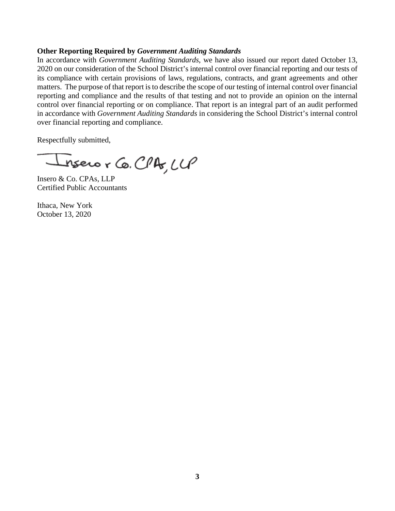#### **Other Reporting Required by** *Government Auditing Standards*

In accordance with *Government Auditing Standards*, we have also issued our report dated October 13, 2020 on our consideration of the School District's internal control over financial reporting and our tests of its compliance with certain provisions of laws, regulations, contracts, and grant agreements and other matters. The purpose of that report is to describe the scope of our testing of internal control over financial reporting and compliance and the results of that testing and not to provide an opinion on the internal control over financial reporting or on compliance. That report is an integral part of an audit performed in accordance with *Government Auditing Standards* in considering the School District's internal control over financial reporting and compliance.

Respectfully submitted,

nsero r Co. CPA, LLP

Insero & Co. CPAs, LLP Certified Public Accountants

Ithaca, New York October 13, 2020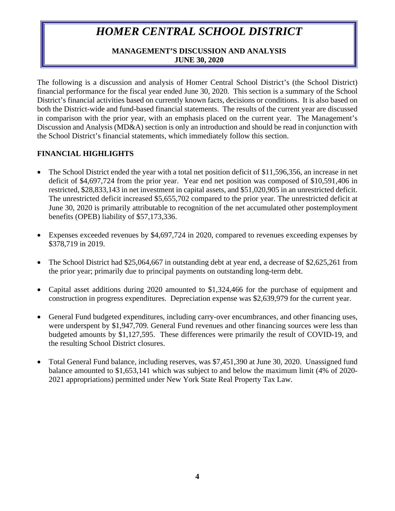## **MANAGEMENT'S DISCUSSION AND ANALYSIS JUNE 30, 2020**

The following is a discussion and analysis of Homer Central School District's (the School District) financial performance for the fiscal year ended June 30, 2020. This section is a summary of the School District's financial activities based on currently known facts, decisions or conditions. It is also based on both the District-wide and fund-based financial statements. The results of the current year are discussed in comparison with the prior year, with an emphasis placed on the current year. The Management's Discussion and Analysis (MD&A) section is only an introduction and should be read in conjunction with the School District's financial statements, which immediately follow this section.

## **FINANCIAL HIGHLIGHTS**

- The School District ended the year with a total net position deficit of \$11,596,356, an increase in net deficit of \$4,697,724 from the prior year. Year end net position was composed of \$10,591,406 in restricted, \$28,833,143 in net investment in capital assets, and \$51,020,905 in an unrestricted deficit. The unrestricted deficit increased \$5,655,702 compared to the prior year. The unrestricted deficit at June 30, 2020 is primarily attributable to recognition of the net accumulated other postemployment benefits (OPEB) liability of \$57,173,336.
- Expenses exceeded revenues by \$4,697,724 in 2020, compared to revenues exceeding expenses by \$378,719 in 2019.
- The School District had \$25,064,667 in outstanding debt at year end, a decrease of \$2,625,261 from the prior year; primarily due to principal payments on outstanding long-term debt.
- Capital asset additions during 2020 amounted to \$1,324,466 for the purchase of equipment and construction in progress expenditures. Depreciation expense was \$2,639,979 for the current year.
- General Fund budgeted expenditures, including carry-over encumbrances, and other financing uses, were underspent by \$1,947,709. General Fund revenues and other financing sources were less than budgeted amounts by \$1,127,595. These differences were primarily the result of COVID-19, and the resulting School District closures.
- Total General Fund balance, including reserves, was \$7,451,390 at June 30, 2020. Unassigned fund balance amounted to \$1,653,141 which was subject to and below the maximum limit (4% of 2020- 2021 appropriations) permitted under New York State Real Property Tax Law.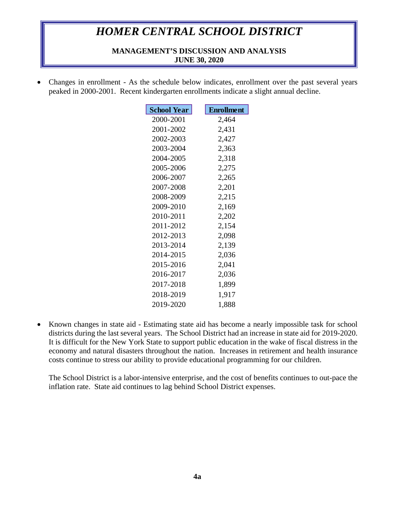### **MANAGEMENT'S DISCUSSION AND ANALYSIS JUNE 30, 2020**

• Changes in enrollment - As the schedule below indicates, enrollment over the past several years peaked in 2000-2001. Recent kindergarten enrollments indicate a slight annual decline.

| <b>School Year</b> | <b>Enrollment</b> |
|--------------------|-------------------|
| 2000-2001          | 2,464             |
| 2001-2002          | 2,431             |
| 2002-2003          | 2,427             |
| 2003-2004          | 2,363             |
| 2004-2005          | 2,318             |
| 2005-2006          | 2,275             |
| 2006-2007          | 2,265             |
| 2007-2008          | 2,201             |
| 2008-2009          | 2,215             |
| 2009-2010          | 2,169             |
| 2010-2011          | 2,202             |
| 2011-2012          | 2,154             |
| 2012-2013          | 2,098             |
| 2013-2014          | 2,139             |
| 2014-2015          | 2,036             |
| 2015-2016          | 2,041             |
| 2016-2017          | 2,036             |
| 2017-2018          | 1,899             |
| 2018-2019          | 1,917             |
| 2019-2020          | 1,888             |

• Known changes in state aid - Estimating state aid has become a nearly impossible task for school districts during the last several years. The School District had an increase in state aid for 2019-2020. It is difficult for the New York State to support public education in the wake of fiscal distress in the economy and natural disasters throughout the nation. Increases in retirement and health insurance costs continue to stress our ability to provide educational programming for our children.

The School District is a labor-intensive enterprise, and the cost of benefits continues to out-pace the inflation rate. State aid continues to lag behind School District expenses.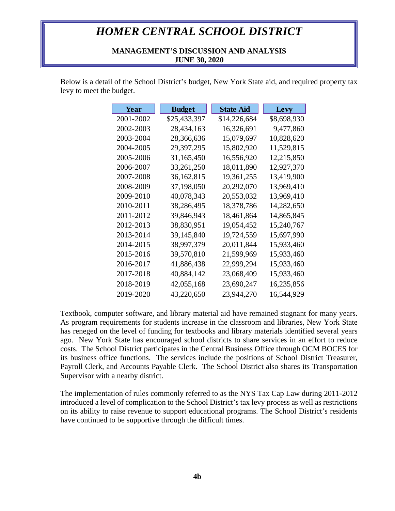#### **MANAGEMENT'S DISCUSSION AND ANALYSIS JUNE 30, 2020**

Below is a detail of the School District's budget, New York State aid, and required property tax levy to meet the budget.

| Year      | <b>Budget</b> | <b>State Aid</b> | <b>Levy</b> |
|-----------|---------------|------------------|-------------|
| 2001-2002 | \$25,433,397  | \$14,226,684     | \$8,698,930 |
| 2002-2003 | 28,434,163    | 16,326,691       | 9,477,860   |
| 2003-2004 | 28,366,636    | 15,079,697       | 10,828,620  |
| 2004-2005 | 29,397,295    | 15,802,920       | 11,529,815  |
| 2005-2006 | 31,165,450    | 16,556,920       | 12,215,850  |
| 2006-2007 | 33, 261, 250  | 18,011,890       | 12,927,370  |
| 2007-2008 | 36, 162, 815  | 19,361,255       | 13,419,900  |
| 2008-2009 | 37,198,050    | 20,292,070       | 13,969,410  |
| 2009-2010 | 40,078,343    | 20,553,032       | 13,969,410  |
| 2010-2011 | 38,286,495    | 18,378,786       | 14,282,650  |
| 2011-2012 | 39,846,943    | 18,461,864       | 14,865,845  |
| 2012-2013 | 38,830,951    | 19,054,452       | 15,240,767  |
| 2013-2014 | 39,145,840    | 19,724,559       | 15,697,990  |
| 2014-2015 | 38,997,379    | 20,011,844       | 15,933,460  |
| 2015-2016 | 39,570,810    | 21,599,969       | 15,933,460  |
| 2016-2017 | 41,886,438    | 22,999,294       | 15,933,460  |
| 2017-2018 | 40,884,142    | 23,068,409       | 15,933,460  |
| 2018-2019 | 42,055,168    | 23,690,247       | 16,235,856  |
| 2019-2020 | 43,220,650    | 23,944,270       | 16,544,929  |

Textbook, computer software, and library material aid have remained stagnant for many years. As program requirements for students increase in the classroom and libraries, New York State has reneged on the level of funding for textbooks and library materials identified several years ago. New York State has encouraged school districts to share services in an effort to reduce costs. The School District participates in the Central Business Office through OCM BOCES for its business office functions. The services include the positions of School District Treasurer, Payroll Clerk, and Accounts Payable Clerk. The School District also shares its Transportation Supervisor with a nearby district.

The implementation of rules commonly referred to as the NYS Tax Cap Law during 2011-2012 introduced a level of complication to the School District's tax levy process as well as restrictions on its ability to raise revenue to support educational programs. The School District's residents have continued to be supportive through the difficult times.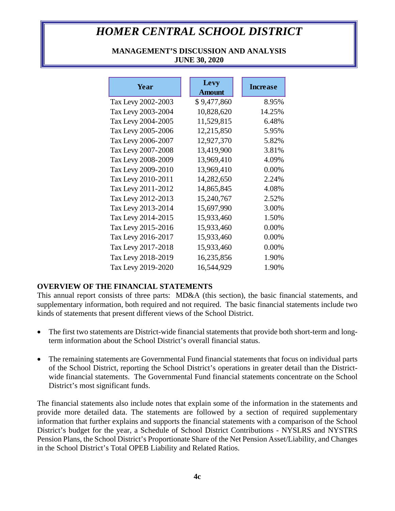### **MANAGEMENT'S DISCUSSION AND ANALYSIS JUNE 30, 2020**

| Year               | Levy<br><b>Amount</b> | <b>Increase</b> |
|--------------------|-----------------------|-----------------|
| Tax Levy 2002-2003 | \$9,477,860           | 8.95%           |
| Tax Levy 2003-2004 | 10,828,620            | 14.25%          |
| Tax Levy 2004-2005 | 11,529,815            | 6.48%           |
| Tax Levy 2005-2006 | 12,215,850            | 5.95%           |
| Tax Levy 2006-2007 | 12,927,370            | 5.82%           |
| Tax Levy 2007-2008 | 13,419,900            | 3.81%           |
| Tax Levy 2008-2009 | 13,969,410            | 4.09%           |
| Tax Levy 2009-2010 | 13,969,410            | 0.00%           |
| Tax Levy 2010-2011 | 14,282,650            | 2.24%           |
| Tax Levy 2011-2012 | 14,865,845            | 4.08%           |
| Tax Levy 2012-2013 | 15,240,767            | 2.52%           |
| Tax Levy 2013-2014 | 15,697,990            | 3.00%           |
| Tax Levy 2014-2015 | 15,933,460            | 1.50%           |
| Tax Levy 2015-2016 | 15,933,460            | 0.00%           |
| Tax Levy 2016-2017 | 15,933,460            | 0.00%           |
| Tax Levy 2017-2018 | 15,933,460            | 0.00%           |
| Tax Levy 2018-2019 | 16,235,856            | 1.90%           |
| Tax Levy 2019-2020 | 16,544,929            | 1.90%           |

## **OVERVIEW OF THE FINANCIAL STATEMENTS**

This annual report consists of three parts: MD&A (this section), the basic financial statements, and supplementary information, both required and not required. The basic financial statements include two kinds of statements that present different views of the School District.

- The first two statements are District-wide financial statements that provide both short-term and longterm information about the School District's overall financial status.
- The remaining statements are Governmental Fund financial statements that focus on individual parts of the School District, reporting the School District's operations in greater detail than the Districtwide financial statements. The Governmental Fund financial statements concentrate on the School District's most significant funds.

The financial statements also include notes that explain some of the information in the statements and provide more detailed data. The statements are followed by a section of required supplementary information that further explains and supports the financial statements with a comparison of the School District's budget for the year, a Schedule of School District Contributions - NYSLRS and NYSTRS Pension Plans, the School District's Proportionate Share of the Net Pension Asset/Liability, and Changes in the School District's Total OPEB Liability and Related Ratios.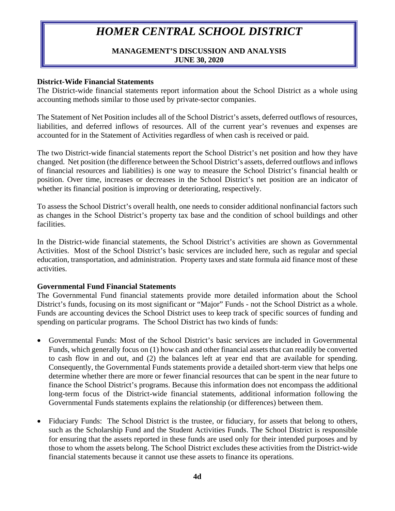### **MANAGEMENT'S DISCUSSION AND ANALYSIS JUNE 30, 2020**

#### **District-Wide Financial Statements**

The District-wide financial statements report information about the School District as a whole using accounting methods similar to those used by private-sector companies.

The Statement of Net Position includes all of the School District's assets, deferred outflows of resources, liabilities, and deferred inflows of resources. All of the current year's revenues and expenses are accounted for in the Statement of Activities regardless of when cash is received or paid.

The two District-wide financial statements report the School District's net position and how they have changed. Net position (the difference between the School District's assets, deferred outflows and inflows of financial resources and liabilities) is one way to measure the School District's financial health or position. Over time, increases or decreases in the School District's net position are an indicator of whether its financial position is improving or deteriorating, respectively.

To assess the School District's overall health, one needs to consider additional nonfinancial factors such as changes in the School District's property tax base and the condition of school buildings and other facilities.

In the District-wide financial statements, the School District's activities are shown as Governmental Activities. Most of the School District's basic services are included here, such as regular and special education, transportation, and administration. Property taxes and state formula aid finance most of these activities.

#### **Governmental Fund Financial Statements**

The Governmental Fund financial statements provide more detailed information about the School District's funds, focusing on its most significant or "Major" Funds - not the School District as a whole. Funds are accounting devices the School District uses to keep track of specific sources of funding and spending on particular programs. The School District has two kinds of funds:

- Governmental Funds: Most of the School District's basic services are included in Governmental Funds, which generally focus on (1) how cash and other financial assets that can readily be converted to cash flow in and out, and (2) the balances left at year end that are available for spending. Consequently, the Governmental Funds statements provide a detailed short-term view that helps one determine whether there are more or fewer financial resources that can be spent in the near future to finance the School District's programs. Because this information does not encompass the additional long-term focus of the District-wide financial statements, additional information following the Governmental Funds statements explains the relationship (or differences) between them.
- Fiduciary Funds: The School District is the trustee, or fiduciary, for assets that belong to others, such as the Scholarship Fund and the Student Activities Funds. The School District is responsible for ensuring that the assets reported in these funds are used only for their intended purposes and by those to whom the assets belong. The School District excludes these activities from the District-wide financial statements because it cannot use these assets to finance its operations.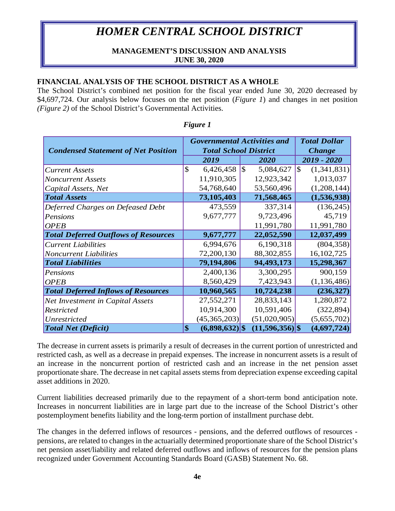### **MANAGEMENT'S DISCUSSION AND ANALYSIS JUNE 30, 2020**

### **FINANCIAL ANALYSIS OF THE SCHOOL DISTRICT AS A WHOLE**

The School District's combined net position for the fiscal year ended June 30, 2020 decreased by \$4,697,724. Our analysis below focuses on the net position (*Figure 1*) and changes in net position *(Figure 2)* of the School District's Governmental Activities.

|                                             | <b>Governmental Activities and</b> | <b>Total Dollar</b> |                   |                             |
|---------------------------------------------|------------------------------------|---------------------|-------------------|-----------------------------|
| <b>Condensed Statement of Net Position</b>  | <b>Total School District</b>       | <b>Change</b>       |                   |                             |
|                                             | 2019                               |                     | 2020              | 2019 - 2020                 |
| <b>Current Assets</b>                       | \$<br>6,426,458                    | $\sqrt{S}$          | 5,084,627         | $\mathbb{S}$<br>(1,341,831) |
| <b>Noncurrent Assets</b>                    | 11,910,305                         |                     | 12,923,342        | 1,013,037                   |
| Capital Assets, Net                         | 54,768,640                         |                     | 53,560,496        | (1,208,144)                 |
| <b>Total Assets</b>                         | 73,105,403                         |                     | 71,568,465        | (1,536,938)                 |
| Deferred Charges on Defeased Debt           | 473,559                            |                     | 337,314           | (136, 245)                  |
| Pensions                                    | 9,677,777                          |                     | 9,723,496         | 45,719                      |
| <b>OPEB</b>                                 |                                    |                     | 11,991,780        | 11,991,780                  |
| <b>Total Deferred Outflows of Resources</b> | 9,677,777                          |                     | 22,052,590        | 12,037,499                  |
| <b>Current Liabilities</b>                  | 6,994,676                          |                     | 6,190,318         | (804, 358)                  |
| <b>Noncurrent Liabilities</b>               | 72,200,130                         |                     | 88,302,855        | 16,102,725                  |
| <b>Total Liabilities</b>                    | 79,194,806                         |                     | 94,493,173        | 15,298,367                  |
| Pensions                                    | 2,400,136                          |                     | 3,300,295         | 900,159                     |
| <b>OPEB</b>                                 | 8,560,429                          |                     | 7,423,943         | (1, 136, 486)               |
| <b>Total Deferred Inflows of Resources</b>  | 10,960,565                         |                     | 10,724,238        | (236, 327)                  |
| <b>Net Investment in Capital Assets</b>     | 27,552,271                         |                     | 28,833,143        | 1,280,872                   |
| Restricted                                  | 10,914,300                         |                     | 10,591,406        | (322, 894)                  |
| Unrestricted                                | (45,365,203)                       |                     | (51,020,905)      | (5,655,702)                 |
| <b>Total Net (Deficit)</b>                  | \$<br>$(6,898,632)$ \$             |                     | $(11,596,356)$ \$ | (4,697,724)                 |

#### *Figure 1*

The decrease in current assets is primarily a result of decreases in the current portion of unrestricted and restricted cash, as well as a decrease in prepaid expenses. The increase in noncurrent assets is a result of an increase in the noncurrent portion of restricted cash and an increase in the net pension asset proportionate share. The decrease in net capital assets stems from depreciation expense exceeding capital asset additions in 2020.

Current liabilities decreased primarily due to the repayment of a short-term bond anticipation note. Increases in noncurrent liabilities are in large part due to the increase of the School District's other postemployment benefits liability and the long-term portion of installment purchase debt.

The changes in the deferred inflows of resources - pensions, and the deferred outflows of resources pensions, are related to changes in the actuarially determined proportionate share of the School District's net pension asset/liability and related deferred outflows and inflows of resources for the pension plans recognized under Government Accounting Standards Board (GASB) Statement No. 68.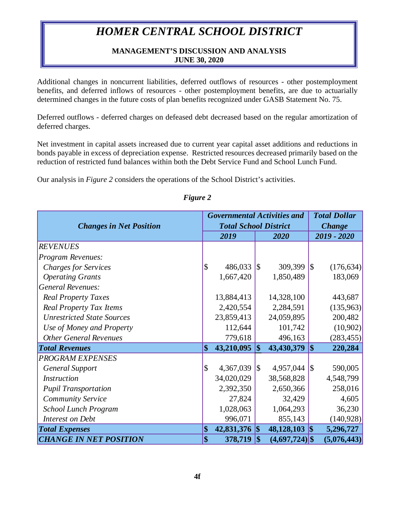### **MANAGEMENT'S DISCUSSION AND ANALYSIS JUNE 30, 2020**

Additional changes in noncurrent liabilities, deferred outflows of resources - other postemployment benefits, and deferred inflows of resources - other postemployment benefits, are due to actuarially determined changes in the future costs of plan benefits recognized under GASB Statement No. 75.

Deferred outflows - deferred charges on defeased debt decreased based on the regular amortization of deferred charges.

Net investment in capital assets increased due to current year capital asset additions and reductions in bonds payable in excess of depreciation expense. Restricted resources decreased primarily based on the reduction of restricted fund balances within both the Debt Service Fund and School Lunch Fund.

Our analysis in *Figure 2* considers the operations of the School District's activities.

|                                   |                         | <b>Governmental Activities and</b> |                          | <b>Total Dollar</b> |                          |             |
|-----------------------------------|-------------------------|------------------------------------|--------------------------|---------------------|--------------------------|-------------|
| <b>Changes in Net Position</b>    |                         | <b>Total School District</b>       | <b>Change</b>            |                     |                          |             |
|                                   |                         | 2019                               |                          | 2020                |                          | 2019 - 2020 |
| <b>REVENUES</b>                   |                         |                                    |                          |                     |                          |             |
| Program Revenues:                 |                         |                                    |                          |                     |                          |             |
| <b>Charges for Services</b>       | <b>S</b>                | 486,033                            | 1\$                      | 309,399             | \$                       | (176, 634)  |
| <b>Operating Grants</b>           |                         | 1,667,420                          |                          | 1,850,489           |                          | 183,069     |
| <b>General Revenues:</b>          |                         |                                    |                          |                     |                          |             |
| <b>Real Property Taxes</b>        |                         | 13,884,413                         |                          | 14,328,100          |                          | 443,687     |
| <b>Real Property Tax Items</b>    |                         | 2,420,554                          |                          | 2,284,591           |                          | (135,963)   |
| <b>Unrestricted State Sources</b> |                         | 23,859,413                         |                          | 24,059,895          |                          | 200,482     |
| Use of Money and Property         |                         | 112,644                            |                          | 101,742             |                          | (10,902)    |
| <b>Other General Revenues</b>     |                         | 779,618                            |                          | 496,163             |                          | (283, 455)  |
| <b>Total Revenues</b>             | $\vert \$\$             | 43,210,095                         | $\boldsymbol{\$\}$       | 43,430,379          | $\vert \$\$              | 220,284     |
| <b>PROGRAM EXPENSES</b>           |                         |                                    |                          |                     |                          |             |
| <b>General Support</b>            | $\overline{\mathbb{S}}$ | 4,367,039 $\frac{1}{9}$            |                          | 4,957,044           | $\sqrt{3}$               | 590,005     |
| <i>Instruction</i>                |                         | 34,020,029                         |                          | 38,568,828          |                          | 4,548,799   |
| <b>Pupil Transportation</b>       |                         | 2,392,350                          |                          | 2,650,366           |                          | 258,016     |
| <b>Community Service</b>          |                         | 27,824                             |                          | 32,429              |                          | 4,605       |
| <b>School Lunch Program</b>       |                         | 1,028,063                          |                          | 1,064,293           |                          | 36,230      |
| Interest on Debt                  |                         | 996,071                            |                          | 855,143             |                          | (140, 928)  |
| <b>Total Expenses</b>             | \$                      | 42,831,376                         | $\vert \mathsf{S} \vert$ | 48,128,103          | $\vert \mathsf{s} \vert$ | 5,296,727   |
| <b>CHANGE IN NET POSITION</b>     | $ \$$                   | 378,719                            | \$                       | $(4,697,724)$ \$    |                          | (5,076,443) |

## *Figure 2*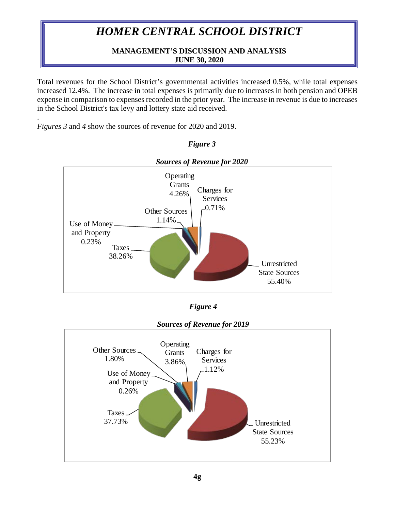# **MANAGEMENT'S DISCUSSION AND ANALYSIS JUNE 30, 2020**

Total revenues for the School District's governmental activities increased 0.5%, while total expenses increased 12.4%. The increase in total expenses is primarily due to increases in both pension and OPEB expense in comparison to expenses recorded in the prior year. The increase in revenue is due to increases in the School District's tax levy and lottery state aid received.

. *Figures 3* and *4* show the sources of revenue for 2020 and 2019.



# *Figure 3*

*Figure 4*

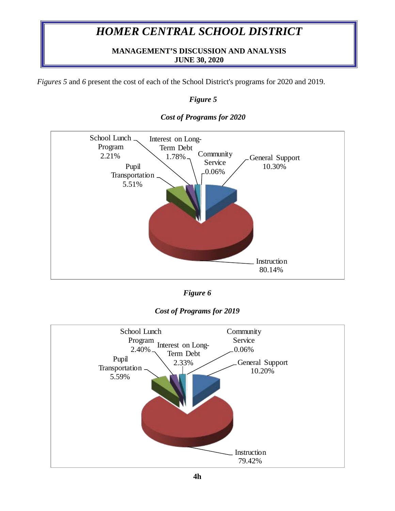## **MANAGEMENT'S DISCUSSION AND ANALYSIS JUNE 30, 2020**

*Figures 5* and *6* present the cost of each of the School District's programs for 2020 and 2019.

## *Figure 5*



### *Cost of Programs for 2020*

*Figure 6*

## *Cost of Programs for 2019*

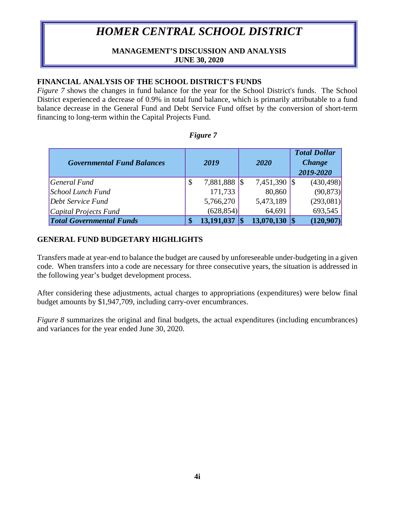### **MANAGEMENT'S DISCUSSION AND ANALYSIS JUNE 30, 2020**

### **FINANCIAL ANALYSIS OF THE SCHOOL DISTRICT'S FUNDS**

*Figure* 7 shows the changes in fund balance for the year for the School District's funds. The School District experienced a decrease of 0.9% in total fund balance, which is primarily attributable to a fund balance decrease in the General Fund and Debt Service Fund offset by the conversion of short-term financing to long-term within the Capital Projects Fund.

| !911.r |  |
|--------|--|
|--------|--|

| <b>Governmental Fund Balances</b> | 2019            | 2020          | <b>Total Dollar</b><br><b>Change</b><br>2019-2020 |
|-----------------------------------|-----------------|---------------|---------------------------------------------------|
| $\sqrt{q}$ General Fund           | \$<br>7,881,888 | 7,451,390 \\$ | (430, 498)                                        |
| School Lunch Fund                 | 171,733         | 80,860        | (90, 873)                                         |
| Debt Service Fund                 | 5,766,270       | 5,473,189     | (293,081)                                         |
| Capital Projects Fund             | (628, 854)      | 64,691        | 693,545                                           |
| <b>Total Governmental Funds</b>   | 13,191,037      | 13,070,130    | (120,907)                                         |

## **GENERAL FUND BUDGETARY HIGHLIGHTS**

Transfers made at year-end to balance the budget are caused by unforeseeable under-budgeting in a given code. When transfers into a code are necessary for three consecutive years, the situation is addressed in the following year's budget development process.

After considering these adjustments, actual charges to appropriations (expenditures) were below final budget amounts by \$1,947,709, including carry-over encumbrances.

*Figure 8* summarizes the original and final budgets, the actual expenditures (including encumbrances) and variances for the year ended June 30, 2020.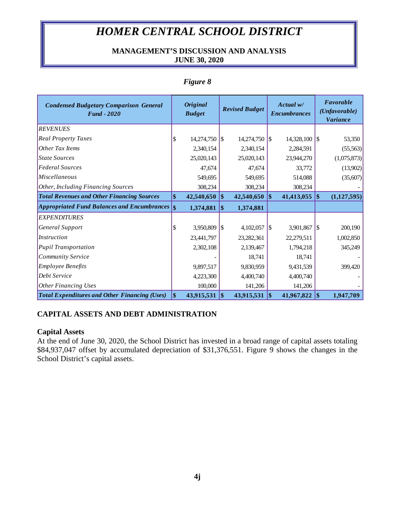## **MANAGEMENT'S DISCUSSION AND ANALYSIS JUNE 30, 2020**

| <b>Condensed Budgetary Comparison General</b><br><b>Fund - 2020</b> | <b>Original</b><br><b>Budget</b> |               | <b>Revised Budget</b> |              |     |            | Actual w/<br><b>Encumbrances</b> |             |  | Favorable<br>(Unfavorable)<br><b>Variance</b> |
|---------------------------------------------------------------------|----------------------------------|---------------|-----------------------|--------------|-----|------------|----------------------------------|-------------|--|-----------------------------------------------|
| <b>REVENUES</b>                                                     |                                  |               |                       |              |     |            |                                  |             |  |                                               |
| <b>Real Property Taxes</b>                                          | \$                               | 14,274,750 \\ |                       | 14,274,750   | 1\$ | 14,328,100 | $\sqrt{5}$                       | 53,350      |  |                                               |
| Other Tax Items                                                     |                                  | 2,340,154     |                       | 2,340,154    |     | 2,284,591  |                                  | (55,563)    |  |                                               |
| <b>State Sources</b>                                                |                                  | 25,020,143    |                       | 25,020,143   |     | 23,944,270 |                                  | (1,075,873) |  |                                               |
| <b>Federal Sources</b>                                              |                                  | 47,674        |                       | 47,674       |     | 33,772     |                                  | (13,902)    |  |                                               |
| Miscellaneous                                                       |                                  | 549,695       |                       | 549,695      |     | 514,088    |                                  | (35,607)    |  |                                               |
| Other, Including Financing Sources                                  |                                  | 308,234       |                       | 308,234      |     | 308,234    |                                  |             |  |                                               |
| <b>Total Revenues and Other Financing Sources</b>                   | \$                               | 42,540,650    | 1\$                   | 42,540,650   | \$  | 41,413,055 | 1\$                              | (1,127,595) |  |                                               |
| <b>Appropriated Fund Balances and Encumbrances</b>                  | $\vert$ \$                       | 1,374,881     | 1\$                   | 1,374,881    |     |            |                                  |             |  |                                               |
| <b>EXPENDITURES</b>                                                 |                                  |               |                       |              |     |            |                                  |             |  |                                               |
| General Support                                                     | \$                               | 3,950,809     | -1\$                  | 4,102,057    | 1\$ | 3,901,867  | 1\$                              | 200,190     |  |                                               |
| Instruction                                                         |                                  | 23,441,797    |                       | 23, 282, 361 |     | 22,279,511 |                                  | 1,002,850   |  |                                               |
| <b>Pupil Transportation</b>                                         |                                  | 2,302,108     |                       | 2,139,467    |     | 1,794,218  |                                  | 345,249     |  |                                               |
| <b>Community Service</b>                                            |                                  |               |                       | 18,741       |     | 18,741     |                                  |             |  |                                               |
| <b>Employee Benefits</b>                                            |                                  | 9,897,517     |                       | 9,830,959    |     | 9,431,539  |                                  | 399,420     |  |                                               |
| Debt Service                                                        |                                  | 4,223,300     |                       | 4,400,740    |     | 4,400,740  |                                  |             |  |                                               |
| <b>Other Financing Uses</b>                                         |                                  | 100,000       |                       | 141,206      |     | 141,206    |                                  |             |  |                                               |
| <b>Total Expenditures and Other Financing (Uses)</b>                | $\vert$ \$                       | 43,915,531    | $\vert$ \$            | 43,915,531   | \$  | 41,967,822 | 1\$                              | 1,947,709   |  |                                               |

# *Figure 8*

## **CAPITAL ASSETS AND DEBT ADMINISTRATION**

## **Capital Assets**

At the end of June 30, 2020, the School District has invested in a broad range of capital assets totaling \$84,937,047 offset by accumulated depreciation of \$31,376,551. Figure 9 shows the changes in the School District's capital assets.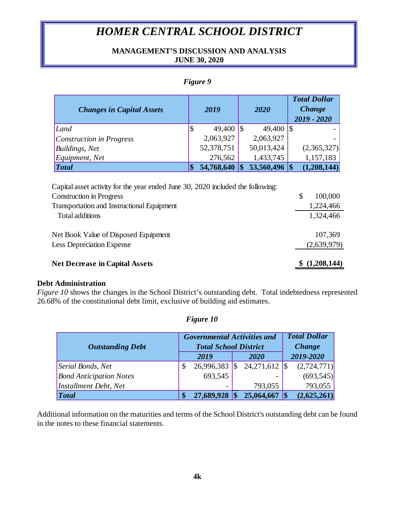# **MANAGEMENT'S DISCUSSION AND ANALYSIS JUNE 30, 2020**

## *Figure 9*

| <b>Changes in Capital Assets</b> | 2019 |                      |  | 2020                 | <b>Total Dollar</b><br><b>Change</b><br>$2019 - 2020$ |
|----------------------------------|------|----------------------|--|----------------------|-------------------------------------------------------|
| Land                             |      | 49,400 $\frac{1}{3}$ |  | 49,400 $\frac{1}{3}$ |                                                       |
| Construction in Progress         |      | 2,063,927            |  | 2,063,927            |                                                       |
| <b>Buildings</b> , Net           |      | 52,378,751           |  | 50,013,424           | (2,365,327)                                           |
| Equipment, Net                   |      | 276,562              |  | 1,433,745            | 1,157,183                                             |
| $\vert Total$                    | \$   | 54,768,640           |  | 53,560,496 \$        | (1,208,144)                                           |

| <b>Net Decrease in Capital Assets</b>                                           | (1,208,144)   |
|---------------------------------------------------------------------------------|---------------|
| <b>Less Depreciation Expense</b>                                                | (2,639,979)   |
| Net Book Value of Disposed Equipment                                            | 107,369       |
| Total additions                                                                 | 1,324,466     |
| <b>Transportation and Instructional Equipment</b>                               | 1,224,466     |
| <b>Construction in Progress</b>                                                 | \$<br>100,000 |
| Capital asset activity for the year ended June 30, 2020 included the following: |               |

#### **Debt Administration**

*Figure 10* shows the changes in the School District's outstanding debt. Total indebtedness represented 26.68% of the constitutional debt limit, exclusive of building aid estimates.

| <b>Outstanding Debt</b>        |    | <b>Governmental Activities and</b><br><b>Total School District</b> |    |                 | <b>Total Dollar</b><br><b>Change</b> |
|--------------------------------|----|--------------------------------------------------------------------|----|-----------------|--------------------------------------|
|                                |    | 2019                                                               |    | 2020            | 2019-2020                            |
| Serial Bonds, Net              | \$ | 26,996,383                                                         | \$ | $24,271,612$ \$ | (2,724,771)                          |
| <b>Bond Anticipation Notes</b> |    | 693,545                                                            |    |                 | (693, 545)                           |
| <b>Installment Debt</b> , Net  |    |                                                                    |    | 793,055         | 793,055                              |
| <i>Total</i>                   |    | 27,689,928                                                         |    | 25,064,667      | (2,625,261)                          |

# *Figure 10*

Additional information on the maturities and terms of the School District's outstanding debt can be found in the notes to these financial statements.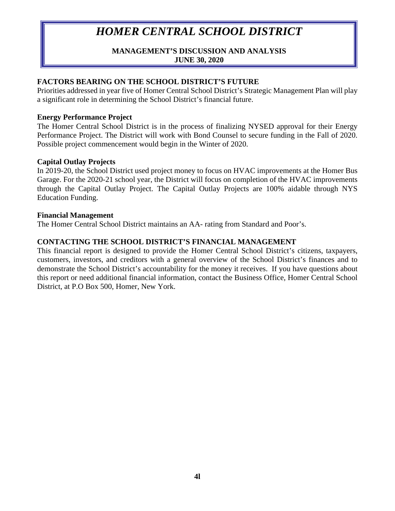## **MANAGEMENT'S DISCUSSION AND ANALYSIS JUNE 30, 2020**

## **FACTORS BEARING ON THE SCHOOL DISTRICT'S FUTURE**

Priorities addressed in year five of Homer Central School District's Strategic Management Plan will play a significant role in determining the School District's financial future.

### **Energy Performance Project**

The Homer Central School District is in the process of finalizing NYSED approval for their Energy Performance Project. The District will work with Bond Counsel to secure funding in the Fall of 2020. Possible project commencement would begin in the Winter of 2020.

### **Capital Outlay Projects**

In 2019-20, the School District used project money to focus on HVAC improvements at the Homer Bus Garage. For the 2020-21 school year, the District will focus on completion of the HVAC improvements through the Capital Outlay Project. The Capital Outlay Projects are 100% aidable through NYS Education Funding.

#### **Financial Management**

The Homer Central School District maintains an AA- rating from Standard and Poor's.

## **CONTACTING THE SCHOOL DISTRICT'S FINANCIAL MANAGEMENT**

This financial report is designed to provide the Homer Central School District's citizens, taxpayers, customers, investors, and creditors with a general overview of the School District's finances and to demonstrate the School District's accountability for the money it receives. If you have questions about this report or need additional financial information, contact the Business Office, Homer Central School District, at P.O Box 500, Homer, New York.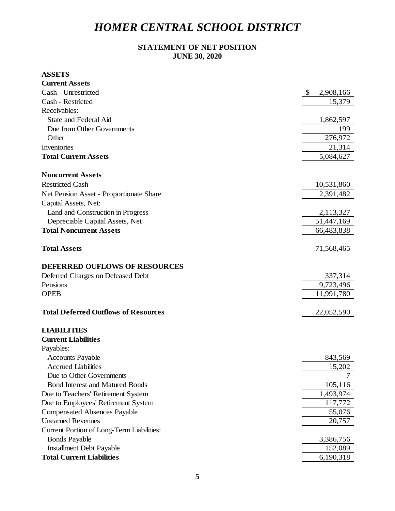## **STATEMENT OF NET POSITION JUNE 30, 2020**

#### **ASSETS**

| <b>Current Assets</b>                       |                 |
|---------------------------------------------|-----------------|
| Cash - Unrestricted                         | \$<br>2,908,166 |
| Cash - Restricted                           | 15,379          |
| Receivables:                                |                 |
| <b>State and Federal Aid</b>                | 1,862,597       |
| Due from Other Governments                  | 199             |
| Other                                       | 276,972         |
| Inventories                                 | 21,314          |
| <b>Total Current Assets</b>                 | 5,084,627       |
| <b>Noncurrent Assets</b>                    |                 |
| <b>Restricted Cash</b>                      | 10,531,860      |
| Net Pension Asset - Proportionate Share     | 2,391,482       |
| Capital Assets, Net:                        |                 |
| Land and Construction in Progress           | 2,113,327       |
| Depreciable Capital Assets, Net             | 51,447,169      |
| <b>Total Noncurrent Assets</b>              | 66,483,838      |
| <b>Total Assets</b>                         | 71,568,465      |
| <b>DEFERRED OUFLOWS OF RESOURCES</b>        |                 |
| Deferred Charges on Defeased Debt           | 337,314         |
| Pensions                                    | 9,723,496       |
| <b>OPEB</b>                                 | 11,991,780      |
| <b>Total Deferred Outflows of Resources</b> | 22,052,590      |
| <b>LIABILITIES</b>                          |                 |
| <b>Current Liabilities</b>                  |                 |
| Payables:                                   |                 |
| <b>Accounts Payable</b>                     | 843,569         |
| <b>Accrued Liabilities</b>                  | 15,202          |
| Due to Other Governments                    | 7               |
| <b>Bond Interest and Matured Bonds</b>      | 105,116         |
| Due to Teachers' Retirement System          | 1,493,974       |
| Due to Employees' Retirement System         | 117,772         |
| <b>Compensated Absences Payable</b>         | 55,076          |
| <b>Unearned Revenues</b>                    | 20,757          |
| Current Portion of Long-Term Liabilities:   |                 |
| <b>Bonds Payable</b>                        | 3,386,756       |
| <b>Installment Debt Payable</b>             | 152,089         |
| <b>Total Current Liabilities</b>            | 6,190,318       |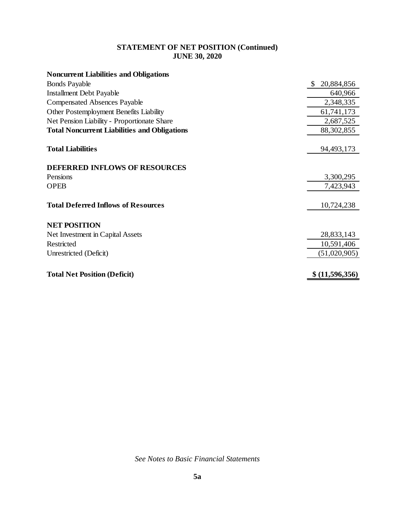# **STATEMENT OF NET POSITION (Continued) JUNE 30, 2020**

| <b>Noncurrent Liabilities and Obligations</b>       |                   |
|-----------------------------------------------------|-------------------|
| <b>Bonds Payable</b>                                | 20,884,856<br>\$. |
| <b>Installment Debt Payable</b>                     | 640,966           |
| <b>Compensated Absences Payable</b>                 | 2,348,335         |
| Other Postemployment Benefits Liability             | 61,741,173        |
| Net Pension Liability - Proportionate Share         | 2,687,525         |
| <b>Total Noncurrent Liabilities and Obligations</b> | 88, 302, 855      |
| <b>Total Liabilities</b>                            | 94,493,173        |
| <b>DEFERRED INFLOWS OF RESOURCES</b>                |                   |
| Pensions                                            | 3,300,295         |
| <b>OPEB</b>                                         | 7,423,943         |
| <b>Total Deferred Inflows of Resources</b>          | 10,724,238        |
| <b>NET POSITION</b>                                 |                   |
| Net Investment in Capital Assets                    | 28,833,143        |
| Restricted                                          | 10,591,406        |
| Unrestricted (Deficit)                              | (51,020,905)      |
| <b>Total Net Position (Deficit)</b>                 | \$ (11,596,356)   |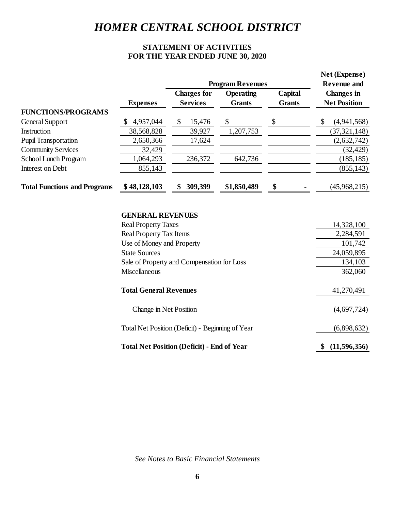# **STATEMENT OF ACTIVITIES FOR THE YEAR ENDED JUNE 30, 2020**

|                                     |                 |                                       | <b>Program Revenues</b>    |                          | Net (Expense)<br><b>Revenue and</b>      |
|-------------------------------------|-----------------|---------------------------------------|----------------------------|--------------------------|------------------------------------------|
|                                     | <b>Expenses</b> | <b>Charges for</b><br><b>Services</b> | <b>Operating</b><br>Grants | Capital<br><b>Grants</b> | <b>Changes</b> in<br><b>Net Position</b> |
| <b>FUNCTIONS/PROGRAMS</b>           |                 |                                       |                            |                          |                                          |
| General Support                     | 4,957,044       | \$<br>15,476                          | \$                         | \$                       | \$<br>(4,941,568)                        |
| Instruction                         | 38,568,828      | 39,927                                | 1,207,753                  |                          | (37, 321, 148)                           |
| <b>Pupil Transportation</b>         | 2,650,366       | 17,624                                |                            |                          | (2,632,742)                              |
| <b>Community Services</b>           | 32,429          |                                       |                            |                          | (32, 429)                                |
| School Lunch Program                | 1,064,293       | 236,372                               | 642,736                    |                          | (185, 185)                               |
| Interest on Debt                    | 855,143         |                                       |                            |                          | (855, 143)                               |
| <b>Total Functions and Programs</b> | \$48,128,103    | 309,399                               | \$1,850,489                | \$                       | (45,968,215)                             |

#### **GENERAL REVENUES**

| <b>Real Property Taxes</b>                        | 14,328,100         |
|---------------------------------------------------|--------------------|
| <b>Real Property Tax Items</b>                    | 2,284,591          |
| Use of Money and Property                         | 101,742            |
| <b>State Sources</b>                              | 24,059,895         |
| Sale of Property and Compensation for Loss        | 134,103            |
| <b>Miscellaneous</b>                              | 362,060            |
| <b>Total General Revenues</b>                     | 41,270,491         |
| Change in Net Position                            | (4,697,724)        |
| Total Net Position (Deficit) - Beginning of Year  | (6,898,632)        |
| <b>Total Net Position (Deficit) - End of Year</b> | (11,596,356)<br>\$ |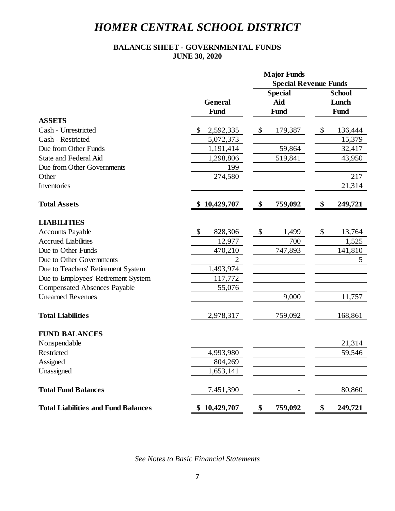### **BALANCE SHEET - GOVERNMENTAL FUNDS JUNE 30, 2020**

|                                            |                              | <b>Major Funds</b> |                        |  |  |
|--------------------------------------------|------------------------------|--------------------|------------------------|--|--|
|                                            | <b>Special Revenue Funds</b> |                    |                        |  |  |
|                                            |                              | <b>Special</b>     | <b>School</b><br>Lunch |  |  |
|                                            | General                      | Aid                |                        |  |  |
|                                            | Fund                         | Fund               | Fund                   |  |  |
| <b>ASSETS</b>                              |                              |                    |                        |  |  |
| Cash - Unrestricted                        | \$<br>2,592,335              | \$<br>179,387      | \$<br>136,444          |  |  |
| Cash - Restricted                          | 5,072,373                    |                    | 15,379                 |  |  |
| Due from Other Funds                       | 1,191,414                    | 59,864             | 32,417                 |  |  |
| <b>State and Federal Aid</b>               | 1,298,806                    | 519,841            | 43,950                 |  |  |
| Due from Other Governments                 | 199                          |                    |                        |  |  |
| Other                                      | 274,580                      |                    | 217                    |  |  |
| Inventories                                |                              |                    | 21,314                 |  |  |
| <b>Total Assets</b>                        | \$10,429,707                 | \$<br>759,092      | \$<br>249,721          |  |  |
| <b>LIABILITIES</b>                         |                              |                    |                        |  |  |
| <b>Accounts Payable</b>                    | \$<br>828,306                | \$<br>1,499        | \$<br>13,764           |  |  |
| <b>Accrued Liabilities</b>                 | 12,977                       | 700                | 1,525                  |  |  |
| Due to Other Funds                         | 470,210                      | 747,893            | 141,810                |  |  |
| Due to Other Governments                   | $\overline{2}$               |                    | 5                      |  |  |
| Due to Teachers' Retirement System         | 1,493,974                    |                    |                        |  |  |
| Due to Employees' Retirement System        | 117,772                      |                    |                        |  |  |
| <b>Compensated Absences Payable</b>        | 55,076                       |                    |                        |  |  |
| <b>Unearned Revenues</b>                   |                              | 9,000              | 11,757                 |  |  |
| <b>Total Liabilities</b>                   | 2,978,317                    | 759,092            | 168,861                |  |  |
| <b>FUND BALANCES</b>                       |                              |                    |                        |  |  |
| Nonspendable                               |                              |                    | 21,314                 |  |  |
| Restricted                                 | 4,993,980                    |                    | 59,546                 |  |  |
| Assigned                                   | 804,269                      |                    |                        |  |  |
| Unassigned                                 | 1,653,141                    |                    |                        |  |  |
| <b>Total Fund Balances</b>                 | 7,451,390                    |                    | 80,860                 |  |  |
| <b>Total Liabilities and Fund Balances</b> | \$10,429,707                 | \$<br>759,092      | \$<br>249,721          |  |  |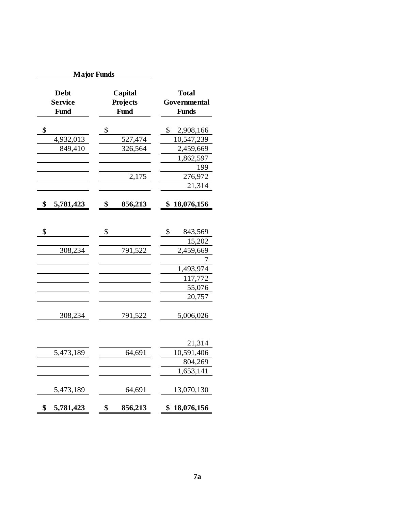| <b>Major Funds</b>                    |                                    |                                              |  |  |  |
|---------------------------------------|------------------------------------|----------------------------------------------|--|--|--|
| <b>Debt</b><br><b>Service</b><br>Fund | Capital<br>Projects<br><b>Fund</b> | <b>Total</b><br>Governmental<br><b>Funds</b> |  |  |  |
| \$                                    | \$                                 | \$<br>2,908,166                              |  |  |  |
| 4,932,013                             | 527,474                            | 10,547,239                                   |  |  |  |
| 849,410                               | 326,564                            | 2,459,669                                    |  |  |  |
|                                       |                                    | 1,862,597                                    |  |  |  |
|                                       |                                    | 199                                          |  |  |  |
|                                       | 2,175                              | 276,972                                      |  |  |  |
|                                       |                                    | 21,314                                       |  |  |  |
| \$<br>5,781,423                       | \$<br>856,213                      | \$<br>18,076,156                             |  |  |  |
|                                       |                                    |                                              |  |  |  |
| \$                                    | \$                                 | \$<br>843,569                                |  |  |  |
|                                       |                                    | 15,202                                       |  |  |  |
| 308,234                               | 791,522                            | 2,459,669                                    |  |  |  |
|                                       |                                    |                                              |  |  |  |
|                                       |                                    | 1,493,974                                    |  |  |  |
|                                       |                                    | 117,772                                      |  |  |  |
|                                       |                                    | 55,076<br>20,757                             |  |  |  |
|                                       |                                    |                                              |  |  |  |
| 308,234                               | 791,522                            | 5,006,026                                    |  |  |  |
|                                       |                                    | 21,314                                       |  |  |  |
| 5,473,189                             | 64,691                             | 10,591,406                                   |  |  |  |
|                                       |                                    | 804,269                                      |  |  |  |
|                                       |                                    | 1,653,141                                    |  |  |  |
| 5,473,189                             | 64,691                             | 13,070,130                                   |  |  |  |
| \$<br>5,781,423                       | \$<br>856,213                      | 18,076,156<br>\$                             |  |  |  |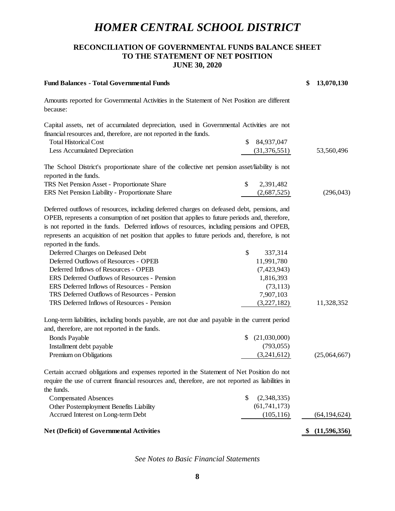### **RECONCILIATION OF GOVERNMENTAL FUNDS BALANCE SHEET TO THE STATEMENT OF NET POSITION JUNE 30, 2020**

| <b>Fund Balances - Total Governmental Funds</b>                                                                                                                                                                                                                                                                                                                                                                                                                                                                                                                                                                                                                                                                                           |                                                                                                  | \$<br>13,070,130   |
|-------------------------------------------------------------------------------------------------------------------------------------------------------------------------------------------------------------------------------------------------------------------------------------------------------------------------------------------------------------------------------------------------------------------------------------------------------------------------------------------------------------------------------------------------------------------------------------------------------------------------------------------------------------------------------------------------------------------------------------------|--------------------------------------------------------------------------------------------------|--------------------|
| Amounts reported for Governmental Activities in the Statement of Net Position are different<br>because:                                                                                                                                                                                                                                                                                                                                                                                                                                                                                                                                                                                                                                   |                                                                                                  |                    |
| Capital assets, net of accumulated depreciation, used in Governmental Activities are not                                                                                                                                                                                                                                                                                                                                                                                                                                                                                                                                                                                                                                                  |                                                                                                  |                    |
| financial resources and, therefore, are not reported in the funds.                                                                                                                                                                                                                                                                                                                                                                                                                                                                                                                                                                                                                                                                        |                                                                                                  |                    |
| <b>Total Historical Cost</b>                                                                                                                                                                                                                                                                                                                                                                                                                                                                                                                                                                                                                                                                                                              | \$<br>84,937,047                                                                                 |                    |
| <b>Less Accumulated Depreciation</b>                                                                                                                                                                                                                                                                                                                                                                                                                                                                                                                                                                                                                                                                                                      | (31, 376, 551)                                                                                   | 53,560,496         |
| The School District's proportionate share of the collective net pension asset/liability is not<br>reported in the funds.                                                                                                                                                                                                                                                                                                                                                                                                                                                                                                                                                                                                                  |                                                                                                  |                    |
| TRS Net Pension Asset - Proportionate Share                                                                                                                                                                                                                                                                                                                                                                                                                                                                                                                                                                                                                                                                                               | \$<br>2,391,482                                                                                  |                    |
| ERS Net Pension Liability - Proportionate Share                                                                                                                                                                                                                                                                                                                                                                                                                                                                                                                                                                                                                                                                                           | (2,687,525)                                                                                      | (296, 043)         |
| Deferred outflows of resources, including deferred charges on defeased debt, pensions, and<br>OPEB, represents a consumption of net position that applies to future periods and, therefore,<br>is not reported in the funds. Deferred inflows of resources, including pensions and OPEB,<br>represents an acquisition of net position that applies to future periods and, therefore, is not<br>reported in the funds.<br>Deferred Charges on Defeased Debt<br>Deferred Outflows of Resources - OPEB<br>Deferred Inflows of Resources - OPEB<br>ERS Deferred Outflows of Resources - Pension<br>ERS Deferred Inflows of Resources - Pension<br>TRS Deferred Outflows of Resources - Pension<br>TRS Deferred Inflows of Resources - Pension | \$<br>337,314<br>11,991,780<br>(7,423,943)<br>1,816,393<br>(73, 113)<br>7,907,103<br>(3,227,182) | 11,328,352         |
| Long-term liabilities, including bonds payable, are not due and payable in the current period                                                                                                                                                                                                                                                                                                                                                                                                                                                                                                                                                                                                                                             |                                                                                                  |                    |
| and, therefore, are not reported in the funds.                                                                                                                                                                                                                                                                                                                                                                                                                                                                                                                                                                                                                                                                                            |                                                                                                  |                    |
| <b>Bonds Payable</b>                                                                                                                                                                                                                                                                                                                                                                                                                                                                                                                                                                                                                                                                                                                      | \$<br>(21,030,000)                                                                               |                    |
| Installment debt payable                                                                                                                                                                                                                                                                                                                                                                                                                                                                                                                                                                                                                                                                                                                  | (793, 055)                                                                                       |                    |
| Premium on Obligations                                                                                                                                                                                                                                                                                                                                                                                                                                                                                                                                                                                                                                                                                                                    | (3,241,612)                                                                                      | (25,064,667)       |
| Certain accrued obligations and expenses reported in the Statement of Net Position do not<br>require the use of current financial resources and, therefore, are not reported as liabilities in<br>the funds.                                                                                                                                                                                                                                                                                                                                                                                                                                                                                                                              | \$<br>(2,348,335)                                                                                |                    |
| <b>Compensated Absences</b><br>Other Postemployment Benefits Liability                                                                                                                                                                                                                                                                                                                                                                                                                                                                                                                                                                                                                                                                    | (61, 741, 173)                                                                                   |                    |
| Accrued Interest on Long-term Debt                                                                                                                                                                                                                                                                                                                                                                                                                                                                                                                                                                                                                                                                                                        | (105, 116)                                                                                       | (64, 194, 624)     |
|                                                                                                                                                                                                                                                                                                                                                                                                                                                                                                                                                                                                                                                                                                                                           |                                                                                                  |                    |
| Net (Deficit) of Governmental Activities                                                                                                                                                                                                                                                                                                                                                                                                                                                                                                                                                                                                                                                                                                  |                                                                                                  | \$<br>(11,596,356) |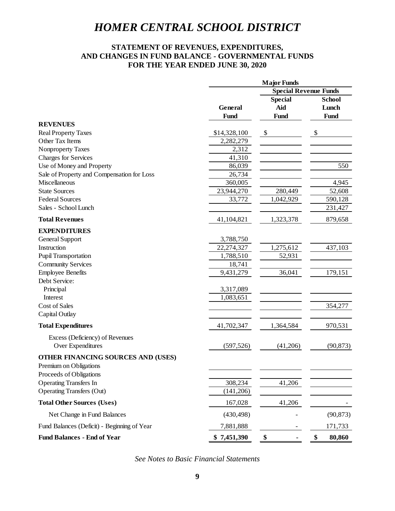## **STATEMENT OF REVENUES, EXPENDITURES, AND CHANGES IN FUND BALANCE - GOVERNMENTAL FUNDS FOR THE YEAR ENDED JUNE 30, 2020**

|                                             | <b>Major Funds</b> |                              |                        |  |  |
|---------------------------------------------|--------------------|------------------------------|------------------------|--|--|
|                                             |                    | <b>Special Revenue Funds</b> |                        |  |  |
|                                             |                    | <b>Special</b>               | <b>School</b><br>Lunch |  |  |
|                                             | General            | Aid                          |                        |  |  |
|                                             | Fund               | <b>Fund</b>                  | Fund                   |  |  |
| <b>REVENUES</b>                             |                    |                              |                        |  |  |
| <b>Real Property Taxes</b>                  | \$14,328,100       | $\boldsymbol{\mathsf{S}}$    | \$                     |  |  |
| Other Tax Items                             | 2,282,279          |                              |                        |  |  |
| Nonproperty Taxes                           | 2,312              |                              |                        |  |  |
| <b>Charges for Services</b>                 | 41,310             |                              |                        |  |  |
| Use of Money and Property                   | 86,039             |                              | 550                    |  |  |
| Sale of Property and Compensation for Loss  | 26,734             |                              |                        |  |  |
| Miscellaneous                               | 360,005            |                              | 4,945                  |  |  |
| <b>State Sources</b>                        | 23,944,270         | 280,449                      | 52,608                 |  |  |
| <b>Federal Sources</b>                      | 33,772             | 1,042,929                    | 590,128                |  |  |
| Sales - School Lunch                        |                    |                              | 231,427                |  |  |
| <b>Total Revenues</b>                       | 41,104,821         | 1,323,378                    | 879,658                |  |  |
| <b>EXPENDITURES</b>                         |                    |                              |                        |  |  |
| General Support                             | 3,788,750          |                              |                        |  |  |
| Instruction                                 | 22,274,327         | 1,275,612                    | 437,103                |  |  |
| <b>Pupil Transportation</b>                 | 1,788,510          | 52,931                       |                        |  |  |
| <b>Community Services</b>                   | 18,741             |                              |                        |  |  |
| <b>Employee Benefits</b>                    | 9,431,279          | 36,041                       | 179,151                |  |  |
| Debt Service:                               |                    |                              |                        |  |  |
| Principal                                   | 3,317,089          |                              |                        |  |  |
| Interest                                    | 1,083,651          |                              |                        |  |  |
| Cost of Sales                               |                    |                              | 354,277                |  |  |
| Capital Outlay                              |                    |                              |                        |  |  |
| <b>Total Expenditures</b>                   | 41,702,347         | 1,364,584                    | 970,531                |  |  |
| Excess (Deficiency) of Revenues             |                    |                              |                        |  |  |
| Over Expenditures                           | (597, 526)         | (41,206)                     | (90, 873)              |  |  |
| OTHER FINANCING SOURCES AND (USES)          |                    |                              |                        |  |  |
| Premium on Obligations                      |                    |                              |                        |  |  |
| Proceeds of Obligations                     |                    |                              |                        |  |  |
| <b>Operating Transfers In</b>               | 308,234            | 41,206                       |                        |  |  |
| <b>Operating Transfers (Out)</b>            | (141, 206)         |                              |                        |  |  |
| <b>Total Other Sources (Uses)</b>           | 167,028            | 41,206                       |                        |  |  |
| Net Change in Fund Balances                 | (430, 498)         |                              | (90, 873)              |  |  |
| Fund Balances (Deficit) - Beginning of Year | 7,881,888          |                              | 171,733                |  |  |
| <b>Fund Balances - End of Year</b>          | \$7,451,390        | \$                           | \$<br>80,860           |  |  |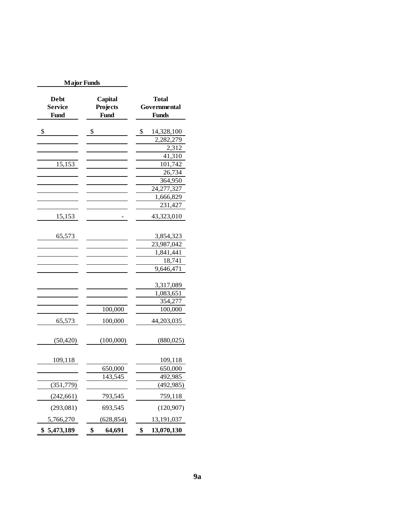| <b>Major Funds</b>                           |                                    |                                       |
|----------------------------------------------|------------------------------------|---------------------------------------|
| <b>Debt</b><br><b>Service</b><br><b>Fund</b> | Capital<br>Projects<br><b>Fund</b> | Total<br>Governmental<br><b>Funds</b> |
| \$                                           | \$                                 | \$<br>14,328,100                      |
|                                              |                                    | 2,282,279                             |
|                                              |                                    | 2,312                                 |
|                                              |                                    | 41,310                                |
| 15,153                                       |                                    | 101,742                               |
|                                              |                                    | 26,734                                |
|                                              |                                    | 364,950                               |
|                                              |                                    | 24,277,327                            |
|                                              |                                    | 1,666,829                             |
|                                              |                                    | 231,427                               |
| 15,153                                       |                                    | 43,323,010                            |
| 65,573                                       |                                    | 3,854,323                             |
|                                              |                                    | 23,987,042                            |
|                                              |                                    | 1,841,441                             |
|                                              |                                    | 18,741                                |
|                                              |                                    | 9,646,471                             |
|                                              |                                    | 3,317,089                             |
|                                              |                                    | 1,083,651                             |
|                                              |                                    | 354,277                               |
|                                              | 100,000                            | 100,000                               |
| 65,573                                       | 100,000                            | 44,203,035                            |
| (50, 420)                                    | (100,000)                          | (880, 025)                            |
| 109,118                                      |                                    | 109,118                               |
|                                              | 650,000                            | 650,000                               |
|                                              | 143,545                            | 492,985                               |
| (351, 779)                                   |                                    | (492, 985)                            |
| (242, 661)                                   | 793,545                            | 759,118                               |
| (293,081)                                    | 693,545                            | (120, 907)                            |
| 5,766,270                                    | (628, 854)                         | 13,191,037                            |
| 5,473,189<br>\$                              | \$<br>64,691                       | \$<br>13,070,130                      |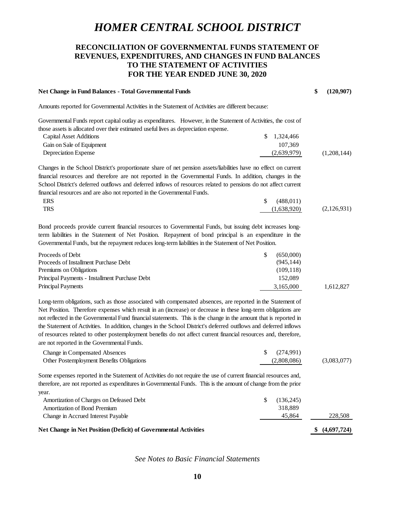## **RECONCILIATION OF GOVERNMENTAL FUNDS STATEMENT OF REVENUES, EXPENDITURES, AND CHANGES IN FUND BALANCES TO THE STATEMENT OF ACTIVITIES FOR THE YEAR ENDED JUNE 30, 2020**

| Net Change in Fund Balances - Total Governmental Funds                                                                                                                                                                                                                                                                                                                                                                                                                                                                                                                                                                                   |             | \$<br>(120, 907) |
|------------------------------------------------------------------------------------------------------------------------------------------------------------------------------------------------------------------------------------------------------------------------------------------------------------------------------------------------------------------------------------------------------------------------------------------------------------------------------------------------------------------------------------------------------------------------------------------------------------------------------------------|-------------|------------------|
| Amounts reported for Governmental Activities in the Statement of Activities are different because:                                                                                                                                                                                                                                                                                                                                                                                                                                                                                                                                       |             |                  |
| Governmental Funds report capital outlay as expenditures. However, in the Statement of Activities, the cost of<br>those assets is allocated over their estimated useful lives as depreciation expense.                                                                                                                                                                                                                                                                                                                                                                                                                                   |             |                  |
| <b>Capital Asset Additions</b><br>S                                                                                                                                                                                                                                                                                                                                                                                                                                                                                                                                                                                                      | 1,324,466   |                  |
| Gain on Sale of Equipment                                                                                                                                                                                                                                                                                                                                                                                                                                                                                                                                                                                                                | 107,369     |                  |
| Depreciation Expense                                                                                                                                                                                                                                                                                                                                                                                                                                                                                                                                                                                                                     | (2,639,979) | (1,208,144)      |
| Changes in the School District's proportionate share of net pension assets/liabilities have no effect on current<br>financial resources and therefore are not reported in the Governmental Funds. In addition, changes in the<br>School District's deferred outflows and deferred inflows of resources related to pensions do not affect current                                                                                                                                                                                                                                                                                         |             |                  |
| financial resources and are also not reported in the Governmental Funds.                                                                                                                                                                                                                                                                                                                                                                                                                                                                                                                                                                 |             |                  |
| <b>ERS</b><br>\$                                                                                                                                                                                                                                                                                                                                                                                                                                                                                                                                                                                                                         | (488, 011)  |                  |
| <b>TRS</b>                                                                                                                                                                                                                                                                                                                                                                                                                                                                                                                                                                                                                               | (1,638,920) | (2,126,931)      |
| Bond proceeds provide current financial resources to Governmental Funds, but issuing debt increases long-<br>term liabilities in the Statement of Net Position. Repayment of bond principal is an expenditure in the<br>Governmental Funds, but the repayment reduces long-term liabilities in the Statement of Net Position.                                                                                                                                                                                                                                                                                                            |             |                  |
| Proceeds of Debt<br>\$                                                                                                                                                                                                                                                                                                                                                                                                                                                                                                                                                                                                                   | (650,000)   |                  |
| Proceeds of Installment Purchase Debt                                                                                                                                                                                                                                                                                                                                                                                                                                                                                                                                                                                                    | (945, 144)  |                  |
| Premiums on Obligations                                                                                                                                                                                                                                                                                                                                                                                                                                                                                                                                                                                                                  | (109, 118)  |                  |
| Principal Payments - Installment Purchase Debt                                                                                                                                                                                                                                                                                                                                                                                                                                                                                                                                                                                           | 152,089     |                  |
| <b>Principal Payments</b>                                                                                                                                                                                                                                                                                                                                                                                                                                                                                                                                                                                                                | 3,165,000   | 1,612,827        |
| Long-term obligations, such as those associated with compensated absences, are reported in the Statement of<br>Net Position. Therefore expenses which result in an (increase) or decrease in these long-term obligations are<br>not reflected in the Governmental Fund financial statements. This is the change in the amount that is reported in<br>the Statement of Activities. In addition, changes in the School District's deferred outflows and deferred inflows<br>of resources related to other postemployment benefits do not affect current financial resources and, therefore,<br>are not reported in the Governmental Funds. |             |                  |
| \$<br>Change in Compensated Absences                                                                                                                                                                                                                                                                                                                                                                                                                                                                                                                                                                                                     | (274,991)   |                  |
| Other Postemployment Benefits Obligations                                                                                                                                                                                                                                                                                                                                                                                                                                                                                                                                                                                                | (2,808,086) | (3,083,077)      |
| Some expenses reported in the Statement of Activities do not require the use of current financial resources and,<br>therefore, are not reported as expenditures in Governmental Funds. This is the amount of change from the prior<br>year.                                                                                                                                                                                                                                                                                                                                                                                              |             |                  |
| Amortization of Charges on Defeased Debt<br>\$                                                                                                                                                                                                                                                                                                                                                                                                                                                                                                                                                                                           | (136,245)   |                  |
| <b>Amortization of Bond Premium</b>                                                                                                                                                                                                                                                                                                                                                                                                                                                                                                                                                                                                      | 318,889     |                  |
| Change in Accrued Interest Payable                                                                                                                                                                                                                                                                                                                                                                                                                                                                                                                                                                                                       | 45,864      | 228,508          |
| Net Change in Net Position (Deficit) of Governmental Activities                                                                                                                                                                                                                                                                                                                                                                                                                                                                                                                                                                          |             | \$(4,697,724)    |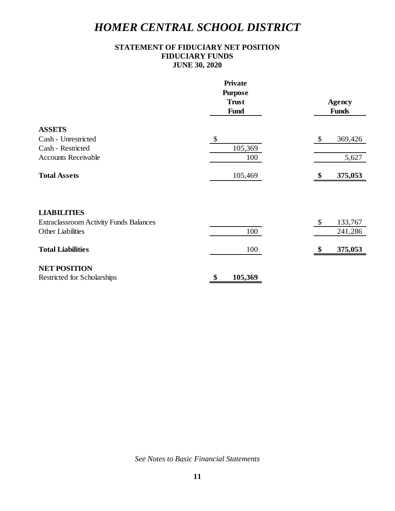## **STATEMENT OF FIDUCIARY NET POSITION FIDUCIARY FUNDS JUNE 30, 2020**

|                                               | <b>Private</b>            |                                      |  |
|-----------------------------------------------|---------------------------|--------------------------------------|--|
|                                               | <b>Purpose</b>            |                                      |  |
|                                               | <b>Trust</b>              | <b>Agency</b>                        |  |
|                                               | Fund                      | <b>Funds</b>                         |  |
| <b>ASSETS</b>                                 |                           |                                      |  |
| Cash - Unrestricted                           | $\boldsymbol{\mathsf{S}}$ | \$<br>369,426                        |  |
| Cash - Restricted                             | 105,369                   |                                      |  |
| <b>Accounts Receivable</b>                    | 100                       | 5,627                                |  |
| <b>Total Assets</b>                           | 105,469                   | 375,053<br>\$                        |  |
|                                               |                           |                                      |  |
| <b>LIABILITIES</b>                            |                           |                                      |  |
| <b>Extraclassroom Activity Funds Balances</b> |                           | $\boldsymbol{\mathsf{S}}$<br>133,767 |  |
| <b>Other Liabilities</b>                      | 100                       | 241,286                              |  |
| <b>Total Liabilities</b>                      | 100                       | 375,053<br>\$                        |  |
| <b>NET POSITION</b>                           |                           |                                      |  |
| Restricted for Scholarships                   | \$<br>105,369             |                                      |  |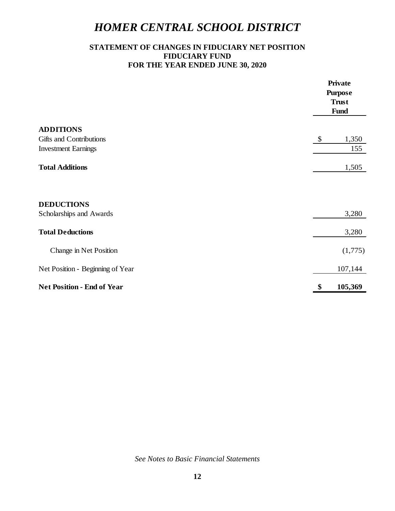## **STATEMENT OF CHANGES IN FIDUCIARY NET POSITION FIDUCIARY FUND FOR THE YEAR ENDED JUNE 30, 2020**

|                                              | <b>Private</b><br><b>Purpose</b><br><b>Trust</b><br>Fund |
|----------------------------------------------|----------------------------------------------------------|
| <b>ADDITIONS</b>                             |                                                          |
| Gifts and Contributions                      | $\boldsymbol{\mathsf{\$}}$<br>1,350                      |
| <b>Investment Earnings</b>                   | 155                                                      |
| <b>Total Additions</b>                       | 1,505                                                    |
| <b>DEDUCTIONS</b><br>Scholarships and Awards | 3,280                                                    |
|                                              |                                                          |
| <b>Total Deductions</b>                      | 3,280                                                    |
| Change in Net Position                       | (1,775)                                                  |
| Net Position - Beginning of Year             | 107,144                                                  |
| <b>Net Position - End of Year</b>            | 105,369<br>\$                                            |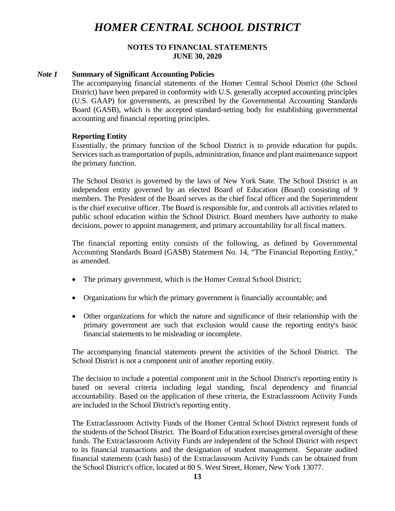#### **NOTES TO FINANCIAL STATEMENTS JUNE 30, 2020**

#### *Note 1* **Summary of Significant Accounting Policies**

The accompanying financial statements of the Homer Central School District (the School District) have been prepared in conformity with U.S. generally accepted accounting principles (U.S. GAAP) for governments, as prescribed by the Governmental Accounting Standards Board (GASB), which is the accepted standard-setting body for establishing governmental accounting and financial reporting principles.

#### **Reporting Entity**

Essentially, the primary function of the School District is to provide education for pupils. Services such as transportation of pupils, administration, finance and plant maintenance support the primary function.

The School District is governed by the laws of New York State. The School District is an independent entity governed by an elected Board of Education (Board) consisting of 9 members. The President of the Board serves as the chief fiscal officer and the Superintendent is the chief executive officer. The Board is responsible for, and controls all activities related to public school education within the School District. Board members have authority to make decisions, power to appoint management, and primary accountability for all fiscal matters.

The financial reporting entity consists of the following, as defined by Governmental Accounting Standards Board (GASB) Statement No. 14, "The Financial Reporting Entity," as amended.

- The primary government, which is the Homer Central School District;
- Organizations for which the primary government is financially accountable; and
- Other organizations for which the nature and significance of their relationship with the primary government are such that exclusion would cause the reporting entity's basic financial statements to be misleading or incomplete.

The accompanying financial statements present the activities of the School District. The School District is not a component unit of another reporting entity.

The decision to include a potential component unit in the School District's reporting entity is based on several criteria including legal standing, fiscal dependency and financial accountability. Based on the application of these criteria, the Extraclassroom Activity Funds are included in the School District's reporting entity.

The Extraclassroom Activity Funds of the Homer Central School District represent funds of the students of the School District. The Board of Education exercises general oversight of these funds. The Extraclassroom Activity Funds are independent of the School District with respect to its financial transactions and the designation of student management. Separate audited financial statements (cash basis) of the Extraclassroom Activity Funds can be obtained from the School District's office, located at 80 S. West Street, Homer, New York 13077.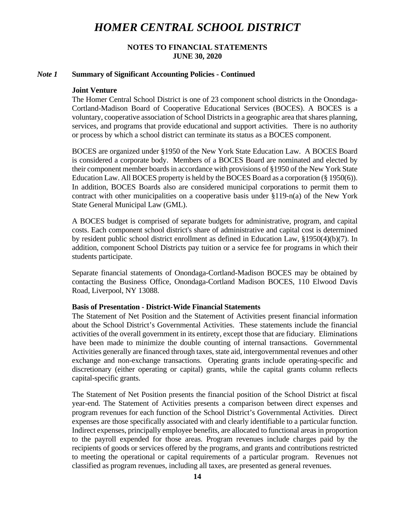#### **NOTES TO FINANCIAL STATEMENTS JUNE 30, 2020**

#### *Note 1* **Summary of Significant Accounting Policies - Continued**

#### **Joint Venture**

The Homer Central School District is one of 23 component school districts in the Onondaga-Cortland-Madison Board of Cooperative Educational Services (BOCES). A BOCES is a voluntary, cooperative association of School Districts in a geographic area that shares planning, services, and programs that provide educational and support activities. There is no authority or process by which a school district can terminate its status as a BOCES component.

BOCES are organized under §1950 of the New York State Education Law. A BOCES Board is considered a corporate body. Members of a BOCES Board are nominated and elected by their component member boards in accordance with provisions of §1950 of the New York State Education Law. All BOCES property is held by the BOCES Board as a corporation (§ 1950(6)). In addition, BOCES Boards also are considered municipal corporations to permit them to contract with other municipalities on a cooperative basis under  $\S119-n(a)$  of the New York State General Municipal Law (GML).

A BOCES budget is comprised of separate budgets for administrative, program, and capital costs. Each component school district's share of administrative and capital cost is determined by resident public school district enrollment as defined in Education Law, §1950(4)(b)(7). In addition, component School Districts pay tuition or a service fee for programs in which their students participate.

Separate financial statements of Onondaga-Cortland-Madison BOCES may be obtained by contacting the Business Office, Onondaga-Cortland Madison BOCES, 110 Elwood Davis Road, Liverpool, NY 13088.

#### **Basis of Presentation - District-Wide Financial Statements**

The Statement of Net Position and the Statement of Activities present financial information about the School District's Governmental Activities. These statements include the financial activities of the overall government in its entirety, except those that are fiduciary. Eliminations have been made to minimize the double counting of internal transactions. Governmental Activities generally are financed through taxes, state aid, intergovernmental revenues and other exchange and non-exchange transactions. Operating grants include operating-specific and discretionary (either operating or capital) grants, while the capital grants column reflects capital-specific grants.

The Statement of Net Position presents the financial position of the School District at fiscal year-end. The Statement of Activities presents a comparison between direct expenses and program revenues for each function of the School District's Governmental Activities. Direct expenses are those specifically associated with and clearly identifiable to a particular function. Indirect expenses, principally employee benefits, are allocated to functional areas in proportion to the payroll expended for those areas. Program revenues include charges paid by the recipients of goods or services offered by the programs, and grants and contributions restricted to meeting the operational or capital requirements of a particular program. Revenues not classified as program revenues, including all taxes, are presented as general revenues.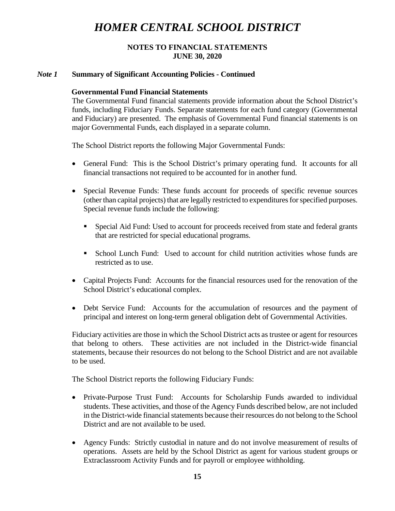#### **NOTES TO FINANCIAL STATEMENTS JUNE 30, 2020**

#### *Note 1* **Summary of Significant Accounting Policies - Continued**

#### **Governmental Fund Financial Statements**

The Governmental Fund financial statements provide information about the School District's funds, including Fiduciary Funds. Separate statements for each fund category (Governmental and Fiduciary) are presented. The emphasis of Governmental Fund financial statements is on major Governmental Funds, each displayed in a separate column.

The School District reports the following Major Governmental Funds:

- General Fund: This is the School District's primary operating fund. It accounts for all financial transactions not required to be accounted for in another fund.
- Special Revenue Funds: These funds account for proceeds of specific revenue sources (other than capital projects) that are legally restricted to expenditures for specified purposes. Special revenue funds include the following:
	- Special Aid Fund: Used to account for proceeds received from state and federal grants that are restricted for special educational programs.
	- School Lunch Fund: Used to account for child nutrition activities whose funds are restricted as to use.
- Capital Projects Fund: Accounts for the financial resources used for the renovation of the School District's educational complex.
- Debt Service Fund: Accounts for the accumulation of resources and the payment of principal and interest on long-term general obligation debt of Governmental Activities.

Fiduciary activities are those in which the School District acts as trustee or agent for resources that belong to others. These activities are not included in the District-wide financial statements, because their resources do not belong to the School District and are not available to be used.

The School District reports the following Fiduciary Funds:

- Private-Purpose Trust Fund: Accounts for Scholarship Funds awarded to individual students. These activities, and those of the Agency Funds described below, are not included in the District-wide financial statements because their resources do not belong to the School District and are not available to be used.
- Agency Funds: Strictly custodial in nature and do not involve measurement of results of operations. Assets are held by the School District as agent for various student groups or Extraclassroom Activity Funds and for payroll or employee withholding.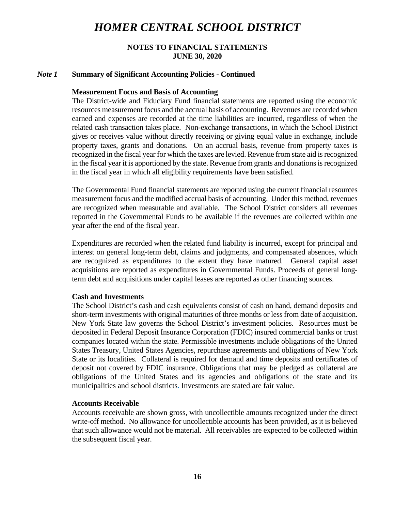#### **NOTES TO FINANCIAL STATEMENTS JUNE 30, 2020**

#### *Note 1* **Summary of Significant Accounting Policies - Continued**

#### **Measurement Focus and Basis of Accounting**

The District-wide and Fiduciary Fund financial statements are reported using the economic resources measurement focus and the accrual basis of accounting. Revenues are recorded when earned and expenses are recorded at the time liabilities are incurred, regardless of when the related cash transaction takes place. Non-exchange transactions, in which the School District gives or receives value without directly receiving or giving equal value in exchange, include property taxes, grants and donations. On an accrual basis, revenue from property taxes is recognized in the fiscal year for which the taxes are levied. Revenue from state aid is recognized in the fiscal year it is apportioned by the state. Revenue from grants and donations is recognized in the fiscal year in which all eligibility requirements have been satisfied.

The Governmental Fund financial statements are reported using the current financial resources measurement focus and the modified accrual basis of accounting. Under this method, revenues are recognized when measurable and available. The School District considers all revenues reported in the Governmental Funds to be available if the revenues are collected within one year after the end of the fiscal year.

Expenditures are recorded when the related fund liability is incurred, except for principal and interest on general long-term debt, claims and judgments, and compensated absences, which are recognized as expenditures to the extent they have matured. General capital asset acquisitions are reported as expenditures in Governmental Funds. Proceeds of general longterm debt and acquisitions under capital leases are reported as other financing sources.

#### **Cash and Investments**

The School District's cash and cash equivalents consist of cash on hand, demand deposits and short-term investments with original maturities of three months or less from date of acquisition. New York State law governs the School District's investment policies. Resources must be deposited in Federal Deposit Insurance Corporation (FDIC) insured commercial banks or trust companies located within the state. Permissible investments include obligations of the United States Treasury, United States Agencies, repurchase agreements and obligations of New York State or its localities. Collateral is required for demand and time deposits and certificates of deposit not covered by FDIC insurance. Obligations that may be pledged as collateral are obligations of the United States and its agencies and obligations of the state and its municipalities and school districts. Investments are stated are fair value.

#### **Accounts Receivable**

Accounts receivable are shown gross, with uncollectible amounts recognized under the direct write-off method. No allowance for uncollectible accounts has been provided, as it is believed that such allowance would not be material. All receivables are expected to be collected within the subsequent fiscal year.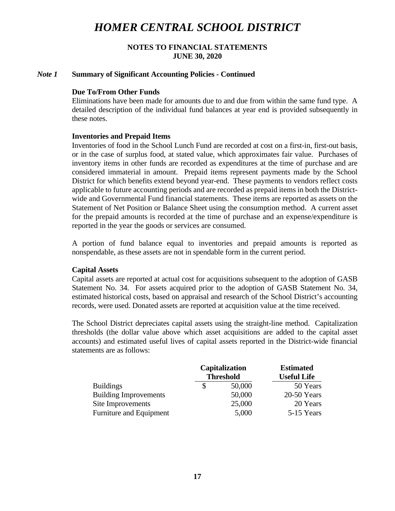#### **NOTES TO FINANCIAL STATEMENTS JUNE 30, 2020**

#### *Note 1* **Summary of Significant Accounting Policies - Continued**

#### **Due To/From Other Funds**

Eliminations have been made for amounts due to and due from within the same fund type. A detailed description of the individual fund balances at year end is provided subsequently in these notes.

#### **Inventories and Prepaid Items**

Inventories of food in the School Lunch Fund are recorded at cost on a first-in, first-out basis, or in the case of surplus food, at stated value, which approximates fair value. Purchases of inventory items in other funds are recorded as expenditures at the time of purchase and are considered immaterial in amount. Prepaid items represent payments made by the School District for which benefits extend beyond year-end. These payments to vendors reflect costs applicable to future accounting periods and are recorded as prepaid items in both the Districtwide and Governmental Fund financial statements. These items are reported as assets on the Statement of Net Position or Balance Sheet using the consumption method. A current asset for the prepaid amounts is recorded at the time of purchase and an expense/expenditure is reported in the year the goods or services are consumed.

A portion of fund balance equal to inventories and prepaid amounts is reported as nonspendable, as these assets are not in spendable form in the current period.

#### **Capital Assets**

Capital assets are reported at actual cost for acquisitions subsequent to the adoption of GASB Statement No. 34. For assets acquired prior to the adoption of GASB Statement No. 34, estimated historical costs, based on appraisal and research of the School District's accounting records, were used. Donated assets are reported at acquisition value at the time received.

The School District depreciates capital assets using the straight-line method. Capitalization thresholds (the dollar value above which asset acquisitions are added to the capital asset accounts) and estimated useful lives of capital assets reported in the District-wide financial statements are as follows:

|                              | <b>Capitalization</b><br><b>Threshold</b> |        | <b>Estimated</b><br><b>Useful Life</b> |
|------------------------------|-------------------------------------------|--------|----------------------------------------|
|                              |                                           |        |                                        |
| <b>Buildings</b>             |                                           | 50,000 | 50 Years                               |
| <b>Building Improvements</b> |                                           | 50,000 | 20-50 Years                            |
| Site Improvements            |                                           | 25,000 | 20 Years                               |
| Furniture and Equipment      |                                           | 5,000  | 5-15 Years                             |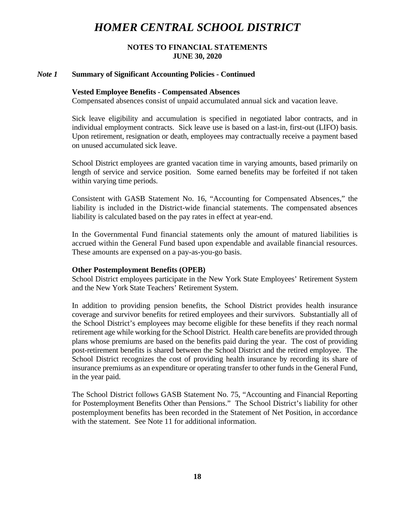#### **NOTES TO FINANCIAL STATEMENTS JUNE 30, 2020**

#### *Note 1* **Summary of Significant Accounting Policies - Continued**

#### **Vested Employee Benefits - Compensated Absences**

Compensated absences consist of unpaid accumulated annual sick and vacation leave.

Sick leave eligibility and accumulation is specified in negotiated labor contracts, and in individual employment contracts. Sick leave use is based on a last-in, first-out (LIFO) basis. Upon retirement, resignation or death, employees may contractually receive a payment based on unused accumulated sick leave.

School District employees are granted vacation time in varying amounts, based primarily on length of service and service position. Some earned benefits may be forfeited if not taken within varying time periods.

Consistent with GASB Statement No. 16, "Accounting for Compensated Absences," the liability is included in the District-wide financial statements. The compensated absences liability is calculated based on the pay rates in effect at year-end.

In the Governmental Fund financial statements only the amount of matured liabilities is accrued within the General Fund based upon expendable and available financial resources. These amounts are expensed on a pay-as-you-go basis.

#### **Other Postemployment Benefits (OPEB)**

School District employees participate in the New York State Employees' Retirement System and the New York State Teachers' Retirement System.

In addition to providing pension benefits, the School District provides health insurance coverage and survivor benefits for retired employees and their survivors. Substantially all of the School District's employees may become eligible for these benefits if they reach normal retirement age while working for the School District. Health care benefits are provided through plans whose premiums are based on the benefits paid during the year. The cost of providing post-retirement benefits is shared between the School District and the retired employee. The School District recognizes the cost of providing health insurance by recording its share of insurance premiums as an expenditure or operating transfer to other funds in the General Fund, in the year paid.

The School District follows GASB Statement No. 75, "Accounting and Financial Reporting for Postemployment Benefits Other than Pensions." The School District's liability for other postemployment benefits has been recorded in the Statement of Net Position, in accordance with the statement. See Note 11 for additional information.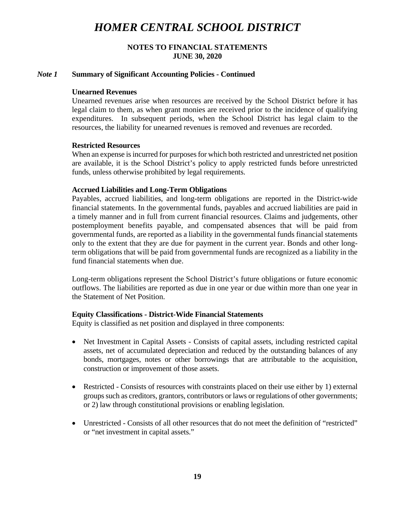## **NOTES TO FINANCIAL STATEMENTS JUNE 30, 2020**

#### *Note 1* **Summary of Significant Accounting Policies - Continued**

#### **Unearned Revenues**

Unearned revenues arise when resources are received by the School District before it has legal claim to them, as when grant monies are received prior to the incidence of qualifying expenditures. In subsequent periods, when the School District has legal claim to the resources, the liability for unearned revenues is removed and revenues are recorded.

#### **Restricted Resources**

When an expense is incurred for purposes for which both restricted and unrestricted net position are available, it is the School District's policy to apply restricted funds before unrestricted funds, unless otherwise prohibited by legal requirements.

#### **Accrued Liabilities and Long-Term Obligations**

Payables, accrued liabilities, and long-term obligations are reported in the District-wide financial statements. In the governmental funds, payables and accrued liabilities are paid in a timely manner and in full from current financial resources. Claims and judgements, other postemployment benefits payable, and compensated absences that will be paid from governmental funds, are reported as a liability in the governmental funds financial statements only to the extent that they are due for payment in the current year. Bonds and other longterm obligations that will be paid from governmental funds are recognized as a liability in the fund financial statements when due.

Long-term obligations represent the School District's future obligations or future economic outflows. The liabilities are reported as due in one year or due within more than one year in the Statement of Net Position.

## **Equity Classifications - District-Wide Financial Statements**

Equity is classified as net position and displayed in three components:

- Net Investment in Capital Assets Consists of capital assets, including restricted capital assets, net of accumulated depreciation and reduced by the outstanding balances of any bonds, mortgages, notes or other borrowings that are attributable to the acquisition, construction or improvement of those assets.
- Restricted Consists of resources with constraints placed on their use either by 1) external groups such as creditors, grantors, contributors or laws or regulations of other governments; or 2) law through constitutional provisions or enabling legislation.
- Unrestricted Consists of all other resources that do not meet the definition of "restricted" or "net investment in capital assets."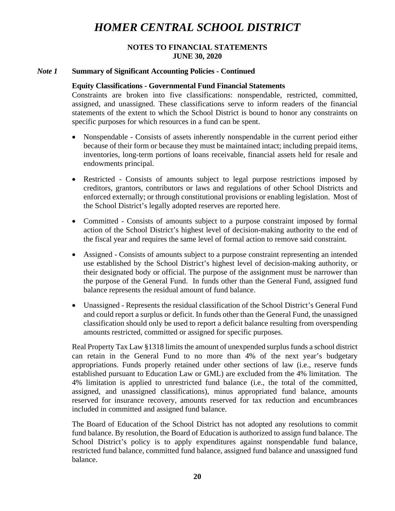## **NOTES TO FINANCIAL STATEMENTS JUNE 30, 2020**

## *Note 1* **Summary of Significant Accounting Policies - Continued**

## **Equity Classifications - Governmental Fund Financial Statements**

Constraints are broken into five classifications: nonspendable, restricted, committed, assigned, and unassigned. These classifications serve to inform readers of the financial statements of the extent to which the School District is bound to honor any constraints on specific purposes for which resources in a fund can be spent.

- Nonspendable Consists of assets inherently nonspendable in the current period either because of their form or because they must be maintained intact; including prepaid items, inventories, long-term portions of loans receivable, financial assets held for resale and endowments principal.
- Restricted Consists of amounts subject to legal purpose restrictions imposed by creditors, grantors, contributors or laws and regulations of other School Districts and enforced externally; or through constitutional provisions or enabling legislation. Most of the School District's legally adopted reserves are reported here.
- Committed Consists of amounts subject to a purpose constraint imposed by formal action of the School District's highest level of decision-making authority to the end of the fiscal year and requires the same level of formal action to remove said constraint.
- Assigned Consists of amounts subject to a purpose constraint representing an intended use established by the School District's highest level of decision-making authority, or their designated body or official. The purpose of the assignment must be narrower than the purpose of the General Fund. In funds other than the General Fund, assigned fund balance represents the residual amount of fund balance.
- Unassigned Represents the residual classification of the School District's General Fund and could report a surplus or deficit. In funds other than the General Fund, the unassigned classification should only be used to report a deficit balance resulting from overspending amounts restricted, committed or assigned for specific purposes.

Real Property Tax Law §1318 limits the amount of unexpended surplus funds a school district can retain in the General Fund to no more than 4% of the next year's budgetary appropriations. Funds properly retained under other sections of law (i.e., reserve funds established pursuant to Education Law or GML) are excluded from the 4% limitation. The 4% limitation is applied to unrestricted fund balance (i.e., the total of the committed, assigned, and unassigned classifications), minus appropriated fund balance, amounts reserved for insurance recovery, amounts reserved for tax reduction and encumbrances included in committed and assigned fund balance.

The Board of Education of the School District has not adopted any resolutions to commit fund balance. By resolution, the Board of Education is authorized to assign fund balance. The School District's policy is to apply expenditures against nonspendable fund balance, restricted fund balance, committed fund balance, assigned fund balance and unassigned fund balance.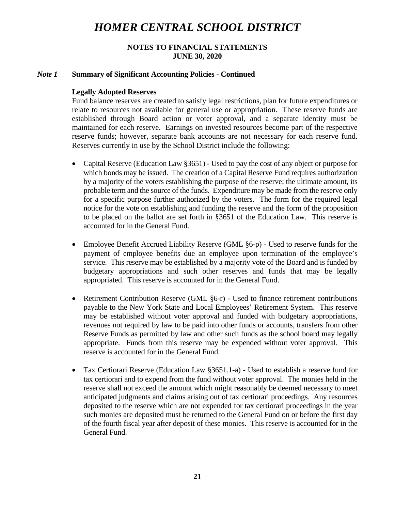## **NOTES TO FINANCIAL STATEMENTS JUNE 30, 2020**

## *Note 1* **Summary of Significant Accounting Policies - Continued**

## **Legally Adopted Reserves**

Fund balance reserves are created to satisfy legal restrictions, plan for future expenditures or relate to resources not available for general use or appropriation. These reserve funds are established through Board action or voter approval, and a separate identity must be maintained for each reserve. Earnings on invested resources become part of the respective reserve funds; however, separate bank accounts are not necessary for each reserve fund. Reserves currently in use by the School District include the following:

- Capital Reserve (Education Law §3651) Used to pay the cost of any object or purpose for which bonds may be issued. The creation of a Capital Reserve Fund requires authorization by a majority of the voters establishing the purpose of the reserve; the ultimate amount, its probable term and the source of the funds. Expenditure may be made from the reserve only for a specific purpose further authorized by the voters. The form for the required legal notice for the vote on establishing and funding the reserve and the form of the proposition to be placed on the ballot are set forth in §3651 of the Education Law. This reserve is accounted for in the General Fund.
- Employee Benefit Accrued Liability Reserve (GML §6-p) Used to reserve funds for the payment of employee benefits due an employee upon termination of the employee's service. This reserve may be established by a majority vote of the Board and is funded by budgetary appropriations and such other reserves and funds that may be legally appropriated. This reserve is accounted for in the General Fund.
- Retirement Contribution Reserve (GML §6-r) Used to finance retirement contributions payable to the New York State and Local Employees' Retirement System. This reserve may be established without voter approval and funded with budgetary appropriations, revenues not required by law to be paid into other funds or accounts, transfers from other Reserve Funds as permitted by law and other such funds as the school board may legally appropriate. Funds from this reserve may be expended without voter approval. This reserve is accounted for in the General Fund.
- Tax Certiorari Reserve (Education Law §3651.1-a) Used to establish a reserve fund for tax certiorari and to expend from the fund without voter approval. The monies held in the reserve shall not exceed the amount which might reasonably be deemed necessary to meet anticipated judgments and claims arising out of tax certiorari proceedings. Any resources deposited to the reserve which are not expended for tax certiorari proceedings in the year such monies are deposited must be returned to the General Fund on or before the first day of the fourth fiscal year after deposit of these monies. This reserve is accounted for in the General Fund.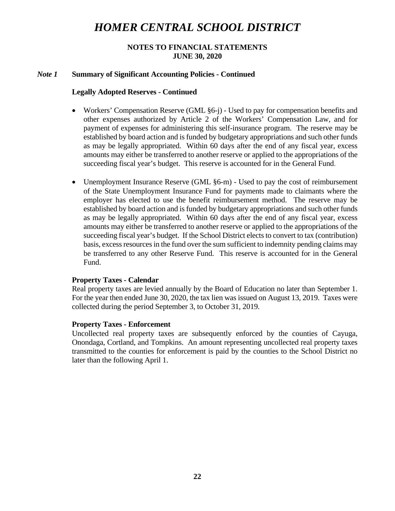## **NOTES TO FINANCIAL STATEMENTS JUNE 30, 2020**

### *Note 1* **Summary of Significant Accounting Policies - Continued**

#### **Legally Adopted Reserves - Continued**

- Workers' Compensation Reserve (GML §6-j) Used to pay for compensation benefits and other expenses authorized by Article 2 of the Workers' Compensation Law, and for payment of expenses for administering this self-insurance program. The reserve may be established by board action and is funded by budgetary appropriations and such other funds as may be legally appropriated. Within 60 days after the end of any fiscal year, excess amounts may either be transferred to another reserve or applied to the appropriations of the succeeding fiscal year's budget. This reserve is accounted for in the General Fund.
- Unemployment Insurance Reserve (GML §6-m) Used to pay the cost of reimbursement of the State Unemployment Insurance Fund for payments made to claimants where the employer has elected to use the benefit reimbursement method. The reserve may be established by board action and is funded by budgetary appropriations and such other funds as may be legally appropriated. Within 60 days after the end of any fiscal year, excess amounts may either be transferred to another reserve or applied to the appropriations of the succeeding fiscal year's budget. If the School District elects to convert to tax (contribution) basis, excess resources in the fund over the sum sufficient to indemnity pending claims may be transferred to any other Reserve Fund. This reserve is accounted for in the General Fund.

#### **Property Taxes - Calendar**

Real property taxes are levied annually by the Board of Education no later than September 1. For the year then ended June 30, 2020, the tax lien was issued on August 13, 2019. Taxes were collected during the period September 3, to October 31, 2019.

## **Property Taxes - Enforcement**

Uncollected real property taxes are subsequently enforced by the counties of Cayuga, Onondaga, Cortland, and Tompkins. An amount representing uncollected real property taxes transmitted to the counties for enforcement is paid by the counties to the School District no later than the following April 1.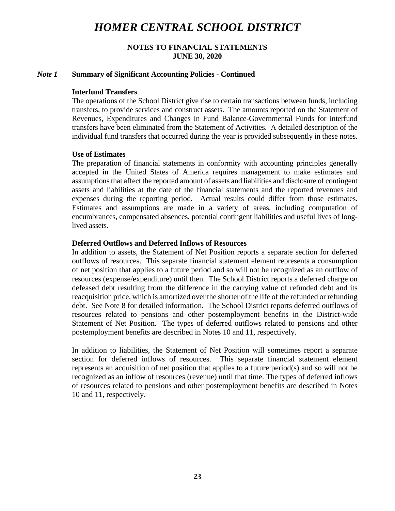## **NOTES TO FINANCIAL STATEMENTS JUNE 30, 2020**

#### *Note 1* **Summary of Significant Accounting Policies - Continued**

#### **Interfund Transfers**

The operations of the School District give rise to certain transactions between funds, including transfers, to provide services and construct assets. The amounts reported on the Statement of Revenues, Expenditures and Changes in Fund Balance-Governmental Funds for interfund transfers have been eliminated from the Statement of Activities. A detailed description of the individual fund transfers that occurred during the year is provided subsequently in these notes.

#### **Use of Estimates**

The preparation of financial statements in conformity with accounting principles generally accepted in the United States of America requires management to make estimates and assumptions that affect the reported amount of assets and liabilities and disclosure of contingent assets and liabilities at the date of the financial statements and the reported revenues and expenses during the reporting period. Actual results could differ from those estimates. Estimates and assumptions are made in a variety of areas, including computation of encumbrances, compensated absences, potential contingent liabilities and useful lives of longlived assets.

#### **Deferred Outflows and Deferred Inflows of Resources**

In addition to assets, the Statement of Net Position reports a separate section for deferred outflows of resources. This separate financial statement element represents a consumption of net position that applies to a future period and so will not be recognized as an outflow of resources (expense/expenditure) until then. The School District reports a deferred charge on defeased debt resulting from the difference in the carrying value of refunded debt and its reacquisition price, which is amortized over the shorter of the life of the refunded or refunding debt. See Note 8 for detailed information. The School District reports deferred outflows of resources related to pensions and other postemployment benefits in the District-wide Statement of Net Position. The types of deferred outflows related to pensions and other postemployment benefits are described in Notes 10 and 11, respectively.

In addition to liabilities, the Statement of Net Position will sometimes report a separate section for deferred inflows of resources. This separate financial statement element represents an acquisition of net position that applies to a future period(s) and so will not be recognized as an inflow of resources (revenue) until that time. The types of deferred inflows of resources related to pensions and other postemployment benefits are described in Notes 10 and 11, respectively.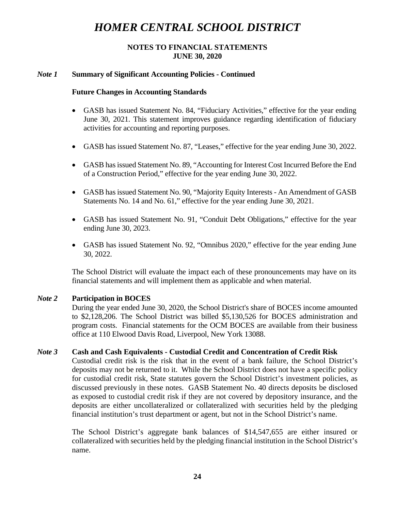## **NOTES TO FINANCIAL STATEMENTS JUNE 30, 2020**

## *Note 1* **Summary of Significant Accounting Policies - Continued**

## **Future Changes in Accounting Standards**

- GASB has issued Statement No. 84, "Fiduciary Activities," effective for the year ending June 30, 2021. This statement improves guidance regarding identification of fiduciary activities for accounting and reporting purposes.
- GASB has issued Statement No. 87, "Leases," effective for the year ending June 30, 2022.
- GASB has issued Statement No. 89, "Accounting for Interest Cost Incurred Before the End of a Construction Period," effective for the year ending June 30, 2022.
- GASB has issued Statement No. 90, "Majority Equity Interests An Amendment of GASB Statements No. 14 and No. 61," effective for the year ending June 30, 2021.
- GASB has issued Statement No. 91, "Conduit Debt Obligations," effective for the year ending June 30, 2023.
- GASB has issued Statement No. 92, "Omnibus 2020," effective for the year ending June 30, 2022.

The School District will evaluate the impact each of these pronouncements may have on its financial statements and will implement them as applicable and when material.

## *Note 2* **Participation in BOCES**

During the year ended June 30, 2020, the School District's share of BOCES income amounted to \$2,128,206. The School District was billed \$5,130,526 for BOCES administration and program costs. Financial statements for the OCM BOCES are available from their business office at 110 Elwood Davis Road, Liverpool, New York 13088.

## *Note 3* **Cash and Cash Equivalents - Custodial Credit and Concentration of Credit Risk**

Custodial credit risk is the risk that in the event of a bank failure, the School District's deposits may not be returned to it. While the School District does not have a specific policy for custodial credit risk, State statutes govern the School District's investment policies, as discussed previously in these notes. GASB Statement No. 40 directs deposits be disclosed as exposed to custodial credit risk if they are not covered by depository insurance, and the deposits are either uncollateralized or collateralized with securities held by the pledging financial institution's trust department or agent, but not in the School District's name.

The School District's aggregate bank balances of \$14,547,655 are either insured or collateralized with securities held by the pledging financial institution in the School District's name.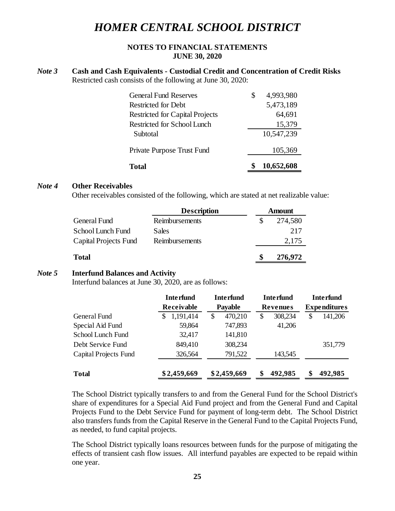## **NOTES TO FINANCIAL STATEMENTS JUNE 30, 2020**

#### *Note 3* **Cash and Cash Equivalents - Custodial Credit and Concentration of Credit Risks** Restricted cash consists of the following at June 30, 2020:

| Total                                  | 10,652,608      |
|----------------------------------------|-----------------|
| Private Purpose Trust Fund             | 105,369         |
| Subtotal                               | 10,547,239      |
| Restricted for School Lunch            | 15,379          |
| <b>Restricted for Capital Projects</b> | 64,691          |
| Restricted for Debt                    | 5,473,189       |
| <b>General Fund Reserves</b>           | \$<br>4,993,980 |

#### *Note 4* **Other Receivables**

Other receivables consisted of the following, which are stated at net realizable value:

|                       | <b>Description</b> | <b>Amount</b> |
|-----------------------|--------------------|---------------|
| <b>General Fund</b>   | Reimbursements     | 274,580       |
| School Lunch Fund     | Sales              | 217           |
| Capital Projects Fund | Reimbursements     | 2,175         |
| <b>Total</b>          |                    | 276,972       |

## *Note 5* **Interfund Balances and Activity**

Interfund balances at June 30, 2020, are as follows:

|                       | <b>Interfund</b> | <b>Interfund</b>                  | <b>Interfund</b> | <b>Interfund</b>    |  |
|-----------------------|------------------|-----------------------------------|------------------|---------------------|--|
|                       | Receivable       | <b>Payable</b><br><b>Revenues</b> |                  | <b>Expenditures</b> |  |
| General Fund          | 1,191,414<br>S   | 470,210<br>\$                     | 308,234<br>\$    | 141,206<br>\$       |  |
| Special Aid Fund      | 59,864           | 747,893                           | 41,206           |                     |  |
| School Lunch Fund     | 32,417           | 141,810                           |                  |                     |  |
| Debt Service Fund     | 849,410          | 308,234                           |                  | 351,779             |  |
| Capital Projects Fund | 326,564          | 791,522                           | 143,545          |                     |  |
| <b>Total</b>          | \$2,459,669      | \$2,459,669                       | 492,985<br>S     | 492,985<br>\$       |  |

The School District typically transfers to and from the General Fund for the School District's share of expenditures for a Special Aid Fund project and from the General Fund and Capital Projects Fund to the Debt Service Fund for payment of long-term debt. The School District also transfers funds from the Capital Reserve in the General Fund to the Capital Projects Fund, as needed, to fund capital projects.

The School District typically loans resources between funds for the purpose of mitigating the effects of transient cash flow issues. All interfund payables are expected to be repaid within one year.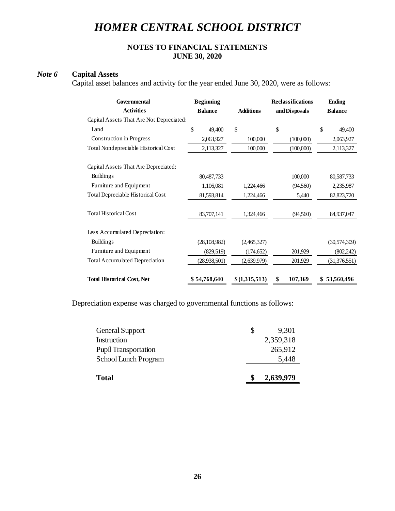## **NOTES TO FINANCIAL STATEMENTS JUNE 30, 2020**

## *Note 6* **Capital Assets**

Capital asset balances and activity for the year ended June 30, 2020, were as follows:

| Governmental                                | <b>Beginning</b> |                  | <b>Reclassifications</b> | Ending         |  |
|---------------------------------------------|------------------|------------------|--------------------------|----------------|--|
| <b>Activities</b>                           | <b>Balance</b>   | <b>Additions</b> | and Disposals            | <b>Balance</b> |  |
| Capital Assets That Are Not Depreciated:    |                  |                  |                          |                |  |
| Land                                        | \$<br>49,400     | \$               | \$                       | \$<br>49,400   |  |
| Construction in Progress                    | 2,063,927        | 100,000          | (100,000)                | 2,063,927      |  |
| <b>Total Nondepreciable Historical Cost</b> | 2,113,327        | 100,000          | (100,000)                | 2,113,327      |  |
| Capital Assets That Are Depreciated:        |                  |                  |                          |                |  |
| <b>Buildings</b>                            | 80,487,733       |                  | 100,000                  | 80,587,733     |  |
| Furniture and Equipment                     | 1,106,081        | 1,224,466        | (94, 560)                | 2,235,987      |  |
| Total Depreciable Historical Cost           | 81,593,814       | 1,224,466        | 5,440                    | 82,823,720     |  |
| <b>Total Historical Cost</b>                | 83,707,141       | 1,324,466        | (94, 560)                | 84,937,047     |  |
| Less Accumulated Depreciation:              |                  |                  |                          |                |  |
| <b>Buildings</b>                            | (28, 108, 982)   | (2,465,327)      |                          | (30, 574, 309) |  |
| Furniture and Equipment                     | (829, 519)       | (174, 652)       | 201,929                  | (802, 242)     |  |
| <b>Total Accumulated Depreciation</b>       | (28, 938, 501)   | (2,639,979)      | 201,929                  | (31, 376, 551) |  |
| <b>Total Historical Cost, Net</b>           | \$54,768,640     | \$(1,315,513)    | 107,369<br>S             | 53,560,496     |  |

Depreciation expense was charged to governmental functions as follows:

| <b>Total</b>                | 2,639,979   |
|-----------------------------|-------------|
| School Lunch Program        | 5,448       |
| <b>Pupil Transportation</b> | 265,912     |
| Instruction                 | 2,359,318   |
| <b>General Support</b>      | \$<br>9,301 |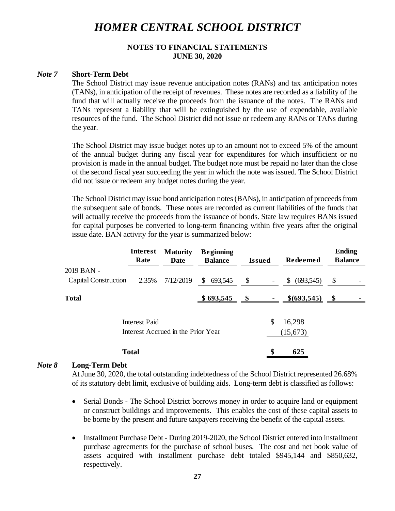## **NOTES TO FINANCIAL STATEMENTS JUNE 30, 2020**

#### *Note 7* **Short-Term Debt**

The School District may issue revenue anticipation notes (RANs) and tax anticipation notes (TANs), in anticipation of the receipt of revenues. These notes are recorded as a liability of the fund that will actually receive the proceeds from the issuance of the notes. The RANs and TANs represent a liability that will be extinguished by the use of expendable, available resources of the fund. The School District did not issue or redeem any RANs or TANs during the year.

The School District may issue budget notes up to an amount not to exceed 5% of the amount of the annual budget during any fiscal year for expenditures for which insufficient or no provision is made in the annual budget. The budget note must be repaid no later than the close of the second fiscal year succeeding the year in which the note was issued. The School District did not issue or redeem any budget notes during the year.

The School District may issue bond anticipation notes (BANs), in anticipation of proceeds from the subsequent sale of bonds. These notes are recorded as current liabilities of the funds that will actually receive the proceeds from the issuance of bonds. State law requires BANs issued for capital purposes be converted to long-term financing within five years after the original issue date. BAN activity for the year is summarized below:

|                                    | Interest<br>Rate | <b>Maturity</b><br>Date | <b>Beginning</b><br><b>Balance</b> | <b>Issued</b>          | Redeemed        | <b>Ending</b><br><b>Balance</b> |  |
|------------------------------------|------------------|-------------------------|------------------------------------|------------------------|-----------------|---------------------------------|--|
| 2019 BAN -                         |                  |                         |                                    |                        |                 |                                 |  |
| Capital Construction               | 2.35%            | 7/12/2019               | 693,545<br>\$                      | \$                     | (693,545)<br>\$ | \$                              |  |
| <b>Total</b>                       |                  |                         | \$693,545                          | $\mathbf{\mathcal{S}}$ | \$ (693, 545)   |                                 |  |
|                                    | Interest Paid    |                         |                                    |                        | \$<br>16,298    |                                 |  |
| Interest Accrued in the Prior Year |                  |                         |                                    | (15,673)               |                 |                                 |  |
|                                    | <b>Total</b>     |                         |                                    |                        | \$<br>625       |                                 |  |

#### *Note 8* **Long-Term Debt**

At June 30, 2020, the total outstanding indebtedness of the School District represented 26.68% of its statutory debt limit, exclusive of building aids. Long-term debt is classified as follows:

- Serial Bonds The School District borrows money in order to acquire land or equipment or construct buildings and improvements. This enables the cost of these capital assets to be borne by the present and future taxpayers receiving the benefit of the capital assets.
- Installment Purchase Debt During 2019-2020, the School District entered into installment purchase agreements for the purchase of school buses. The cost and net book value of assets acquired with installment purchase debt totaled \$945,144 and \$850,632, respectively.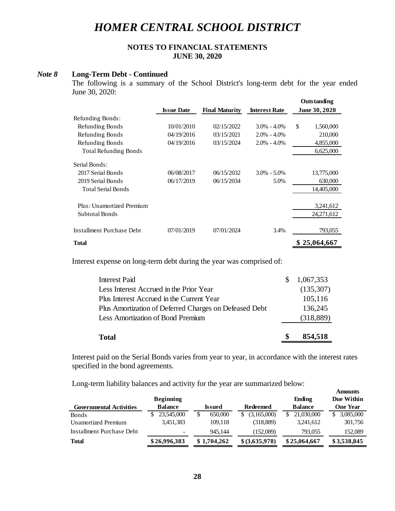## **NOTES TO FINANCIAL STATEMENTS JUNE 30, 2020**

#### *Note 8* **Long-Term Debt - Continued**

The following is a summary of the School District's long-term debt for the year ended June 30, 2020:

|                              |                   |                       |                      | <b>Outstanding</b>   |
|------------------------------|-------------------|-----------------------|----------------------|----------------------|
|                              | <b>Issue Date</b> | <b>Final Maturity</b> | <b>Interest Rate</b> | <b>June 30, 2020</b> |
| Refunding Bonds:             |                   |                       |                      |                      |
| Refunding Bonds              | 10/01/2010        | 02/15/2022            | $3.0\% - 4.0\%$      | \$<br>1,560,000      |
| Refunding Bonds              | 04/19/2016        | 03/15/2021            | $2.0\% - 4.0\%$      | 210,000              |
| Refunding Bonds              | 04/19/2016        | 03/15/2024            | $2.0\% - 4.0\%$      | 4,855,000            |
| <b>Total Refunding Bonds</b> |                   |                       |                      | 6,625,000            |
| Serial Bonds:                |                   |                       |                      |                      |
| 2017 Serial Bonds            | 06/08/2017        | 06/15/2032            | $3.0\% - 5.0\%$      | 13,775,000           |
| 2019 Serial Bonds            | 06/17/2019        | 06/15/2034            | 5.0%                 | 630,000              |
| <b>Total Serial Bonds</b>    |                   |                       |                      | 14,405,000           |
| Plus: Unamortized Premium    |                   |                       |                      | 3,241,612            |
| Subtotal Bonds               |                   |                       |                      | 24,271,612           |
| Installment Purchase Debt    | 07/01/2019        | 07/01/2024            | 3.4%                 | 793,055              |
| <b>Total</b>                 |                   |                       |                      | \$25,064,667         |

Interest expense on long-term debt during the year was comprised of:

| Total                                                  | 854,518    |
|--------------------------------------------------------|------------|
| <b>Less Amortization of Bond Premium</b>               | (318, 889) |
| Plus Amortization of Deferred Charges on Defeased Debt | 136,245    |
| Plus Interest Accrued in the Current Year              | 105,116    |
| Less Interest Accrued in the Prior Year                | (135, 307) |
| <b>Interest Paid</b>                                   | 1,067,353  |

Interest paid on the Serial Bonds varies from year to year, in accordance with the interest rates specified in the bond agreements.

Long-term liability balances and activity for the year are summarized below:

|                                |                          |               |                  |                | <b>Amounts</b>  |
|--------------------------------|--------------------------|---------------|------------------|----------------|-----------------|
|                                | <b>Beginning</b>         |               |                  | Ending         | Due Within      |
| <b>Governmental Activities</b> | <b>Balance</b>           | <b>Issued</b> | <b>Redeemed</b>  | <b>Balance</b> | <b>One Year</b> |
| Bonds                          | 23,545,000               | 650,000<br>\$ | (3,165,000)<br>S | 21,030,000     | 3,085,000<br>S. |
| Unamortized Premium            | 3,451,383                | 109,118       | (318, 889)       | 3,241,612      | 301,756         |
| Installment Purchase Debt      | $\overline{\phantom{a}}$ | 945.144       | (152,089)        | 793,055        | 152,089         |
| <b>Total</b>                   | \$26,996,383             | \$1,704,262   | \$ (3,635,978)   | \$25,064,667   | \$3,538,845     |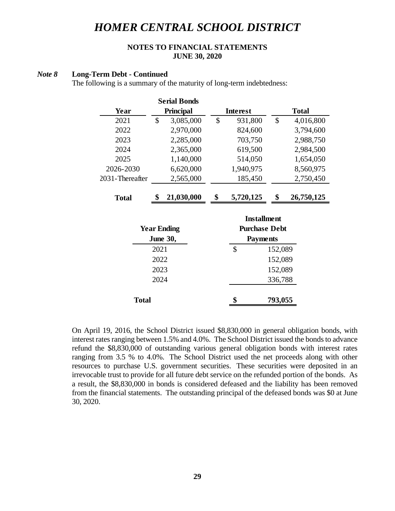## **NOTES TO FINANCIAL STATEMENTS JUNE 30, 2020**

#### *Note 8* **Long-Term Debt - Continued**

The following is a summary of the maturity of long-term indebtedness:

|                 |               | <b>Serial Bonds</b> |         |                      |         |              |
|-----------------|---------------|---------------------|---------|----------------------|---------|--------------|
| Year            |               | Principal           |         | <b>Interest</b>      |         | <b>Total</b> |
| 2021            | $\mathcal{S}$ | 3,085,000           | \$      | 931,800              | \$      | 4,016,800    |
| 2022            |               | 2,970,000           |         | 824,600              |         | 3,794,600    |
| 2023            |               | 2,285,000           |         | 703,750              |         | 2,988,750    |
| 2024            |               | 2,365,000           |         | 619,500              |         | 2,984,500    |
| 2025            |               | 1,140,000           |         | 514,050              |         | 1,654,050    |
| 2026-2030       |               | 6,620,000           |         | 1,940,975            |         | 8,560,975    |
| 2031-Thereafter |               | 2,565,000           |         | 185,450              |         | 2,750,450    |
|                 |               |                     |         |                      |         |              |
| <b>Total</b>    | \$            | 21,030,000          | \$      | 5,720,125            | \$      | 26,750,125   |
|                 |               |                     |         | <b>Installment</b>   |         |              |
|                 |               | <b>Year Ending</b>  |         | <b>Purchase Debt</b> |         |              |
|                 |               | <b>June 30,</b>     |         | <b>Payments</b>      |         |              |
|                 | 2021          |                     |         | \$                   | 152,089 |              |
|                 | 2022          |                     |         |                      |         |              |
|                 |               |                     |         |                      | 152,089 |              |
| 2023            |               | 152,089             |         |                      |         |              |
|                 | 2024          |                     | 336,788 |                      |         |              |
| <b>Total</b>    |               |                     |         | \$                   | 793,055 |              |

On April 19, 2016, the School District issued \$8,830,000 in general obligation bonds, with interest rates ranging between 1.5% and 4.0%. The School District issued the bonds to advance refund the \$8,830,000 of outstanding various general obligation bonds with interest rates ranging from 3.5 % to 4.0%. The School District used the net proceeds along with other resources to purchase U.S. government securities. These securities were deposited in an irrevocable trust to provide for all future debt service on the refunded portion of the bonds. As a result, the \$8,830,000 in bonds is considered defeased and the liability has been removed from the financial statements. The outstanding principal of the defeased bonds was \$0 at June 30, 2020.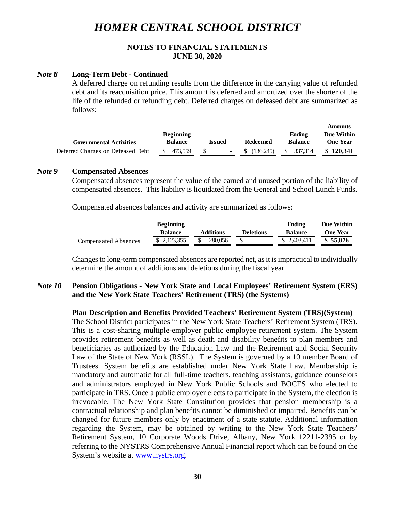## **NOTES TO FINANCIAL STATEMENTS JUNE 30, 2020**

#### *Note 8* **Long-Term Debt - Continued**

A deferred charge on refunding results from the difference in the carrying value of refunded debt and its reacquisition price. This amount is deferred and amortized over the shorter of the life of the refunded or refunding debt. Deferred charges on defeased debt are summarized as follows:

**Amounts**

| <b>Governmental Activities</b>    | Issued  | Redeemed | Ending<br><b>Balance</b> | Amoumis<br>Due Within<br><b>One Year</b> |           |
|-----------------------------------|---------|----------|--------------------------|------------------------------------------|-----------|
| Deferred Charges on Defeased Debt | 473.559 |          | (136.245)                | 337.314                                  | \$120.341 |

#### *Note 9* **Compensated Absences**

Compensated absences represent the value of the earned and unused portion of the liability of compensated absences. This liability is liquidated from the General and School Lunch Funds.

Compensated absences balances and activity are summarized as follows:

|                      | <b>Beginning</b> |                  |                  |                | Due Within      |
|----------------------|------------------|------------------|------------------|----------------|-----------------|
|                      | <b>Balance</b>   | <b>Additions</b> | <b>Deletions</b> | <b>Balance</b> | <b>One Year</b> |
| Compensated Absences | \$ 2,123,355     | 280.056          |                  | \$ 2.403.411   | \$55.076        |

Changes to long-term compensated absences are reported net, as it is impractical to individually determine the amount of additions and deletions during the fiscal year.

### *Note 10* **Pension Obligations - New York State and Local Employees' Retirement System (ERS) and the New York State Teachers' Retirement (TRS) (the Systems)**

#### **Plan Description and Benefits Provided Teachers' Retirement System (TRS)(System)**

The School District participates in the New York State Teachers' Retirement System (TRS). This is a cost-sharing multiple-employer public employee retirement system. The System provides retirement benefits as well as death and disability benefits to plan members and beneficiaries as authorized by the Education Law and the Retirement and Social Security Law of the State of New York (RSSL). The System is governed by a 10 member Board of Trustees. System benefits are established under New York State Law. Membership is mandatory and automatic for all full-time teachers, teaching assistants, guidance counselors and administrators employed in New York Public Schools and BOCES who elected to participate in TRS. Once a public employer elects to participate in the System, the election is irrevocable. The New York State Constitution provides that pension membership is a contractual relationship and plan benefits cannot be diminished or impaired. Benefits can be changed for future members only by enactment of a state statute. Additional information regarding the System, may be obtained by writing to the New York State Teachers' Retirement System, 10 Corporate Woods Drive, Albany, New York 12211-2395 or by referring to the NYSTRS Comprehensive Annual Financial report which can be found on the System's website at [www.nystrs.org.](http://www.nystrs.org/)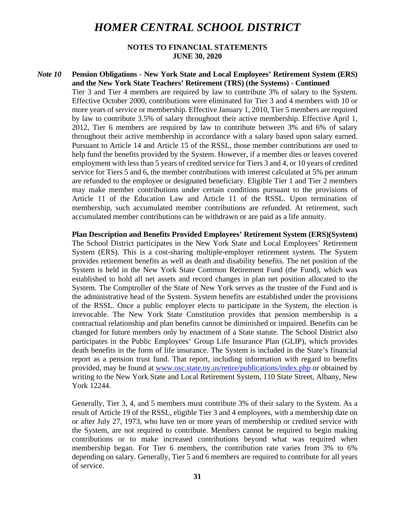### **NOTES TO FINANCIAL STATEMENTS JUNE 30, 2020**

#### *Note 10* **Pension Obligations - New York State and Local Employees' Retirement System (ERS) and the New York State Teachers' Retirement (TRS) (the Systems) - Continued**

Tier 3 and Tier 4 members are required by law to contribute 3% of salary to the System. Effective October 2000, contributions were eliminated for Tier 3 and 4 members with 10 or more years of service or membership. Effective January 1, 2010, Tier 5 members are required by law to contribute 3.5% of salary throughout their active membership. Effective April 1, 2012, Tier 6 members are required by law to contribute between 3% and 6% of salary throughout their active membership in accordance with a salary based upon salary earned. Pursuant to Article 14 and Article 15 of the RSSL, those member contributions are used to help fund the benefits provided by the System. However, if a member dies or leaves covered employment with less than 5 years of credited service for Tiers 3 and 4, or 10 years of credited service for Tiers 5 and 6, the member contributions with interest calculated at 5% per annum are refunded to the employee or designated beneficiary. Eligible Tier 1 and Tier 2 members may make member contributions under certain conditions pursuant to the provisions of Article 11 of the Education Law and Article 11 of the RSSL. Upon termination of membership, such accumulated member contributions are refunded. At retirement, such accumulated member contributions can be withdrawn or are paid as a life annuity.

**Plan Description and Benefits Provided Employees' Retirement System (ERS)(System)** The School District participates in the New York State and Local Employees' Retirement System (ERS). This is a cost-sharing multiple-employer retirement system. The System provides retirement benefits as well as death and disability benefits. The net position of the System is held in the New York State Common Retirement Fund (the Fund), which was established to hold all net assets and record changes in plan net position allocated to the System. The Comptroller of the State of New York serves as the trustee of the Fund and is the administrative head of the System. System benefits are established under the provisions of the RSSL. Once a public employer elects to participate in the System, the election is irrevocable. The New York State Constitution provides that pension membership is a contractual relationship and plan benefits cannot be diminished or impaired. Benefits can be changed for future members only by enactment of a State statute. The School District also participates in the Public Employees' Group Life Insurance Plan (GLIP), which provides death benefits in the form of life insurance. The System is included in the State's financial report as a pension trust fund. That report, including information with regard to benefits provided, may be found at www.osc.state.ny.us/retire/publications/index.php or obtained by writing to the New York State and Local Retirement System, 110 State Street, Albany, New York 12244.

Generally, Tier 3, 4, and 5 members must contribute 3% of their salary to the System. As a result of Article 19 of the RSSL, eligible Tier 3 and 4 employees, with a membership date on or after July 27, 1973, who have ten or more years of membership or credited service with the System, are not required to contribute. Members cannot be required to begin making contributions or to make increased contributions beyond what was required when membership began. For Tier 6 members, the contribution rate varies from 3% to 6% depending on salary. Generally, Tier 5 and 6 members are required to contribute for all years of service.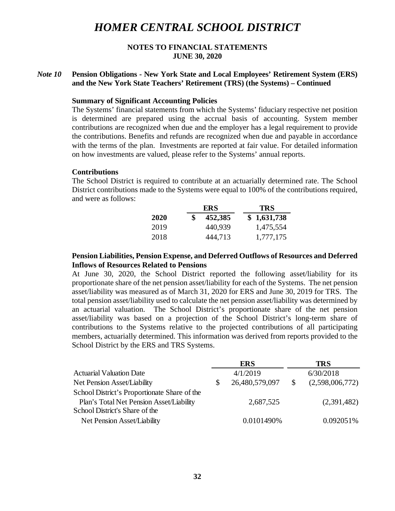### **NOTES TO FINANCIAL STATEMENTS JUNE 30, 2020**

## *Note 10* **Pension Obligations - New York State and Local Employees' Retirement System (ERS) and the New York State Teachers' Retirement (TRS) (the Systems) – Continued**

#### **Summary of Significant Accounting Policies**

The Systems' financial statements from which the Systems' fiduciary respective net position is determined are prepared using the accrual basis of accounting. System member contributions are recognized when due and the employer has a legal requirement to provide the contributions. Benefits and refunds are recognized when due and payable in accordance with the terms of the plan. Investments are reported at fair value. For detailed information on how investments are valued, please refer to the Systems' annual reports.

#### **Contributions**

The School District is required to contribute at an actuarially determined rate. The School District contributions made to the Systems were equal to 100% of the contributions required, and were as follows:

|             | ERS     | TRS         |
|-------------|---------|-------------|
| <b>2020</b> | 452,385 | \$1,631,738 |
| 2019        | 440,939 | 1,475,554   |
| 2018        | 444,713 | 1,777,175   |

### **Pension Liabilities, Pension Expense, and Deferred Outflows of Resources and Deferred Inflows of Resources Related to Pensions**

At June 30, 2020, the School District reported the following asset/liability for its proportionate share of the net pension asset/liability for each of the Systems. The net pension asset/liability was measured as of March 31, 2020 for ERS and June 30, 2019 for TRS. The total pension asset/liability used to calculate the net pension asset/liability was determined by an actuarial valuation. The School District's proportionate share of the net pension asset/liability was based on a projection of the School District's long-term share of contributions to the Systems relative to the projected contributions of all participating members, actuarially determined. This information was derived from reports provided to the School District by the ERS and TRS Systems.

| <b>ERS</b>     |              | <b>TRS</b>      |
|----------------|--------------|-----------------|
| 4/1/2019       |              | 6/30/2018       |
| 26,480,579,097 | <sup>S</sup> | (2,598,006,772) |
|                |              |                 |
| 2,687,525      |              | (2,391,482)     |
|                |              |                 |
| 0.0101490%     |              | 0.092051%       |
|                |              |                 |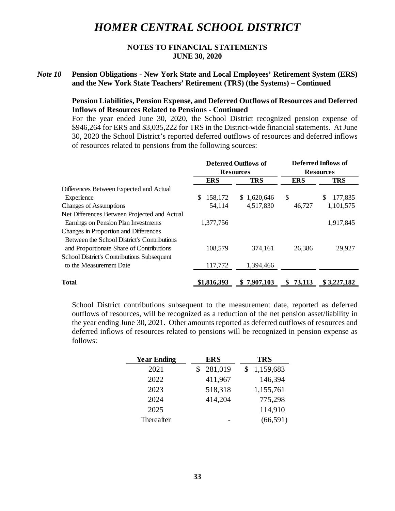## **NOTES TO FINANCIAL STATEMENTS JUNE 30, 2020**

## *Note 10* **Pension Obligations - New York State and Local Employees' Retirement System (ERS) and the New York State Teachers' Retirement (TRS) (the Systems) – Continued**

## **Pension Liabilities, Pension Expense, and Deferred Outflows of Resources and Deferred Inflows of Resources Related to Pensions - Continued**

For the year ended June 30, 2020, the School District recognized pension expense of \$946,264 for ERS and \$3,035,222 for TRS in the District-wide financial statements. At June 30, 2020 the School District's reported deferred outflows of resources and deferred inflows of resources related to pensions from the following sources:

|                                                   | <b>Deferred Outflows of</b><br><b>Resources</b> |             | Deferred Inflows of<br><b>Resources</b> |                |
|---------------------------------------------------|-------------------------------------------------|-------------|-----------------------------------------|----------------|
|                                                   |                                                 |             |                                         |                |
|                                                   | <b>ERS</b>                                      | <b>TRS</b>  | <b>ERS</b>                              | <b>TRS</b>     |
| Differences Between Expected and Actual           |                                                 |             |                                         |                |
| Experience                                        | 158,172<br>\$                                   | \$1,620,646 | \$                                      | 177,835<br>\$. |
| <b>Changes of Assumptions</b>                     | 54,114                                          | 4,517,830   | 46,727                                  | 1,101,575      |
| Net Differences Between Projected and Actual      |                                                 |             |                                         |                |
| Earnings on Pension Plan Investments              | 1,377,756                                       |             |                                         | 1,917,845      |
| <b>Changes in Proportion and Differences</b>      |                                                 |             |                                         |                |
| Between the School District's Contributions       |                                                 |             |                                         |                |
| and Proportionate Share of Contributions          | 108,579                                         | 374,161     | 26,386                                  | 29,927         |
| <b>School District's Contributions Subsequent</b> |                                                 |             |                                         |                |
| to the Measurement Date                           | 117,772                                         | 1,394,466   |                                         |                |
| Total                                             | \$1,816,393                                     | \$7,907,103 | 73,113<br>S.                            | \$3,227,182    |

School District contributions subsequent to the measurement date, reported as deferred outflows of resources, will be recognized as a reduction of the net pension asset/liability in the year ending June 30, 2021. Other amounts reported as deferred outflows of resources and deferred inflows of resources related to pensions will be recognized in pension expense as follows:

| <b>Year Ending</b> | ERS     | <b>TRS</b> |
|--------------------|---------|------------|
| 2021               | 281,019 | 1,159,683  |
| 2022               | 411,967 | 146,394    |
| 2023               | 518,318 | 1,155,761  |
| 2024               | 414,204 | 775,298    |
| 2025               |         | 114,910    |
| Thereafter         |         | (66, 591)  |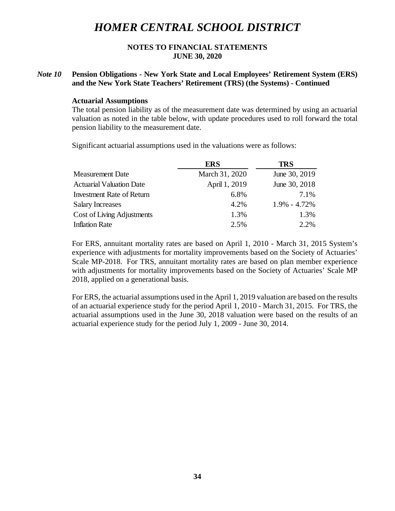### **NOTES TO FINANCIAL STATEMENTS JUNE 30, 2020**

## *Note 10* **Pension Obligations - New York State and Local Employees' Retirement System (ERS) and the New York State Teachers' Retirement (TRS) (the Systems) - Continued**

#### **Actuarial Assumptions**

The total pension liability as of the measurement date was determined by using an actuarial valuation as noted in the table below, with update procedures used to roll forward the total pension liability to the measurement date.

Significant actuarial assumptions used in the valuations were as follows:

|                                  | <b>ERS</b>     | <b>TRS</b>       |
|----------------------------------|----------------|------------------|
| <b>Measurement Date</b>          | March 31, 2020 | June 30, 2019    |
| <b>Actuarial Valuation Date</b>  | April 1, 2019  | June 30, 2018    |
| <b>Investment Rate of Return</b> | 6.8%           | 7.1%             |
| <b>Salary Increases</b>          | 4.2%           | $1.9\% - 4.72\%$ |
| Cost of Living Adjustments       | 1.3%           | 1.3%             |
| <b>Inflation Rate</b>            | 2.5%           | 2.2%             |
|                                  |                |                  |

For ERS, annuitant mortality rates are based on April 1, 2010 - March 31, 2015 System's experience with adjustments for mortality improvements based on the Society of Actuaries' Scale MP-2018. For TRS, annuitant mortality rates are based on plan member experience with adjustments for mortality improvements based on the Society of Actuaries' Scale MP 2018, applied on a generational basis.

For ERS, the actuarial assumptions used in the April 1, 2019 valuation are based on the results of an actuarial experience study for the period April 1, 2010 - March 31, 2015. For TRS, the actuarial assumptions used in the June 30, 2018 valuation were based on the results of an actuarial experience study for the period July 1, 2009 - June 30, 2014.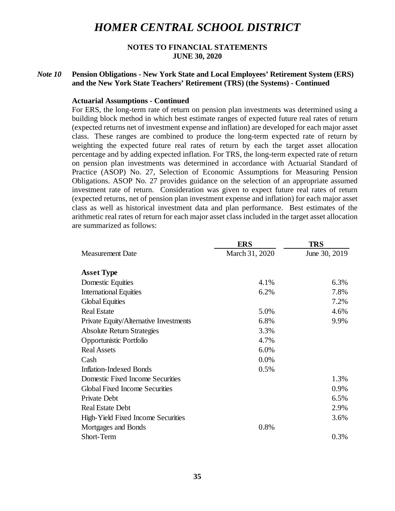### **NOTES TO FINANCIAL STATEMENTS JUNE 30, 2020**

## *Note 10* **Pension Obligations - New York State and Local Employees' Retirement System (ERS) and the New York State Teachers' Retirement (TRS) (the Systems) - Continued**

#### **Actuarial Assumptions - Continued**

For ERS, the long-term rate of return on pension plan investments was determined using a building block method in which best estimate ranges of expected future real rates of return (expected returns net of investment expense and inflation) are developed for each major asset class. These ranges are combined to produce the long-term expected rate of return by weighting the expected future real rates of return by each the target asset allocation percentage and by adding expected inflation. For TRS, the long-term expected rate of return on pension plan investments was determined in accordance with Actuarial Standard of Practice (ASOP) No. 27, Selection of Economic Assumptions for Measuring Pension Obligations. ASOP No. 27 provides guidance on the selection of an appropriate assumed investment rate of return. Consideration was given to expect future real rates of return (expected returns, net of pension plan investment expense and inflation) for each major asset class as well as historical investment data and plan performance. Best estimates of the arithmetic real rates of return for each major asset class included in the target asset allocation are summarized as follows:

|                                        | <b>ERS</b>     | <b>TRS</b>    |
|----------------------------------------|----------------|---------------|
| <b>Measurement Date</b>                | March 31, 2020 | June 30, 2019 |
| <b>Asset Type</b>                      |                |               |
| Domestic Equities                      | 4.1%           | 6.3%          |
| <b>International Equities</b>          | 6.2%           | 7.8%          |
| <b>Global Equities</b>                 |                | 7.2%          |
| <b>Real Estate</b>                     | 5.0%           | 4.6%          |
| Private Equity/Alternative Investments | 6.8%           | 9.9%          |
| <b>Absolute Return Strategies</b>      | 3.3%           |               |
| Opportunistic Portfolio                | 4.7%           |               |
| <b>Real Assets</b>                     | 6.0%           |               |
| Cash                                   | 0.0%           |               |
| <b>Inflation-Indexed Bonds</b>         | 0.5%           |               |
| Domestic Fixed Income Securities       |                | 1.3%          |
| <b>Global Fixed Income Securities</b>  |                | 0.9%          |
| Private Debt                           |                | 6.5%          |
| <b>Real Estate Debt</b>                |                | 2.9%          |
| High-Yield Fixed Income Securities     |                | 3.6%          |
| Mortgages and Bonds                    | 0.8%           |               |
| Short-Term                             |                | 0.3%          |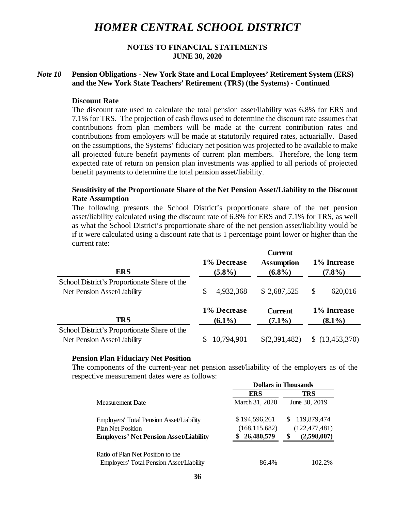## **NOTES TO FINANCIAL STATEMENTS JUNE 30, 2020**

## *Note 10* **Pension Obligations - New York State and Local Employees' Retirement System (ERS) and the New York State Teachers' Retirement (TRS) (the Systems) - Continued**

#### **Discount Rate**

The discount rate used to calculate the total pension asset/liability was 6.8% for ERS and 7.1% for TRS. The projection of cash flows used to determine the discount rate assumes that contributions from plan members will be made at the current contribution rates and contributions from employers will be made at statutorily required rates, actuarially. Based on the assumptions, the Systems' fiduciary net position was projected to be available to make all projected future benefit payments of current plan members. Therefore, the long term expected rate of return on pension plan investments was applied to all periods of projected benefit payments to determine the total pension asset/liability.

### **Sensitivity of the Proportionate Share of the Net Pension Asset/Liability to the Discount Rate Assumption**

The following presents the School District's proportionate share of the net pension asset/liability calculated using the discount rate of 6.8% for ERS and 7.1% for TRS, as well as what the School District's proportionate share of the net pension asset/liability would be if it were calculated using a discount rate that is 1 percentage point lower or higher than the current rate:

 $\alpha$ <sub>1</sub>

| <b>ERS</b>                                                                  | 1% Decrease<br>$(5.8\%)$ | Current<br><b>Assumption</b><br>$(6.8\%)$ | 1% Increase<br>$(7.8\%)$ |
|-----------------------------------------------------------------------------|--------------------------|-------------------------------------------|--------------------------|
| School District's Proportionate Share of the                                | 4,932,368                | \$2,687,525                               | \$                       |
| Net Pension Asset/Liability                                                 | S                        |                                           | 620,016                  |
| <b>TRS</b>                                                                  | 1% Decrease              | <b>Current</b>                            | 1% Increase              |
|                                                                             | $(6.1\%)$                | $(7.1\%)$                                 | $(8.1\%)$                |
| School District's Proportionate Share of the<br>Net Pension Asset/Liability | 10,794,901               | \$(2,391,482)                             | \$(13, 453, 370)         |

#### **Pension Plan Fiduciary Net Position**

The components of the current-year net pension asset/liability of the employers as of the respective measurement dates were as follows:

|                                                 | <b>Dollars in Thousands</b> |                 |
|-------------------------------------------------|-----------------------------|-----------------|
|                                                 | <b>ERS</b>                  | TRS             |
| Measurement Date                                | March 31, 2020              | June 30, 2019   |
| Employers' Total Pension Asset/Liability        | \$194,596,261               | 119,879,474     |
| <b>Plan Net Position</b>                        | (168, 115, 682)             | (122, 477, 481) |
| <b>Employers' Net Pension Asset/Liability</b>   | 26,480,579                  | (2,598,007)     |
| Ratio of Plan Net Position to the               |                             |                 |
| <b>Employers' Total Pension Asset/Liability</b> | 86.4%                       | 102.2%          |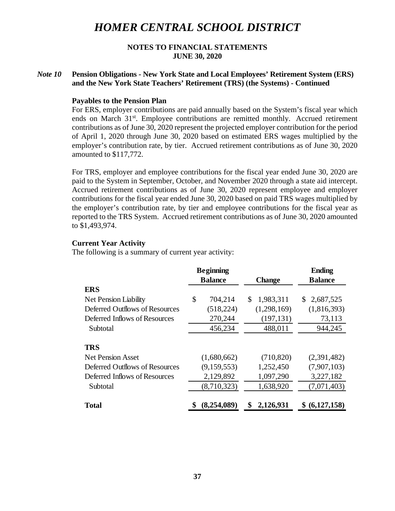### **NOTES TO FINANCIAL STATEMENTS JUNE 30, 2020**

## *Note 10* **Pension Obligations - New York State and Local Employees' Retirement System (ERS) and the New York State Teachers' Retirement (TRS) (the Systems) - Continued**

### **Payables to the Pension Plan**

For ERS, employer contributions are paid annually based on the System's fiscal year which ends on March  $31<sup>st</sup>$ . Employee contributions are remitted monthly. Accrued retirement contributions as of June 30, 2020 represent the projected employer contribution for the period of April 1, 2020 through June 30, 2020 based on estimated ERS wages multiplied by the employer's contribution rate, by tier. Accrued retirement contributions as of June 30, 2020 amounted to \$117,772.

For TRS, employer and employee contributions for the fiscal year ended June 30, 2020 are paid to the System in September, October, and November 2020 through a state aid intercept. Accrued retirement contributions as of June 30, 2020 represent employee and employer contributions for the fiscal year ended June 30, 2020 based on paid TRS wages multiplied by the employer's contribution rate, by tier and employee contributions for the fiscal year as reported to the TRS System. Accrued retirement contributions as of June 30, 2020 amounted to \$1,493,974.

#### **Current Year Activity**

The following is a summary of current year activity:

|                                | <b>Beginning</b> |                 | <b>Ending</b>   |
|--------------------------------|------------------|-----------------|-----------------|
|                                | <b>Balance</b>   | <b>Change</b>   | <b>Balance</b>  |
| <b>ERS</b>                     |                  |                 |                 |
| Net Pension Liability          | \$<br>704,214    | \$<br>1,983,311 | 2,687,525<br>S. |
| Deferred Outflows of Resources | (518, 224)       | (1,298,169)     | (1,816,393)     |
| Deferred Inflows of Resources  | 270,244          | (197, 131)      | 73,113          |
| Subtotal                       | 456,234          | 488,011         | 944,245         |
| <b>TRS</b>                     |                  |                 |                 |
| <b>Net Pension Asset</b>       | (1,680,662)      | (710, 820)      | (2,391,482)     |
| Deferred Outflows of Resources | (9,159,553)      | 1,252,450       | (7,907,103)     |
| Deferred Inflows of Resources  | 2,129,892        | 1,097,290       | 3,227,182       |
| Subtotal                       | (8,710,323)      | 1,638,920       | (7,071,403)     |
| <b>Total</b>                   | (8,254,089)      | 2,126,931       | (6,127,158)     |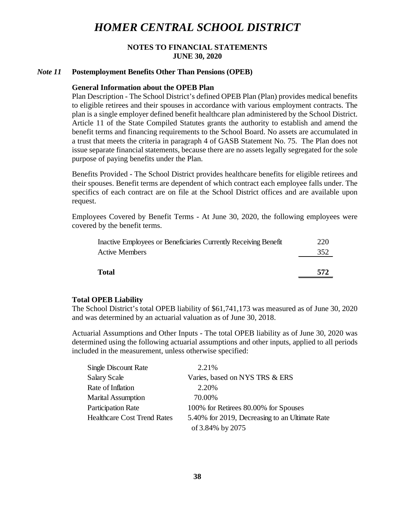## **NOTES TO FINANCIAL STATEMENTS JUNE 30, 2020**

#### *Note 11* **Postemployment Benefits Other Than Pensions (OPEB)**

#### **General Information about the OPEB Plan**

Plan Description - The School District's defined OPEB Plan (Plan) provides medical benefits to eligible retirees and their spouses in accordance with various employment contracts. The plan is a single employer defined benefit healthcare plan administered by the School District. Article 11 of the State Compiled Statutes grants the authority to establish and amend the benefit terms and financing requirements to the School Board. No assets are accumulated in a trust that meets the criteria in paragraph 4 of GASB Statement No. 75. The Plan does not issue separate financial statements, because there are no assets legally segregated for the sole purpose of paying benefits under the Plan.

Benefits Provided - The School District provides healthcare benefits for eligible retirees and their spouses. Benefit terms are dependent of which contract each employee falls under. The specifics of each contract are on file at the School District offices and are available upon request.

Employees Covered by Benefit Terms - At June 30, 2020, the following employees were covered by the benefit terms.

| Inactive Employees or Beneficiaries Currently Receiving Benefit | 220 |
|-----------------------------------------------------------------|-----|
| <b>Active Members</b>                                           | 352 |
|                                                                 |     |
| <b>Total</b>                                                    | 572 |
|                                                                 |     |

#### **Total OPEB Liability**

The School District's total OPEB liability of \$61,741,173 was measured as of June 30, 2020 and was determined by an actuarial valuation as of June 30, 2018.

Actuarial Assumptions and Other Inputs - The total OPEB liability as of June 30, 2020 was determined using the following actuarial assumptions and other inputs, applied to all periods included in the measurement, unless otherwise specified:

| <b>Single Discount Rate</b>        | 2.21%                                          |
|------------------------------------|------------------------------------------------|
| <b>Salary Scale</b>                | Varies, based on NYS TRS & ERS                 |
| Rate of Inflation                  | 2.20%                                          |
| <b>Marital Assumption</b>          | 70.00%                                         |
| <b>Participation Rate</b>          | 100% for Retirees 80.00% for Spouses           |
| <b>Healthcare Cost Trend Rates</b> | 5.40% for 2019, Decreasing to an Ultimate Rate |
|                                    | of 3.84% by 2075                               |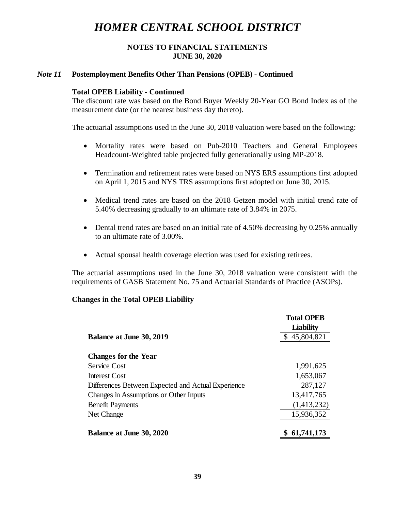## **NOTES TO FINANCIAL STATEMENTS JUNE 30, 2020**

#### *Note 11* **Postemployment Benefits Other Than Pensions (OPEB) - Continued**

#### **Total OPEB Liability - Continued**

The discount rate was based on the Bond Buyer Weekly 20-Year GO Bond Index as of the measurement date (or the nearest business day thereto).

The actuarial assumptions used in the June 30, 2018 valuation were based on the following:

- Mortality rates were based on Pub-2010 Teachers and General Employees Headcount-Weighted table projected fully generationally using MP-2018.
- Termination and retirement rates were based on NYS ERS assumptions first adopted on April 1, 2015 and NYS TRS assumptions first adopted on June 30, 2015.
- Medical trend rates are based on the 2018 Getzen model with initial trend rate of 5.40% decreasing gradually to an ultimate rate of 3.84% in 2075.
- Dental trend rates are based on an initial rate of 4.50% decreasing by 0.25% annually to an ultimate rate of 3.00%.
- Actual spousal health coverage election was used for existing retirees.

The actuarial assumptions used in the June 30, 2018 valuation were consistent with the requirements of GASB Statement No. 75 and Actuarial Standards of Practice (ASOPs).

#### **Changes in the Total OPEB Liability**

|                                                    | <b>Total OPEB</b><br><b>Liability</b> |
|----------------------------------------------------|---------------------------------------|
| <b>Balance at June 30, 2019</b>                    | \$45,804,821                          |
| <b>Changes for the Year</b>                        |                                       |
| Service Cost                                       | 1,991,625                             |
| Interest Cost                                      | 1,653,067                             |
| Differences Between Expected and Actual Experience | 287,127                               |
| Changes in Assumptions or Other Inputs             | 13,417,765                            |
| <b>Benefit Payments</b>                            | (1,413,232)                           |
| Net Change                                         | 15,936,352                            |
| <b>Balance at June 30, 2020</b>                    | 61,741,173<br>S                       |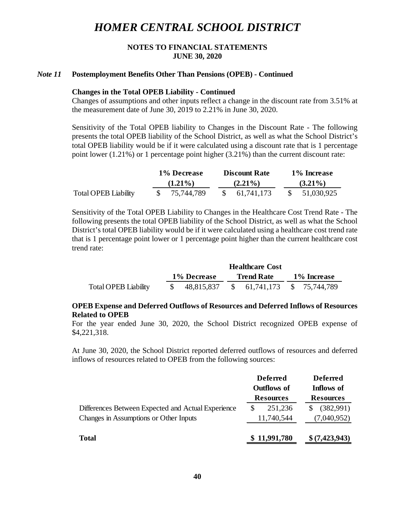## **NOTES TO FINANCIAL STATEMENTS JUNE 30, 2020**

#### *Note 11* **Postemployment Benefits Other Than Pensions (OPEB) - Continued**

#### **Changes in the Total OPEB Liability - Continued**

Changes of assumptions and other inputs reflect a change in the discount rate from 3.51% at the measurement date of June 30, 2019 to 2.21% in June 30, 2020.

Sensitivity of the Total OPEB liability to Changes in the Discount Rate - The following presents the total OPEB liability of the School District, as well as what the School District's total OPEB liability would be if it were calculated using a discount rate that is 1 percentage point lower  $(1.21\%)$  or 1 percentage point higher  $(3.21\%)$  than the current discount rate:

|                             | 1% Decrease |  | <b>Discount Rate</b> | 1% Increase |            |  |  |  |
|-----------------------------|-------------|--|----------------------|-------------|------------|--|--|--|
|                             | $(1.21\%)$  |  | $(2.21\%)$           | $(3.21\%)$  |            |  |  |  |
| <b>Total OPEB Liability</b> | 75,744,789  |  | 61,741,173           |             | 51,030,925 |  |  |  |

Sensitivity of the Total OPEB Liability to Changes in the Healthcare Cost Trend Rate - The following presents the total OPEB liability of the School District, as well as what the School District's total OPEB liability would be if it were calculated using a healthcare cost trend rate that is 1 percentage point lower or 1 percentage point higher than the current healthcare cost trend rate:

|                             |             | <b>Healthcare Cost</b>                    |  |                   |             |  |  |
|-----------------------------|-------------|-------------------------------------------|--|-------------------|-------------|--|--|
|                             | 1% Decrease |                                           |  | <b>Trend Rate</b> | 1% Increase |  |  |
| <b>Total OPEB Liability</b> |             | $$48,815,837$ $$61,741,173$ $$75,744,789$ |  |                   |             |  |  |

## **OPEB Expense and Deferred Outflows of Resources and Deferred Inflows of Resources Related to OPEB**

For the year ended June 30, 2020, the School District recognized OPEB expense of \$4,221,318.

At June 30, 2020, the School District reported deferred outflows of resources and deferred inflows of resources related to OPEB from the following sources:

|                                                    | <b>Deferred</b><br><b>Outflows of</b><br><b>Resources</b> |              |                  | <b>Deferred</b><br>Inflows of |  |
|----------------------------------------------------|-----------------------------------------------------------|--------------|------------------|-------------------------------|--|
|                                                    |                                                           |              | <b>Resources</b> |                               |  |
| Differences Between Expected and Actual Experience |                                                           | 251,236      |                  | (382,991)                     |  |
| Changes in Assumptions or Other Inputs             |                                                           | 11,740,544   |                  | (7,040,952)                   |  |
| <b>Total</b>                                       |                                                           | \$11,991,780 |                  | \$ (7,423,943)                |  |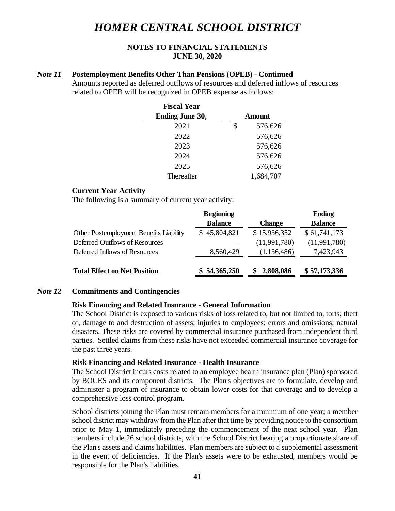## **NOTES TO FINANCIAL STATEMENTS JUNE 30, 2020**

#### *Note 11* **Postemployment Benefits Other Than Pensions (OPEB) - Continued**

Amounts reported as deferred outflows of resources and deferred inflows of resources related to OPEB will be recognized in OPEB expense as follows:

| <b>Fiscal Year</b>     |               |
|------------------------|---------------|
| <b>Ending June 30,</b> | <b>Amount</b> |
| 2021                   | \$<br>576,626 |
| 2022                   | 576,626       |
| 2023                   | 576,626       |
| 2024                   | 576,626       |
| 2025                   | 576,626       |
| Thereafter             | 1,684,707     |

#### **Current Year Activity**

The following is a summary of current year activity:

|                                         | <b>Beginning</b> |               | <b>Ending</b>  |
|-----------------------------------------|------------------|---------------|----------------|
|                                         | <b>Balance</b>   | <b>Change</b> | <b>Balance</b> |
| Other Postemployment Benefits Liability | \$45,804,821     | \$15,936,352  | \$61,741,173   |
| Deferred Outflows of Resources          |                  | (11,991,780)  | (11,991,780)   |
| Deferred Inflows of Resources           | 8,560,429        | (1, 136, 486) | 7,423,943      |
| <b>Total Effect on Net Position</b>     | \$54,365,250     | 2,808,086     | \$57,173,336   |

#### *Note 12* **Commitments and Contingencies**

#### **Risk Financing and Related Insurance - General Information**

The School District is exposed to various risks of loss related to, but not limited to, torts; theft of, damage to and destruction of assets; injuries to employees; errors and omissions; natural disasters. These risks are covered by commercial insurance purchased from independent third parties. Settled claims from these risks have not exceeded commercial insurance coverage for the past three years.

#### **Risk Financing and Related Insurance - Health Insurance**

The School District incurs costs related to an employee health insurance plan (Plan) sponsored by BOCES and its component districts. The Plan's objectives are to formulate, develop and administer a program of insurance to obtain lower costs for that coverage and to develop a comprehensive loss control program.

School districts joining the Plan must remain members for a minimum of one year; a member school district may withdraw from the Plan after that time by providing notice to the consortium prior to May 1, immediately preceding the commencement of the next school year. Plan members include 26 school districts, with the School District bearing a proportionate share of the Plan's assets and claims liabilities. Plan members are subject to a supplemental assessment in the event of deficiencies. If the Plan's assets were to be exhausted, members would be responsible for the Plan's liabilities.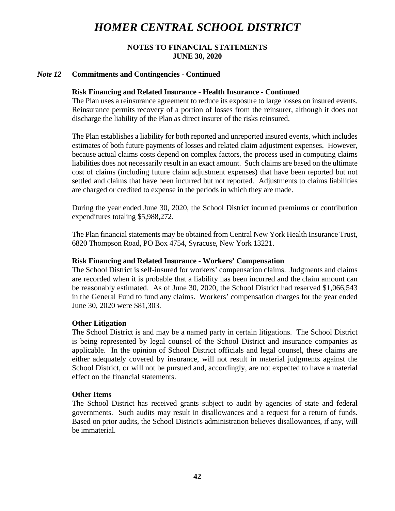## **NOTES TO FINANCIAL STATEMENTS JUNE 30, 2020**

#### *Note 12* **Commitments and Contingencies - Continued**

#### **Risk Financing and Related Insurance - Health Insurance - Continued**

The Plan uses a reinsurance agreement to reduce its exposure to large losses on insured events. Reinsurance permits recovery of a portion of losses from the reinsurer, although it does not discharge the liability of the Plan as direct insurer of the risks reinsured.

The Plan establishes a liability for both reported and unreported insured events, which includes estimates of both future payments of losses and related claim adjustment expenses. However, because actual claims costs depend on complex factors, the process used in computing claims liabilities does not necessarily result in an exact amount. Such claims are based on the ultimate cost of claims (including future claim adjustment expenses) that have been reported but not settled and claims that have been incurred but not reported. Adjustments to claims liabilities are charged or credited to expense in the periods in which they are made.

During the year ended June 30, 2020, the School District incurred premiums or contribution expenditures totaling \$5,988,272.

The Plan financial statements may be obtained from Central New York Health Insurance Trust, 6820 Thompson Road, PO Box 4754, Syracuse, New York 13221.

#### **Risk Financing and Related Insurance - Workers' Compensation**

The School District is self-insured for workers' compensation claims. Judgments and claims are recorded when it is probable that a liability has been incurred and the claim amount can be reasonably estimated. As of June 30, 2020, the School District had reserved \$1,066,543 in the General Fund to fund any claims. Workers' compensation charges for the year ended June 30, 2020 were \$81,303.

#### **Other Litigation**

The School District is and may be a named party in certain litigations. The School District is being represented by legal counsel of the School District and insurance companies as applicable. In the opinion of School District officials and legal counsel, these claims are either adequately covered by insurance, will not result in material judgments against the School District, or will not be pursued and, accordingly, are not expected to have a material effect on the financial statements.

#### **Other Items**

The School District has received grants subject to audit by agencies of state and federal governments. Such audits may result in disallowances and a request for a return of funds. Based on prior audits, the School District's administration believes disallowances, if any, will be immaterial.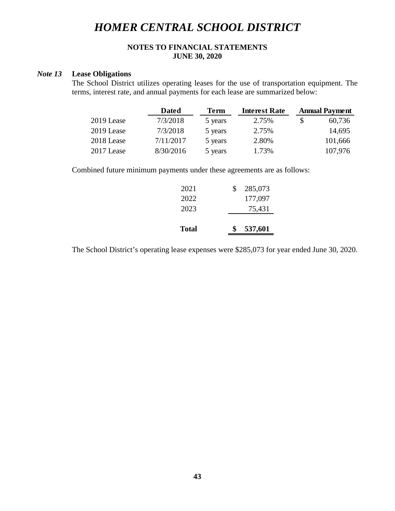## **NOTES TO FINANCIAL STATEMENTS JUNE 30, 2020**

## *Note 13* **Lease Obligations**

The School District utilizes operating leases for the use of transportation equipment. The terms, interest rate, and annual payments for each lease are summarized below:

|            | <b>Dated</b> | <b>Term</b> | <b>Interest Rate</b> |   | <b>Annual Payment</b> |
|------------|--------------|-------------|----------------------|---|-----------------------|
| 2019 Lease | 7/3/2018     | 5 years     | 2.75%                | S | 60,736                |
| 2019 Lease | 7/3/2018     | 5 years     | 2.75%                |   | 14,695                |
| 2018 Lease | 7/11/2017    | 5 years     | 2.80%                |   | 101,666               |
| 2017 Lease | 8/30/2016    | 5 years     | 1.73%                |   | 107,976               |

Combined future minimum payments under these agreements are as follows:

| Total | 537,601<br>\$ |
|-------|---------------|
| 2023  | 75,431        |
| 2022  | 177,097       |
| 2021  | 285,073<br>S. |

The School District's operating lease expenses were \$285,073 for year ended June 30, 2020.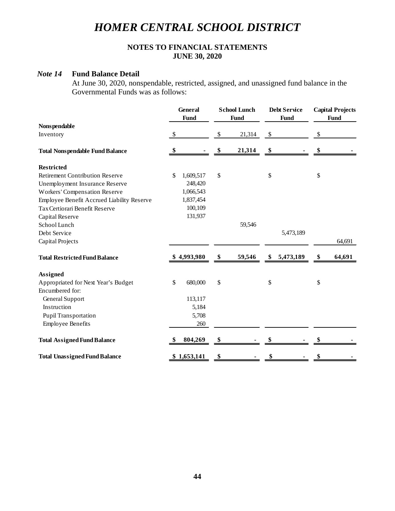## **NOTES TO FINANCIAL STATEMENTS JUNE 30, 2020**

#### *Note 14* **Fund Balance Detail**

At June 30, 2020, nonspendable, restricted, assigned, and unassigned fund balance in the Governmental Funds was as follows:

|                                            | <b>General</b><br><b>School Lunch</b><br>Fund<br><b>Fund</b> |             |    | <b>Debt Service</b><br><b>Fund</b> |      | <b>Capital Projects</b><br><b>Fund</b> |    |        |
|--------------------------------------------|--------------------------------------------------------------|-------------|----|------------------------------------|------|----------------------------------------|----|--------|
| <b>Nonspendable</b>                        |                                                              |             |    |                                    |      |                                        |    |        |
| Inventory                                  | $\sqrt{2}$                                                   |             | \$ | 21,314                             | $\$$ |                                        | \$ |        |
| <b>Total Nonspendable Fund Balance</b>     | \$                                                           |             | \$ | 21,314                             | \$   |                                        | \$ |        |
| <b>Restricted</b>                          |                                                              |             |    |                                    |      |                                        |    |        |
| <b>Retirement Contribution Reserve</b>     | \$                                                           | 1,609,517   | \$ |                                    | \$   |                                        | \$ |        |
| Unemployment Insurance Reserve             |                                                              | 248,420     |    |                                    |      |                                        |    |        |
| <b>Workers' Compensation Reserve</b>       |                                                              | 1,066,543   |    |                                    |      |                                        |    |        |
| Employee Benefit Accrued Liability Reserve |                                                              | 1,837,454   |    |                                    |      |                                        |    |        |
| Tax Certiorari Benefit Reserve             |                                                              | 100,109     |    |                                    |      |                                        |    |        |
| Capital Reserve                            |                                                              | 131,937     |    |                                    |      |                                        |    |        |
| School Lunch                               |                                                              |             |    | 59,546                             |      |                                        |    |        |
| Debt Service                               |                                                              |             |    |                                    |      | 5,473,189                              |    |        |
| Capital Projects                           |                                                              |             |    |                                    |      |                                        |    | 64,691 |
| <b>Total Restricted Fund Balance</b>       |                                                              | \$4,993,980 | \$ | 59,546                             | \$   | 5,473,189                              | \$ | 64,691 |
| <b>Assigned</b>                            |                                                              |             |    |                                    |      |                                        |    |        |
| Appropriated for Next Year's Budget        | \$                                                           | 680,000     | \$ |                                    | \$   |                                        | \$ |        |
| Encumbered for:                            |                                                              |             |    |                                    |      |                                        |    |        |
| General Support                            |                                                              | 113,117     |    |                                    |      |                                        |    |        |
| Instruction                                |                                                              | 5,184       |    |                                    |      |                                        |    |        |
| Pupil Transportation                       |                                                              | 5,708       |    |                                    |      |                                        |    |        |
| <b>Employee Benefits</b>                   |                                                              | 260         |    |                                    |      |                                        |    |        |
| <b>Total Assigned Fund Balance</b>         |                                                              | 804,269     | \$ |                                    |      |                                        | \$ |        |
| <b>Total Unassigned Fund Balance</b>       |                                                              | \$1,653,141 | \$ |                                    | \$   |                                        | \$ |        |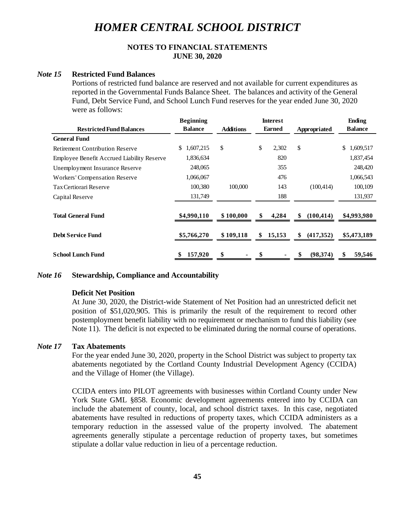## **NOTES TO FINANCIAL STATEMENTS JUNE 30, 2020**

#### *Note 15* **Restricted Fund Balances**

Portions of restricted fund balance are reserved and not available for current expenditures as reported in the Governmental Funds Balance Sheet. The balances and activity of the General Fund, Debt Service Fund, and School Lunch Fund reserves for the year ended June 30, 2020 were as follows:

|                                                   | <b>Beginning</b> |                                   | <b>Interest</b> |                  | <b>Ending</b>   |
|---------------------------------------------------|------------------|-----------------------------------|-----------------|------------------|-----------------|
| <b>Restricted Fund Balances</b>                   | <b>Balance</b>   | <b>Earned</b><br><b>Additions</b> |                 | Appropriated     | <b>Balance</b>  |
| <b>General Fund</b>                               |                  |                                   |                 |                  |                 |
| <b>Retirement Contribution Reserve</b>            | 1,607,215<br>\$. | \$                                | \$<br>2,302     | \$               | \$<br>1,609,517 |
| <b>Employee Benefit Accrued Liability Reserve</b> | 1,836,634        |                                   | 820             |                  | 1,837,454       |
| Unemployment Insurance Reserve                    | 248,065          |                                   | 355             |                  | 248,420         |
| <b>Workers' Compensation Reserve</b>              | 1,066,067        |                                   | 476             |                  | 1,066,543       |
| Tax Certiorari Reserve                            | 100,380          | 100,000                           | 143             | (100, 414)       | 100,109         |
| Capital Reserve                                   | 131,749          |                                   | 188             |                  | 131,937         |
|                                                   |                  |                                   |                 |                  |                 |
| <b>Total General Fund</b>                         | \$4,990,110      | \$100,000                         | \$<br>4,284     | (100, 414)<br>\$ | \$4,993,980     |
|                                                   |                  |                                   |                 |                  |                 |
| <b>Debt Service Fund</b>                          | \$5,766,270      | \$109,118                         | 15,153<br>\$    | (417,352)<br>\$  | \$5,473,189     |
|                                                   |                  |                                   |                 |                  |                 |
| <b>School Lunch Fund</b>                          | 157,920<br>\$    | \$                                | \$              | \$<br>(98,374)   | 59,546<br>\$    |

#### *Note 16* **Stewardship, Compliance and Accountability**

#### **Deficit Net Position**

At June 30, 2020, the District-wide Statement of Net Position had an unrestricted deficit net position of \$51,020,905. This is primarily the result of the requirement to record other postemployment benefit liability with no requirement or mechanism to fund this liability (see Note 11). The deficit is not expected to be eliminated during the normal course of operations.

## *Note 17* **Tax Abatements**

For the year ended June 30, 2020, property in the School District was subject to property tax abatements negotiated by the Cortland County Industrial Development Agency (CCIDA) and the Village of Homer (the Village).

CCIDA enters into PILOT agreements with businesses within Cortland County under New York State GML §858. Economic development agreements entered into by CCIDA can include the abatement of county, local, and school district taxes. In this case, negotiated abatements have resulted in reductions of property taxes, which CCIDA administers as a temporary reduction in the assessed value of the property involved. The abatement agreements generally stipulate a percentage reduction of property taxes, but sometimes stipulate a dollar value reduction in lieu of a percentage reduction.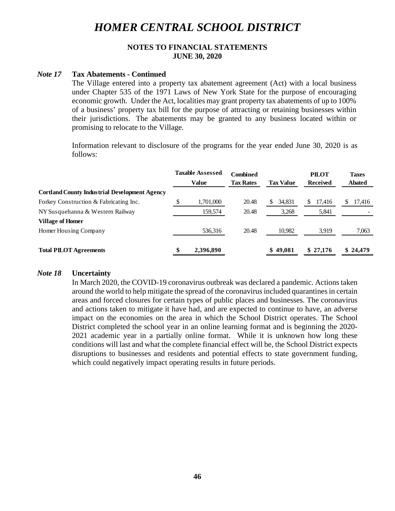## **NOTES TO FINANCIAL STATEMENTS JUNE 30, 2020**

#### *Note 17* **Tax Abatements - Continued**

The Village entered into a property tax abatement agreement (Act) with a local business under Chapter 535 of the 1971 Laws of New York State for the purpose of encouraging economic growth. Under the Act, localities may grant property tax abatements of up to 100% of a business' property tax bill for the purpose of attracting or retaining businesses within their jurisdictions. The abatements may be granted to any business located within or promising to relocate to the Village.

Information relevant to disclosure of the programs for the year ended June 30, 2020 is as follows:

|                                                      | <b>Taxable Assessed</b><br>Value | <b>Combined</b><br><b>Tax Rates</b> | <b>Tax Value</b> |    | <b>PILOT</b><br><b>Received</b> | <b>Taxes</b><br><b>Abated</b> |
|------------------------------------------------------|----------------------------------|-------------------------------------|------------------|----|---------------------------------|-------------------------------|
| <b>Cortland County Industrial Development Agency</b> |                                  |                                     |                  |    |                                 |                               |
| Forkey Construction & Fabricating Inc.               | 1,701,000                        | 20.48                               | 34,831<br>S      | S. | 17,416                          | 17,416                        |
| NY Susquehanna & Western Railway                     | 159,574                          | 20.48                               | 3,268            |    | 5,841                           |                               |
| <b>Village of Homer</b>                              |                                  |                                     |                  |    |                                 |                               |
| Homer Housing Company                                | 536,316                          | 20.48                               | 10,982           |    | 3,919                           | 7,063                         |
| <b>Total PILOT Agreements</b>                        | 2,396,890                        |                                     | \$49,081         |    | \$27,176                        | \$24,479                      |

#### *Note 18* **Uncertainty**

In March 2020, the COVID-19 coronavirus outbreak was declared a pandemic. Actions taken around the world to help mitigate the spread of the coronavirus included quarantines in certain areas and forced closures for certain types of public places and businesses. The coronavirus and actions taken to mitigate it have had, and are expected to continue to have, an adverse impact on the economies on the area in which the School District operates. The School District completed the school year in an online learning format and is beginning the 2020- 2021 academic year in a partially online format. While it is unknown how long these conditions will last and what the complete financial effect will be, the School District expects disruptions to businesses and residents and potential effects to state government funding, which could negatively impact operating results in future periods.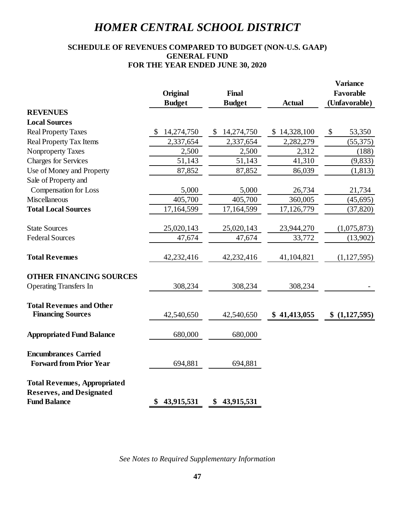## **SCHEDULE OF REVENUES COMPARED TO BUDGET (NON-U.S. GAAP) GENERAL FUND FOR THE YEAR ENDED JUNE 30, 2020**

|                                     |                  |                  |               | <b>Variance</b> |
|-------------------------------------|------------------|------------------|---------------|-----------------|
|                                     | Original         | Final            |               | Favorable       |
|                                     | <b>Budget</b>    | <b>Budget</b>    | <b>Actual</b> | (Unfavorable)   |
| <b>REVENUES</b>                     |                  |                  |               |                 |
| <b>Local Sources</b>                |                  |                  |               |                 |
| <b>Real Property Taxes</b>          | 14,274,750       | 14,274,750<br>\$ | \$14,328,100  | \$<br>53,350    |
| <b>Real Property Tax Items</b>      | 2,337,654        | 2,337,654        | 2,282,279     | (55, 375)       |
| <b>Nonproperty Taxes</b>            | 2,500            | 2,500            | 2,312         | (188)           |
| <b>Charges for Services</b>         | 51,143           | 51,143           | 41,310        | (9, 833)        |
| Use of Money and Property           | 87,852           | 87,852           | 86,039        | (1, 813)        |
| Sale of Property and                |                  |                  |               |                 |
| <b>Compensation for Loss</b>        | 5,000            | 5,000            | 26,734        | 21,734          |
| <b>Miscellaneous</b>                | 405,700          | 405,700          | 360,005       | (45, 695)       |
| <b>Total Local Sources</b>          | 17,164,599       | 17,164,599       | 17,126,779    | (37, 820)       |
|                                     |                  |                  |               |                 |
| <b>State Sources</b>                | 25,020,143       | 25,020,143       | 23,944,270    | (1,075,873)     |
| <b>Federal Sources</b>              | 47,674           | 47,674           | 33,772        | (13,902)        |
| <b>Total Revenues</b>               | 42,232,416       | 42,232,416       | 41,104,821    | (1,127,595)     |
| <b>OTHER FINANCING SOURCES</b>      |                  |                  |               |                 |
| <b>Operating Transfers In</b>       | 308,234          | 308,234          | 308,234       |                 |
| <b>Total Revenues and Other</b>     |                  |                  |               |                 |
| <b>Financing Sources</b>            | 42,540,650       | 42,540,650       | \$41,413,055  | \$(1,127,595)   |
| <b>Appropriated Fund Balance</b>    | 680,000          | 680,000          |               |                 |
| <b>Encumbrances Carried</b>         |                  |                  |               |                 |
| <b>Forward from Prior Year</b>      | 694,881          | 694,881          |               |                 |
| <b>Total Revenues, Appropriated</b> |                  |                  |               |                 |
| <b>Reserves, and Designated</b>     |                  |                  |               |                 |
| <b>Fund Balance</b>                 | 43,915,531<br>\$ | \$43,915,531     |               |                 |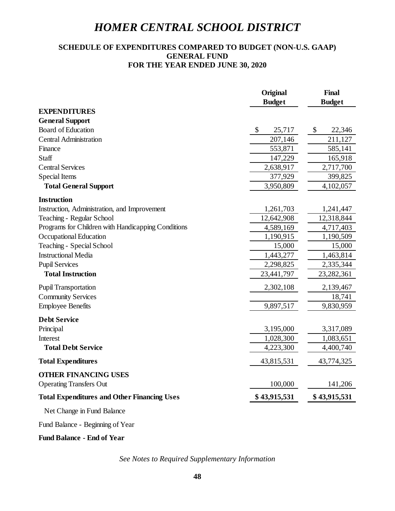## **SCHEDULE OF EXPENDITURES COMPARED TO BUDGET (NON-U.S. GAAP) GENERAL FUND FOR THE YEAR ENDED JUNE 30, 2020**

|                                                    | Original      | <b>Final</b>  |
|----------------------------------------------------|---------------|---------------|
|                                                    | <b>Budget</b> | <b>Budget</b> |
| <b>EXPENDITURES</b>                                |               |               |
| <b>General Support</b>                             |               |               |
| <b>Board of Education</b>                          | \$<br>25,717  | \$<br>22,346  |
| <b>Central Administration</b>                      | 207,146       | 211,127       |
| Finance                                            | 553,871       | 585,141       |
| Staff                                              | 147,229       | 165,918       |
| <b>Central Services</b>                            | 2,638,917     | 2,717,700     |
| <b>Special Items</b>                               | 377,929       | 399,825       |
| <b>Total General Support</b>                       | 3,950,809     | 4,102,057     |
| <b>Instruction</b>                                 |               |               |
| Instruction, Administration, and Improvement       | 1,261,703     | 1,241,447     |
| Teaching - Regular School                          | 12,642,908    | 12,318,844    |
| Programs for Children with Handicapping Conditions | 4,589,169     | 4,717,403     |
| Occupational Education                             | 1,190,915     | 1,190,509     |
| Teaching - Special School                          | 15,000        | 15,000        |
| <b>Instructional Media</b>                         | 1,443,277     | 1,463,814     |
| <b>Pupil Services</b>                              | 2,298,825     | 2,335,344     |
| <b>Total Instruction</b>                           | 23,441,797    | 23,282,361    |
| <b>Pupil Transportation</b>                        | 2,302,108     | 2,139,467     |
| <b>Community Services</b>                          |               | 18,741        |
| <b>Employee Benefits</b>                           | 9,897,517     | 9,830,959     |
| <b>Debt Service</b>                                |               |               |
| Principal                                          | 3,195,000     | 3,317,089     |
| Interest                                           | 1,028,300     | 1,083,651     |
| <b>Total Debt Service</b>                          | 4,223,300     | 4,400,740     |
| <b>Total Expenditures</b>                          | 43,815,531    | 43,774,325    |
| <b>OTHER FINANCING USES</b>                        |               |               |
| <b>Operating Transfers Out</b>                     | 100,000       | 141,206       |
| <b>Total Expenditures and Other Financing Uses</b> | \$43,915,531  | \$43,915,531  |
| Net Change in Fund Balance                         |               |               |

Fund Balance - Beginning of Year

## **Fund Balance - End of Year**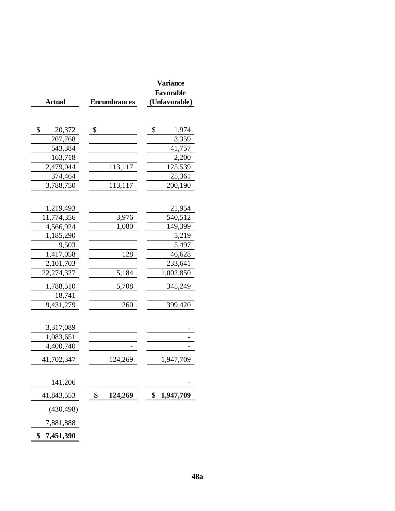|                 |                     | <b>Variance</b> |
|-----------------|---------------------|-----------------|
|                 |                     | Favorable       |
| <b>Actual</b>   | <b>Encumbrances</b> | (Unfavorable)   |
|                 |                     |                 |
|                 |                     |                 |
| \$<br>20,372    | \$                  | \$<br>1,974     |
| 207,768         |                     | 3,359           |
| 543,384         |                     | 41,757          |
| 163,718         |                     | 2,200           |
| 2,479,044       | 113,117             | 125,539         |
| 374,464         |                     | 25,361          |
| 3,788,750       | 113,117             | 200,190         |
|                 |                     |                 |
| 1,219,493       |                     | 21,954          |
| 11,774,356      | 3,976               | 540,512         |
| 4,566,924       | 1,080               | 149,399         |
| 1,185,290       |                     | 5,219           |
| 9,503           |                     | 5,497           |
| 1,417,058       | 128                 | 46,628          |
| 2,101,703       |                     | 233,641         |
| 22,274,327      | 5,184               | 1,002,850       |
| 1,788,510       | 5,708               | 345,249         |
| 18,741          |                     |                 |
| 9,431,279       | 260                 | 399,420         |
|                 |                     |                 |
| 3,317,089       |                     |                 |
| 1,083,651       |                     |                 |
| 4,400,740       |                     |                 |
| 41,702,347      | 124,269             | 1,947,709       |
|                 |                     |                 |
| 141,206         |                     |                 |
| 41,843,553      | \$<br>124,269       | \$<br>1,947,709 |
| (430, 498)      |                     |                 |
| 7,881,888       |                     |                 |
| \$<br>7,451,390 |                     |                 |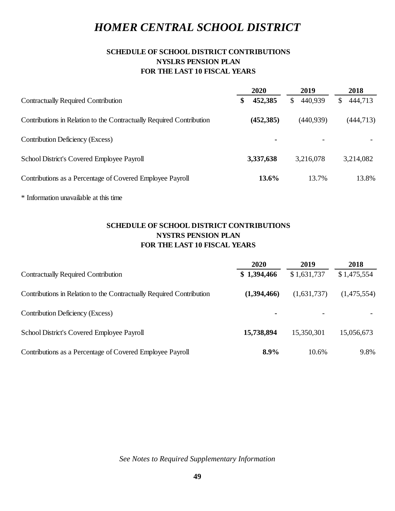## **SCHEDULE OF SCHOOL DISTRICT CONTRIBUTIONS NYSLRS PENSION PLAN FOR THE LAST 10 FISCAL YEARS**

| 2020           | 2019       | 2018          |
|----------------|------------|---------------|
| 452,385<br>\$. | 440,939    | 444,713<br>\$ |
| (452, 385)     | (440, 939) | (444, 713)    |
| $\blacksquare$ |            |               |
| 3,337,638      |            | 3,214,082     |
| 13.6%          | 13.7%      | 13.8%         |
|                |            | 3,216,078     |

\* Information unavailable at this time

## **SCHEDULE OF SCHOOL DISTRICT CONTRIBUTIONS NYSTRS PENSION PLAN FOR THE LAST 10 FISCAL YEARS**

|                                                                      | 2020        | 2019        | 2018        |
|----------------------------------------------------------------------|-------------|-------------|-------------|
| <b>Contractually Required Contribution</b>                           | \$1,394,466 | \$1,631,737 | \$1,475,554 |
| Contributions in Relation to the Contractually Required Contribution | (1,394,466) | (1,631,737) | (1,475,554) |
| Contribution Deficiency (Excess)                                     | ٠           |             |             |
| School District's Covered Employee Payroll                           | 15,738,894  | 15,350,301  | 15,056,673  |
| Contributions as a Percentage of Covered Employee Payroll            | 8.9%        | 10.6%       | 9.8%        |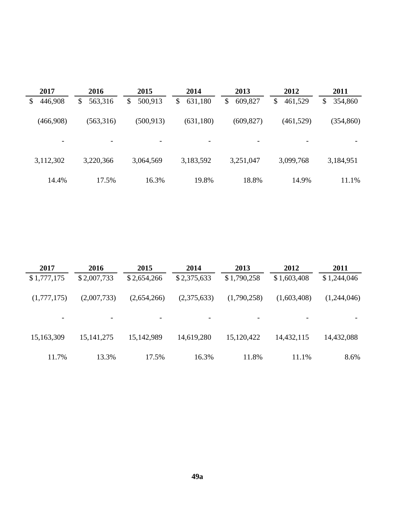| 2017          | 2016                    | 2015          | 2014                     | 2013                     | 2012                     | 2011          |
|---------------|-------------------------|---------------|--------------------------|--------------------------|--------------------------|---------------|
| 446,908<br>\$ | $\mathbb{S}$<br>563,316 | 500,913<br>\$ | \$<br>631,180            | 609,827<br>\$            | \$<br>461,529            | \$<br>354,860 |
| (466,908)     | (563,316)               | (500, 913)    | (631,180)                | (609, 827)               | (461, 529)               | (354, 860)    |
| -             | $\qquad \qquad$         | -             | $\overline{\phantom{a}}$ | $\overline{\phantom{a}}$ | $\overline{\phantom{a}}$ | -             |
| 3,112,302     | 3,220,366               | 3,064,569     | 3,183,592                | 3,251,047                | 3,099,768                | 3,184,951     |
| 14.4%         | 17.5%                   | 16.3%         | 19.8%                    | 18.8%                    | 14.9%                    | 11.1%         |

| 2017        | 2016                     | 2015                     | 2014        | 2013        | 2012                     | 2011        |
|-------------|--------------------------|--------------------------|-------------|-------------|--------------------------|-------------|
| \$1,777,175 | \$2,007,733              | \$2,654,266              | \$2,375,633 | \$1,790,258 | \$1,603,408              | \$1,244,046 |
| (1,777,175) | (2,007,733)              | (2,654,266)              | (2,375,633) | (1,790,258) | (1,603,408)              | (1,244,046) |
|             | $\overline{\phantom{a}}$ | $\overline{\phantom{a}}$ |             |             | $\overline{\phantom{0}}$ |             |
| 15,163,309  | 15, 141, 275             | 15,142,989               | 14,619,280  | 15,120,422  | 14,432,115               | 14,432,088  |
| 11.7%       | 13.3%                    | 17.5%                    | 16.3%       | 11.8%       | 11.1%                    | 8.6%        |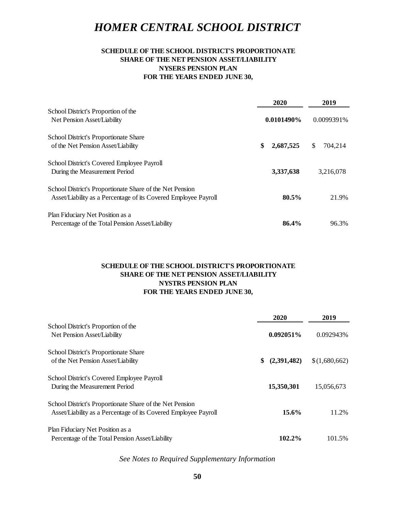## **SCHEDULE OF THE SCHOOL DISTRICT'S PROPORTIONATE SHARE OF THE NET PENSION ASSET/LIABILITY NYSERS PENSION PLAN FOR THE YEARS ENDED JUNE 30,**

|                                                                 | 2020            |     | 2019       |
|-----------------------------------------------------------------|-----------------|-----|------------|
| School District's Proportion of the                             |                 |     |            |
| Net Pension Asset/Liability                                     | $0.0101490\%$   |     | 0.0099391% |
| School District's Proportionate Share                           |                 |     |            |
| of the Net Pension Asset/Liability                              | \$<br>2,687,525 | \$. | 704,214    |
| School District's Covered Employee Payroll                      |                 |     |            |
| During the Measurement Period                                   | 3,337,638       |     | 3,216,078  |
| School District's Proportionate Share of the Net Pension        |                 |     |            |
| Asset/Liability as a Percentage of its Covered Employee Payroll | $80.5\%$        |     | 21.9%      |
| Plan Fiduciary Net Position as a                                |                 |     |            |
| Percentage of the Total Pension Asset/Liability                 | 86.4%           |     | 96.3%      |

## **SCHEDULE OF THE SCHOOL DISTRICT'S PROPORTIONATE SHARE OF THE NET PENSION ASSET/LIABILITY NYSTRS PENSION PLAN FOR THE YEARS ENDED JUNE 30,**

|                                                                 | 2020              | 2019          |
|-----------------------------------------------------------------|-------------------|---------------|
| School District's Proportion of the                             |                   |               |
| Net Pension Asset/Liability                                     | 0.092051%         | 0.092943%     |
| <b>School District's Proportionate Share</b>                    |                   |               |
| of the Net Pension Asset/Liability                              | (2,391,482)<br>\$ | \$(1,680,662) |
| School District's Covered Employee Payroll                      |                   |               |
| During the Measurement Period                                   | 15,350,301        | 15,056,673    |
| School District's Proportionate Share of the Net Pension        |                   |               |
| Asset/Liability as a Percentage of its Covered Employee Payroll | $15.6\%$          | 11.2%         |
| Plan Fiduciary Net Position as a                                |                   |               |
| Percentage of the Total Pension Asset/Liability                 | 102.2%            | 101.5%        |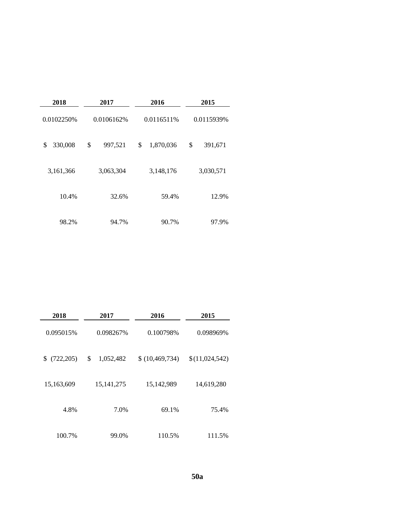| 2018         | 2017          | 2016            | 2015          |  |  |
|--------------|---------------|-----------------|---------------|--|--|
| 0.0102250%   | 0.0106162%    | 0.0116511%      | 0.0115939%    |  |  |
| 330,008<br>S | \$<br>997,521 | \$<br>1,870,036 | \$<br>391,671 |  |  |
| 3,161,366    | 3,063,304     | 3,148,176       | 3,030,571     |  |  |
| 10.4%        | 32.6%         | 59.4%           | 12.9%         |  |  |
| 98.2%        | 94.7%         | 90.7%           | 97.9%         |  |  |

| 2018        | 2017            | 2016             | 2015           |
|-------------|-----------------|------------------|----------------|
| 0.095015%   | 0.098267%       | 0.100798%        | 0.098969%      |
| \$(722,205) | \$<br>1,052,482 | \$(10, 469, 734) | \$(11,024,542) |
| 15,163,609  | 15, 141, 275    | 15,142,989       | 14,619,280     |
| 4.8%        | 7.0%            | 69.1%            | 75.4%          |
| 100.7%      | 99.0%           | 110.5%           | 111.5%         |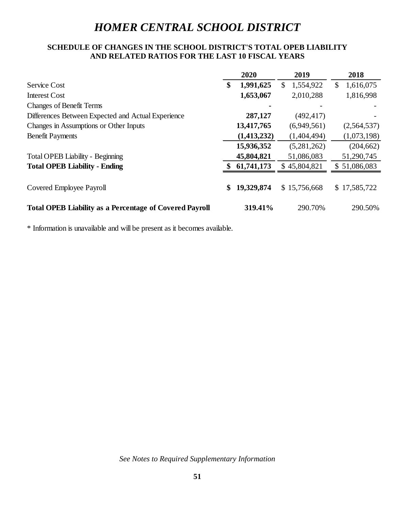## **SCHEDULE OF CHANGES IN THE SCHOOL DISTRICT'S TOTAL OPEB LIABILITY AND RELATED RATIOS FOR THE LAST 10 FISCAL YEARS**

|                                                                | 2020             | 2019            | 2018            |
|----------------------------------------------------------------|------------------|-----------------|-----------------|
| <b>Service Cost</b>                                            | \$<br>1,991,625  | 1,554,922<br>S. | 1,616,075<br>\$ |
| <b>Interest Cost</b>                                           | 1,653,067        | 2,010,288       | 1,816,998       |
| <b>Changes of Benefit Terms</b>                                |                  |                 |                 |
| Differences Between Expected and Actual Experience             | 287,127          | (492, 417)      |                 |
| Changes in Assumptions or Other Inputs                         | 13,417,765       | (6,949,561)     | (2,564,537)     |
| <b>Benefit Payments</b>                                        | (1, 413, 232)    | (1,404,494)     | (1,073,198)     |
|                                                                | 15,936,352       | (5,281,262)     | (204, 662)      |
| Total OPEB Liability - Beginning                               | 45,804,821       | 51,086,083      | 51,290,745      |
| <b>Total OPEB Liability - Ending</b>                           | 61,741,173       | \$45,804,821    | \$51,086,083    |
| Covered Employee Payroll                                       | \$<br>19,329,874 | \$15,756,668    | \$17,585,722    |
| <b>Total OPEB Liability as a Percentage of Covered Payroll</b> | 319.41%          | 290.70%         | 290.50%         |

\* Information is unavailable and will be present as it becomes available.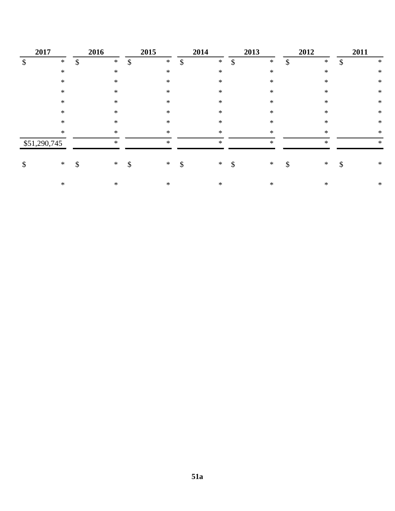| 2017         | 2016         |               | 2015   |               | 2014   |               | 2013   |               | 2012   | 2011         |
|--------------|--------------|---------------|--------|---------------|--------|---------------|--------|---------------|--------|--------------|
| \$<br>$\ast$ | \$<br>$\ast$ | $\mathcal{S}$ | $\ast$ | $\mathcal{S}$ | $\ast$ | $\mathcal{S}$ | $\ast$ | $\mathcal{S}$ | $\ast$ | \$<br>$\ast$ |
| $\ast$       | $\ast$       |               | $\ast$ |               | $\ast$ |               | $\ast$ |               | $\ast$ | $\ast$       |
| $\ast$       | $\ast$       |               | $\ast$ |               | $\ast$ |               | $\ast$ |               | $\ast$ | $\ast$       |
| $\ast$       | *            |               | $\ast$ |               | $\ast$ |               | $\ast$ |               | $\ast$ | $\ast$       |
| $\ast$       | ∗            |               | $\ast$ |               | $\ast$ |               | $\ast$ |               | $\ast$ | $\ast$       |
| $\ast$       | $\ast$       |               | $\ast$ |               | $\ast$ |               | $*$    |               | $\ast$ | $\ast$       |
| $\ast$       | ∗            |               | $\ast$ |               | $\ast$ |               | $\ast$ |               | $\ast$ | $\ast$       |
| $\ast$       | $\ast$       |               | $\ast$ |               | $\ast$ |               | $\ast$ |               | $\ast$ | $\ast$       |
| \$51,290,745 | $\ast$       |               | $\ast$ |               | $\ast$ |               | $\ast$ |               | $\ast$ | $\ast$       |
| \$<br>$\ast$ | \$<br>$*$    | \$            | $*$    | \$            | $\ast$ | \$            | ∗      | \$            | $\ast$ | \$<br>$\ast$ |
| $\ast$       | $\ast$       |               | $\ast$ |               | $\ast$ |               | $\ast$ |               | $\ast$ | $\ast$       |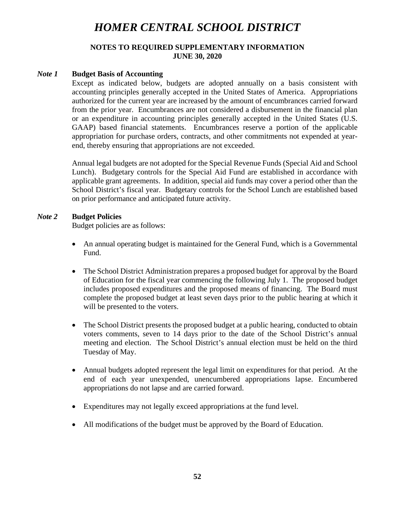### **NOTES TO REQUIRED SUPPLEMENTARY INFORMATION JUNE 30, 2020**

### *Note 1* **Budget Basis of Accounting**

Except as indicated below, budgets are adopted annually on a basis consistent with accounting principles generally accepted in the United States of America. Appropriations authorized for the current year are increased by the amount of encumbrances carried forward from the prior year. Encumbrances are not considered a disbursement in the financial plan or an expenditure in accounting principles generally accepted in the United States (U.S. GAAP) based financial statements. Encumbrances reserve a portion of the applicable appropriation for purchase orders, contracts, and other commitments not expended at yearend, thereby ensuring that appropriations are not exceeded.

Annual legal budgets are not adopted for the Special Revenue Funds (Special Aid and School Lunch). Budgetary controls for the Special Aid Fund are established in accordance with applicable grant agreements. In addition, special aid funds may cover a period other than the School District's fiscal year. Budgetary controls for the School Lunch are established based on prior performance and anticipated future activity.

### *Note 2* **Budget Policies**

Budget policies are as follows:

- An annual operating budget is maintained for the General Fund, which is a Governmental Fund.
- The School District Administration prepares a proposed budget for approval by the Board of Education for the fiscal year commencing the following July 1. The proposed budget includes proposed expenditures and the proposed means of financing. The Board must complete the proposed budget at least seven days prior to the public hearing at which it will be presented to the voters.
- The School District presents the proposed budget at a public hearing, conducted to obtain voters comments, seven to 14 days prior to the date of the School District's annual meeting and election. The School District's annual election must be held on the third Tuesday of May.
- Annual budgets adopted represent the legal limit on expenditures for that period. At the end of each year unexpended, unencumbered appropriations lapse. Encumbered appropriations do not lapse and are carried forward.
- Expenditures may not legally exceed appropriations at the fund level.
- All modifications of the budget must be approved by the Board of Education.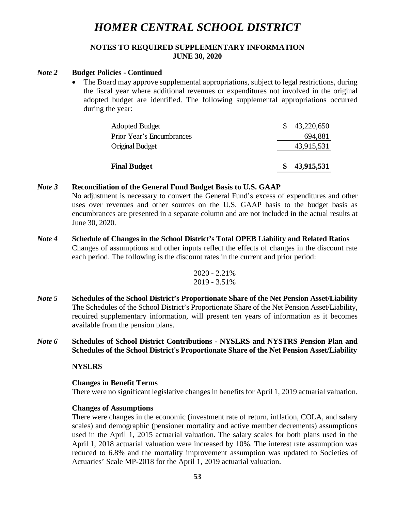### **NOTES TO REQUIRED SUPPLEMENTARY INFORMATION JUNE 30, 2020**

# *Note 2* **Budget Policies - Continued**

• The Board may approve supplemental appropriations, subject to legal restrictions, during the fiscal year where additional revenues or expenditures not involved in the original adopted budget are identified. The following supplemental appropriations occurred during the year:

| <b>Final Budget</b>       | 43,915,531               |
|---------------------------|--------------------------|
| Original Budget           | 43,915,531               |
| Prior Year's Encumbrances | 694,881                  |
| <b>Adopted Budget</b>     | $\frac{$}{2}$ 43,220,650 |

#### *Note 3* **Reconciliation of the General Fund Budget Basis to U.S. GAAP**

No adjustment is necessary to convert the General Fund's excess of expenditures and other uses over revenues and other sources on the U.S. GAAP basis to the budget basis as encumbrances are presented in a separate column and are not included in the actual results at June 30, 2020.

*Note 4* **Schedule of Changes in the School District's Total OPEB Liability and Related Ratios** Changes of assumptions and other inputs reflect the effects of changes in the discount rate each period. The following is the discount rates in the current and prior period:

$$
\frac{2020 - 2.21\%}{2019 - 3.51\%}
$$

- *Note 5* **Schedules of the School District's Proportionate Share of the Net Pension Asset/Liability**  The Schedules of the School District's Proportionate Share of the Net Pension Asset/Liability, required supplementary information, will present ten years of information as it becomes available from the pension plans.
- *Note 6* **Schedules of School District Contributions - NYSLRS and NYSTRS Pension Plan and Schedules of the School District's Proportionate Share of the Net Pension Asset/Liability**

### **NYSLRS**

### **Changes in Benefit Terms**

There were no significant legislative changes in benefits for April 1, 2019 actuarial valuation.

#### **Changes of Assumptions**

There were changes in the economic (investment rate of return, inflation, COLA, and salary scales) and demographic (pensioner mortality and active member decrements) assumptions used in the April 1, 2015 actuarial valuation. The salary scales for both plans used in the April 1, 2018 actuarial valuation were increased by 10%. The interest rate assumption was reduced to 6.8% and the mortality improvement assumption was updated to Societies of Actuaries' Scale MP-2018 for the April 1, 2019 actuarial valuation.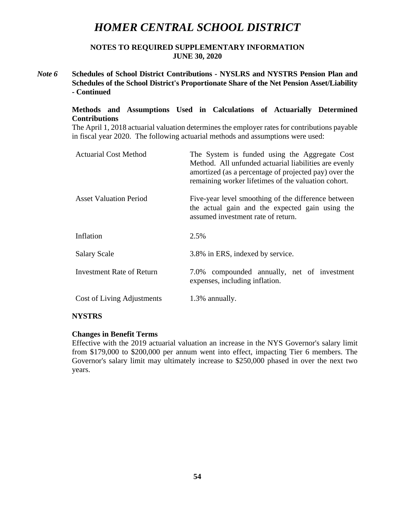**NOTES TO REQUIRED SUPPLEMENTARY INFORMATION JUNE 30, 2020**

*Note 6* **Schedules of School District Contributions - NYSLRS and NYSTRS Pension Plan and Schedules of the School District's Proportionate Share of the Net Pension Asset/Liability - Continued**

### **Methods and Assumptions Used in Calculations of Actuarially Determined Contributions**

The April 1, 2018 actuarial valuation determines the employer rates for contributions payable in fiscal year 2020. The following actuarial methods and assumptions were used:

| <b>Actuarial Cost Method</b>  | The System is funded using the Aggregate Cost<br>Method. All unfunded actuarial liabilities are evenly<br>amortized (as a percentage of projected pay) over the<br>remaining worker lifetimes of the valuation cohort. |  |  |  |  |
|-------------------------------|------------------------------------------------------------------------------------------------------------------------------------------------------------------------------------------------------------------------|--|--|--|--|
| <b>Asset Valuation Period</b> | Five-year level smoothing of the difference between<br>the actual gain and the expected gain using the<br>assumed investment rate of return.                                                                           |  |  |  |  |
| Inflation                     | 2.5%                                                                                                                                                                                                                   |  |  |  |  |
| <b>Salary Scale</b>           | 3.8% in ERS, indexed by service.                                                                                                                                                                                       |  |  |  |  |
| Investment Rate of Return     | 7.0% compounded annually, net of investment<br>expenses, including inflation.                                                                                                                                          |  |  |  |  |
| Cost of Living Adjustments    | 1.3% annually.                                                                                                                                                                                                         |  |  |  |  |

### **NYSTRS**

### **Changes in Benefit Terms**

Effective with the 2019 actuarial valuation an increase in the NYS Governor's salary limit from \$179,000 to \$200,000 per annum went into effect, impacting Tier 6 members. The Governor's salary limit may ultimately increase to \$250,000 phased in over the next two years.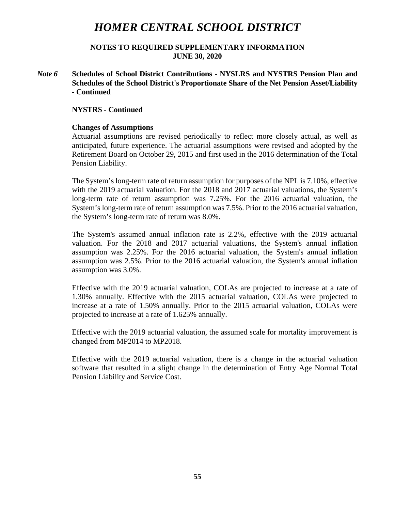**NOTES TO REQUIRED SUPPLEMENTARY INFORMATION JUNE 30, 2020**

*Note 6* **Schedules of School District Contributions - NYSLRS and NYSTRS Pension Plan and Schedules of the School District's Proportionate Share of the Net Pension Asset/Liability - Continued**

#### **NYSTRS - Continued**

#### **Changes of Assumptions**

Actuarial assumptions are revised periodically to reflect more closely actual, as well as anticipated, future experience. The actuarial assumptions were revised and adopted by the Retirement Board on October 29, 2015 and first used in the 2016 determination of the Total Pension Liability.

The System's long-term rate of return assumption for purposes of the NPL is 7.10%, effective with the 2019 actuarial valuation. For the 2018 and 2017 actuarial valuations, the System's long-term rate of return assumption was 7.25%. For the 2016 actuarial valuation, the System's long-term rate of return assumption was 7.5%. Prior to the 2016 actuarial valuation, the System's long-term rate of return was 8.0%.

The System's assumed annual inflation rate is 2.2%, effective with the 2019 actuarial valuation. For the 2018 and 2017 actuarial valuations, the System's annual inflation assumption was 2.25%. For the 2016 actuarial valuation, the System's annual inflation assumption was 2.5%. Prior to the 2016 actuarial valuation, the System's annual inflation assumption was 3.0%.

Effective with the 2019 actuarial valuation, COLAs are projected to increase at a rate of 1.30% annually. Effective with the 2015 actuarial valuation, COLAs were projected to increase at a rate of 1.50% annually. Prior to the 2015 actuarial valuation, COLAs were projected to increase at a rate of 1.625% annually.

Effective with the 2019 actuarial valuation, the assumed scale for mortality improvement is changed from MP2014 to MP2018.

Effective with the 2019 actuarial valuation, there is a change in the actuarial valuation software that resulted in a slight change in the determination of Entry Age Normal Total Pension Liability and Service Cost.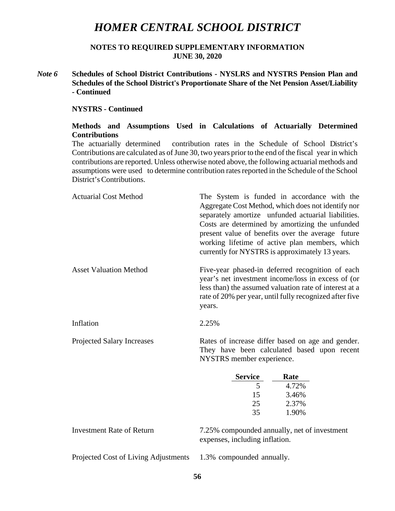**NOTES TO REQUIRED SUPPLEMENTARY INFORMATION JUNE 30, 2020**

*Note 6* **Schedules of School District Contributions - NYSLRS and NYSTRS Pension Plan and Schedules of the School District's Proportionate Share of the Net Pension Asset/Liability - Continued**

#### **NYSTRS - Continued**

### **Methods and Assumptions Used in Calculations of Actuarially Determined Contributions**

The actuarially determined contribution rates in the Schedule of School District's Contributions are calculated as of June 30, two years prior to the end of the fiscal year in which contributions are reported. Unless otherwise noted above, the following actuarial methods and assumptions were used to determine contribution rates reported in the Schedule of the School District'sContributions.

| <b>Actuarial Cost Method</b>     | The System is funded in accordance with the<br>Aggregate Cost Method, which does not identify nor<br>separately amortize unfunded actuarial liabilities.<br>Costs are determined by amortizing the unfunded<br>present value of benefits over the average future<br>working lifetime of active plan members, which<br>currently for NYSTRS is approximately 13 years. |  |  |  |  |
|----------------------------------|-----------------------------------------------------------------------------------------------------------------------------------------------------------------------------------------------------------------------------------------------------------------------------------------------------------------------------------------------------------------------|--|--|--|--|
| <b>Asset Valuation Method</b>    | Five-year phased-in deferred recognition of each<br>year's net investment income/loss in excess of (or<br>less than) the assumed valuation rate of interest at a<br>rate of 20% per year, until fully recognized after five<br>years.                                                                                                                                 |  |  |  |  |
| Inflation                        | 2.25%                                                                                                                                                                                                                                                                                                                                                                 |  |  |  |  |
| Projected Salary Increases       | Rates of increase differ based on age and gender.<br>They have been calculated based upon recent<br>NYSTRS member experience.                                                                                                                                                                                                                                         |  |  |  |  |
|                                  | <b>Service</b><br>Rate                                                                                                                                                                                                                                                                                                                                                |  |  |  |  |
|                                  | 5<br>4.72%                                                                                                                                                                                                                                                                                                                                                            |  |  |  |  |
|                                  | 15<br>3.46%                                                                                                                                                                                                                                                                                                                                                           |  |  |  |  |
|                                  | 25<br>2.37%                                                                                                                                                                                                                                                                                                                                                           |  |  |  |  |
|                                  | 35<br>1.90%                                                                                                                                                                                                                                                                                                                                                           |  |  |  |  |
| <b>Investment Rate of Return</b> | 7.25% compounded annually, net of investment<br>expenses, including inflation.                                                                                                                                                                                                                                                                                        |  |  |  |  |

Projected Cost of Living Adjustments 1.3% compounded annually.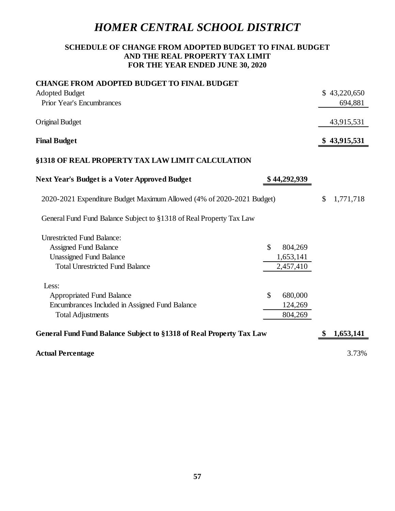# **SCHEDULE OF CHANGE FROM ADOPTED BUDGET TO FINAL BUDGET AND THE REAL PROPERTY TAX LIMIT FOR THE YEAR ENDED JUNE 30, 2020**

| <b>CHANGE FROM ADOPTED BUDGET TO FINAL BUDGET</b>                     |               |              |                 |
|-----------------------------------------------------------------------|---------------|--------------|-----------------|
| <b>Adopted Budget</b>                                                 |               |              | \$43,220,650    |
| <b>Prior Year's Encumbrances</b>                                      |               |              | 694,881         |
| <b>Original Budget</b>                                                |               |              | 43,915,531      |
|                                                                       |               |              |                 |
| <b>Final Budget</b>                                                   |               |              | \$43,915,531    |
| §1318 OF REAL PROPERTY TAX LAW LIMIT CALCULATION                      |               |              |                 |
| <b>Next Year's Budget is a Voter Approved Budget</b>                  |               | \$44,292,939 |                 |
| 2020-2021 Expenditure Budget Maximum Allowed (4% of 2020-2021 Budget) |               |              | \$<br>1,771,718 |
| General Fund Fund Balance Subject to §1318 of Real Property Tax Law   |               |              |                 |
| <b>Unrestricted Fund Balance:</b>                                     |               |              |                 |
| <b>Assigned Fund Balance</b>                                          | $\mathsf{\$}$ | 804,269      |                 |
| <b>Unassigned Fund Balance</b>                                        |               | 1,653,141    |                 |
| <b>Total Unrestricted Fund Balance</b>                                |               | 2,457,410    |                 |
| Less:                                                                 |               |              |                 |
| <b>Appropriated Fund Balance</b>                                      | \$            | 680,000      |                 |
| Encumbrances Included in Assigned Fund Balance                        |               | 124,269      |                 |
| <b>Total Adjustments</b>                                              |               | 804,269      |                 |
| General Fund Fund Balance Subject to §1318 of Real Property Tax Law   |               |              | \$<br>1,653,141 |
| <b>Actual Percentage</b>                                              |               |              | 3.73%           |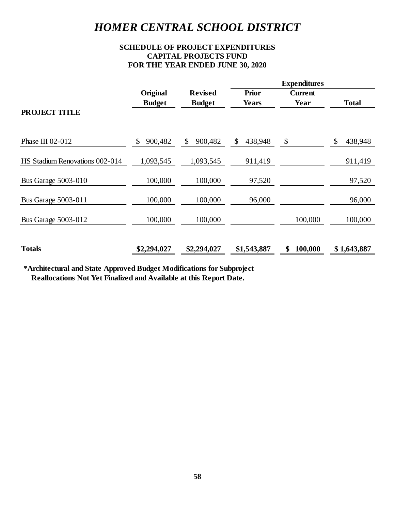# **SCHEDULE OF PROJECT EXPENDITURES CAPITAL PROJECTS FUND FOR THE YEAR ENDED JUNE 30, 2020**

|                                |               |                | <b>Expenditures</b> |                           |               |
|--------------------------------|---------------|----------------|---------------------|---------------------------|---------------|
|                                | Original      | <b>Revised</b> | <b>Prior</b>        | <b>Current</b>            |               |
|                                | <b>Budget</b> | <b>Budget</b>  | <b>Years</b>        | Year                      | <b>Total</b>  |
| <b>PROJECT TITLE</b>           |               |                |                     |                           |               |
| Phase III 02-012               | 900,482<br>\$ | 900,482<br>\$  | 438,948<br>\$       | $\boldsymbol{\mathsf{S}}$ | \$<br>438,948 |
| HS Stadium Renovations 002-014 | 1,093,545     | 1,093,545      | 911,419             |                           | 911,419       |
| <b>Bus Garage 5003-010</b>     | 100,000       | 100,000        | 97,520              |                           | 97,520        |
| <b>Bus Garage 5003-011</b>     | 100,000       | 100,000        | 96,000              |                           | 96,000        |
| <b>Bus Garage 5003-012</b>     | 100,000       | 100,000        |                     | 100,000                   | 100,000       |
| <b>Totals</b>                  | \$2,294,027   | \$2,294,027    | \$1,543,887         | 100,000<br>\$             | \$1,643,887   |

**\*Architectural and State Approved Budget Modifications for Subproject Reallocations Not Yet Finalized and Available at this Report Date.**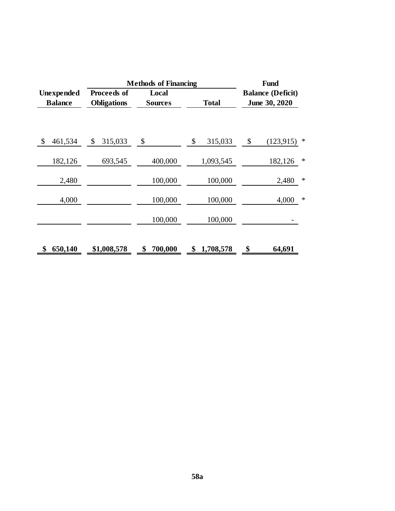|                              | Fund                              |                         |                 |                                           |  |  |
|------------------------------|-----------------------------------|-------------------------|-----------------|-------------------------------------------|--|--|
| Unexpended<br><b>Balance</b> | Proceeds of<br><b>Obligations</b> | Local<br><b>Sources</b> | <b>Total</b>    | <b>Balance (Deficit)</b><br>June 30, 2020 |  |  |
| \$<br>461,534                | 315,033<br>\$                     | \$                      | \$<br>315,033   | (123, 915)<br>\$<br>∗                     |  |  |
| 182,126                      | 693,545                           | 400,000                 | 1,093,545       | 182,126<br>∗                              |  |  |
| 2,480                        |                                   | 100,000                 | 100,000         | $\ast$<br>2,480                           |  |  |
| 4,000                        |                                   | 100,000                 | 100,000         | $\ast$<br>4,000                           |  |  |
|                              |                                   | 100,000                 | 100,000         |                                           |  |  |
| \$<br>650,140                | \$1,008,578                       | 700,000<br>\$           | 1,708,578<br>\$ | \$<br>64,691                              |  |  |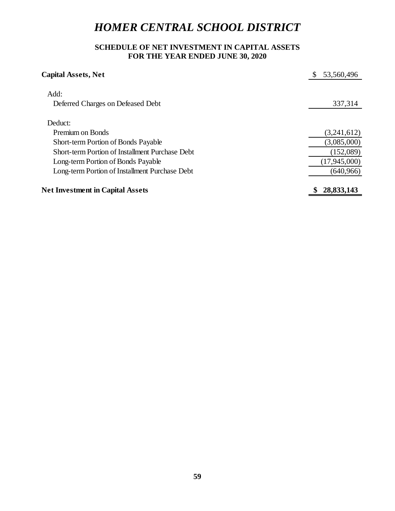# **SCHEDULE OF NET INVESTMENT IN CAPITAL ASSETS FOR THE YEAR ENDED JUNE 30, 2020**

| <b>Capital Assets, Net</b>                      | S<br>53,560,496  |
|-------------------------------------------------|------------------|
| Add:                                            |                  |
| Deferred Charges on Defeased Debt               | 337,314          |
| Deduct:                                         |                  |
| <b>Premium on Bonds</b>                         | (3,241,612)      |
| <b>Short-term Portion of Bonds Payable</b>      | (3,085,000)      |
| Short-term Portion of Installment Purchase Debt | (152,089)        |
| Long-term Portion of Bonds Payable              | (17,945,000)     |
| Long-term Portion of Installment Purchase Debt  | (640, 966)       |
| <b>Net Investment in Capital Assets</b>         | 28,833,143<br>\$ |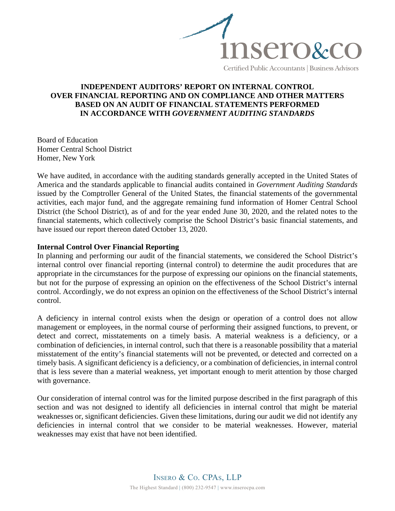

Certified Public Accountants | Business Advisors

### **INDEPENDENT AUDITORS' REPORT ON INTERNAL CONTROL OVER FINANCIAL REPORTING AND ON COMPLIANCE AND OTHER MATTERS BASED ON AN AUDIT OF FINANCIAL STATEMENTS PERFORMED IN ACCORDANCE WITH** *GOVERNMENT AUDITING STANDARDS*

Board of Education Homer Central School District Homer, New York

We have audited, in accordance with the auditing standards generally accepted in the United States of America and the standards applicable to financial audits contained in *Government Auditing Standards*  issued by the Comptroller General of the United States, the financial statements of the governmental activities, each major fund, and the aggregate remaining fund information of Homer Central School District (the School District), as of and for the year ended June 30, 2020, and the related notes to the financial statements, which collectively comprise the School District's basic financial statements, and have issued our report thereon dated October 13, 2020.

#### **Internal Control Over Financial Reporting**

In planning and performing our audit of the financial statements, we considered the School District's internal control over financial reporting (internal control) to determine the audit procedures that are appropriate in the circumstances for the purpose of expressing our opinions on the financial statements, but not for the purpose of expressing an opinion on the effectiveness of the School District's internal control. Accordingly, we do not express an opinion on the effectiveness of the School District's internal control.

A deficiency in internal control exists when the design or operation of a control does not allow management or employees, in the normal course of performing their assigned functions, to prevent, or detect and correct, misstatements on a timely basis. A material weakness is a deficiency, or a combination of deficiencies, in internal control, such that there is a reasonable possibility that a material misstatement of the entity's financial statements will not be prevented, or detected and corrected on a timely basis. A significant deficiency is a deficiency, or a combination of deficiencies, in internal control that is less severe than a material weakness, yet important enough to merit attention by those charged with governance.

Our consideration of internal control was for the limited purpose described in the first paragraph of this section and was not designed to identify all deficiencies in internal control that might be material weaknesses or, significant deficiencies. Given these limitations, during our audit we did not identify any deficiencies in internal control that we consider to be material weaknesses. However, material weaknesses may exist that have not been identified.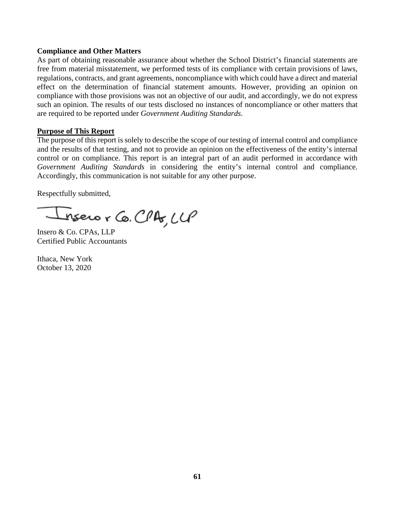### **Compliance and Other Matters**

As part of obtaining reasonable assurance about whether the School District's financial statements are free from material misstatement, we performed tests of its compliance with certain provisions of laws, regulations, contracts, and grant agreements, noncompliance with which could have a direct and material effect on the determination of financial statement amounts. However, providing an opinion on compliance with those provisions was not an objective of our audit, and accordingly, we do not express such an opinion. The results of our tests disclosed no instances of noncompliance or other matters that are required to be reported under *Government Auditing Standards*.

#### **Purpose of This Report**

The purpose of this report is solely to describe the scope of our testing of internal control and compliance and the results of that testing, and not to provide an opinion on the effectiveness of the entity's internal control or on compliance. This report is an integral part of an audit performed in accordance with *Government Auditing Standards* in considering the entity's internal control and compliance. Accordingly, this communication is not suitable for any other purpose.

Respectfully submitted,

nsero r Co. CPA, LLP

Insero & Co. CPAs, LLP Certified Public Accountants

Ithaca, New York October 13, 2020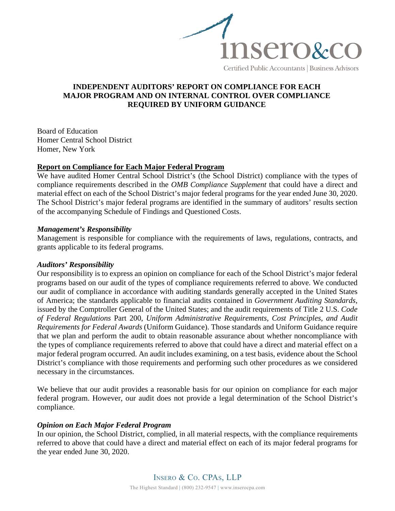

#### Certified Public Accountants | Business Advisors

### **INDEPENDENT AUDITORS' REPORT ON COMPLIANCE FOR EACH MAJOR PROGRAM AND ON INTERNAL CONTROL OVER COMPLIANCE REQUIRED BY UNIFORM GUIDANCE**

Board of Education Homer Central School District Homer, New York

#### **Report on Compliance for Each Major Federal Program**

We have audited Homer Central School District's (the School District) compliance with the types of compliance requirements described in the *OMB Compliance Supplement* that could have a direct and material effect on each of the School District's major federal programs for the year ended June 30, 2020. The School District's major federal programs are identified in the summary of auditors' results section of the accompanying Schedule of Findings and Questioned Costs.

#### *Management's Responsibility*

Management is responsible for compliance with the requirements of laws, regulations, contracts, and grants applicable to its federal programs.

#### *Auditors' Responsibility*

Our responsibility is to express an opinion on compliance for each of the School District's major federal programs based on our audit of the types of compliance requirements referred to above. We conducted our audit of compliance in accordance with auditing standards generally accepted in the United States of America; the standards applicable to financial audits contained in *Government Auditing Standards*, issued by the Comptroller General of the United States; and the audit requirements of Title 2 U.S. *Code of Federal Regulations* Part 200, *Uniform Administrative Requirements, Cost Principles, and Audit Requirements for Federal Awards* (Uniform Guidance). Those standards and Uniform Guidance require that we plan and perform the audit to obtain reasonable assurance about whether noncompliance with the types of compliance requirements referred to above that could have a direct and material effect on a major federal program occurred. An audit includes examining, on a test basis, evidence about the School District's compliance with those requirements and performing such other procedures as we considered necessary in the circumstances.

We believe that our audit provides a reasonable basis for our opinion on compliance for each major federal program. However, our audit does not provide a legal determination of the School District's compliance.

#### *Opinion on Each Major Federal Program*

In our opinion, the School District, complied, in all material respects, with the compliance requirements referred to above that could have a direct and material effect on each of its major federal programs for the year ended June 30, 2020.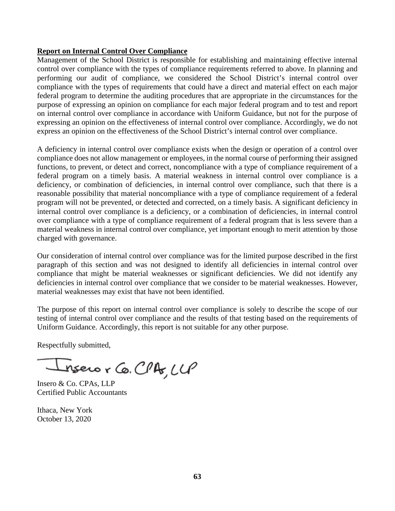### **Report on Internal Control Over Compliance**

Management of the School District is responsible for establishing and maintaining effective internal control over compliance with the types of compliance requirements referred to above. In planning and performing our audit of compliance, we considered the School District's internal control over compliance with the types of requirements that could have a direct and material effect on each major federal program to determine the auditing procedures that are appropriate in the circumstances for the purpose of expressing an opinion on compliance for each major federal program and to test and report on internal control over compliance in accordance with Uniform Guidance, but not for the purpose of expressing an opinion on the effectiveness of internal control over compliance. Accordingly, we do not express an opinion on the effectiveness of the School District's internal control over compliance.

A deficiency in internal control over compliance exists when the design or operation of a control over compliance does not allow management or employees, in the normal course of performing their assigned functions, to prevent, or detect and correct, noncompliance with a type of compliance requirement of a federal program on a timely basis. A material weakness in internal control over compliance is a deficiency, or combination of deficiencies, in internal control over compliance, such that there is a reasonable possibility that material noncompliance with a type of compliance requirement of a federal program will not be prevented, or detected and corrected, on a timely basis. A significant deficiency in internal control over compliance is a deficiency, or a combination of deficiencies, in internal control over compliance with a type of compliance requirement of a federal program that is less severe than a material weakness in internal control over compliance, yet important enough to merit attention by those charged with governance.

Our consideration of internal control over compliance was for the limited purpose described in the first paragraph of this section and was not designed to identify all deficiencies in internal control over compliance that might be material weaknesses or significant deficiencies. We did not identify any deficiencies in internal control over compliance that we consider to be material weaknesses. However, material weaknesses may exist that have not been identified.

The purpose of this report on internal control over compliance is solely to describe the scope of our testing of internal control over compliance and the results of that testing based on the requirements of Uniform Guidance. Accordingly, this report is not suitable for any other purpose.

Respectfully submitted,

nsero r Co. CPA, LLP

Insero & Co. CPAs, LLP Certified Public Accountants

Ithaca, New York October 13, 2020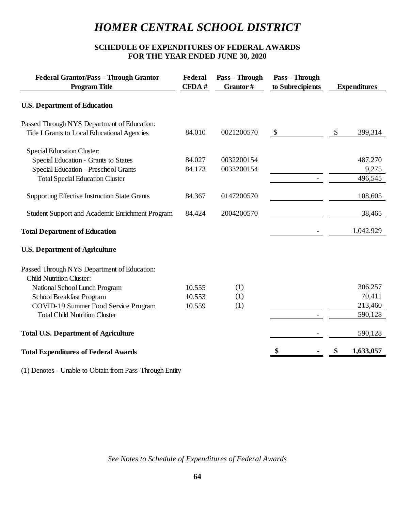# **SCHEDULE OF EXPENDITURES OF FEDERAL AWARDS FOR THE YEAR ENDED JUNE 30, 2020**

| Pass - Through<br>Pass - Through<br>Federal<br>CFDA#<br>Grantor#<br>to Subrecipients<br><b>Expenditures</b> | <b>Federal Grantor/Pass - Through Grantor</b><br><b>Program Title</b> |  |
|-------------------------------------------------------------------------------------------------------------|-----------------------------------------------------------------------|--|
|                                                                                                             | <b>U.S. Department of Education</b>                                   |  |
|                                                                                                             | Passed Through NYS Department of Education:                           |  |
| 84.010<br>0021200570<br>$\mathcal{S}$<br>\$<br>399,314                                                      | Title I Grants to Local Educational Agencies                          |  |
|                                                                                                             | <b>Special Education Cluster:</b>                                     |  |
| 84.027<br>0032200154<br>487,270                                                                             | <b>Special Education - Grants to States</b>                           |  |
| 84.173<br>0033200154<br>9,275                                                                               | Special Education - Preschool Grants                                  |  |
| 496,545                                                                                                     | <b>Total Special Education Cluster</b>                                |  |
|                                                                                                             |                                                                       |  |
| 84.367<br>0147200570<br>108,605                                                                             | <b>Supporting Effective Instruction State Grants</b>                  |  |
| 84.424<br>2004200570<br>38,465                                                                              | Student Support and Academic Enrichment Program                       |  |
| 1,042,929                                                                                                   | <b>Total Department of Education</b>                                  |  |
|                                                                                                             | <b>U.S. Department of Agriculture</b>                                 |  |
|                                                                                                             | Passed Through NYS Department of Education:                           |  |
|                                                                                                             | <b>Child Nutrition Cluster:</b>                                       |  |
| 306,257<br>(1)<br>10.555                                                                                    | National School Lunch Program                                         |  |
| 10.553<br>70,411<br>(1)                                                                                     | School Breakfast Program                                              |  |
| 213,460<br>(1)<br>10.559                                                                                    | COVID-19 Summer Food Service Program                                  |  |
| 590,128                                                                                                     | <b>Total Child Nutrition Cluster</b>                                  |  |
| 590,128                                                                                                     | <b>Total U.S. Department of Agriculture</b>                           |  |
| 1,633,057<br>\$<br>\$                                                                                       |                                                                       |  |
|                                                                                                             | <b>Total Expenditures of Federal Awards</b>                           |  |

(1) Denotes - Unable to Obtain from Pass-Through Entity

*See Notes to Schedule of Expenditures of Federal Awards*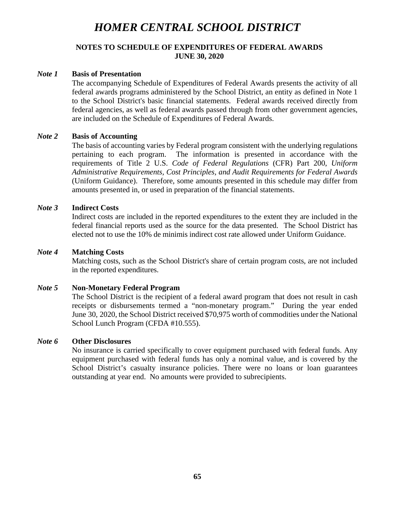### **NOTES TO SCHEDULE OF EXPENDITURES OF FEDERAL AWARDS JUNE 30, 2020**

#### *Note 1* **Basis of Presentation**

The accompanying Schedule of Expenditures of Federal Awards presents the activity of all federal awards programs administered by the School District, an entity as defined in Note 1 to the School District's basic financial statements. Federal awards received directly from federal agencies, as well as federal awards passed through from other government agencies, are included on the Schedule of Expenditures of Federal Awards.

### *Note 2* **Basis of Accounting**

The basis of accounting varies by Federal program consistent with the underlying regulations pertaining to each program. The information is presented in accordance with the requirements of Title 2 U.S. *Code of Federal Regulations* (CFR) Part 200, *Uniform Administrative Requirements, Cost Principles, and Audit Requirements for Federal Awards* (Uniform Guidance). Therefore, some amounts presented in this schedule may differ from amounts presented in, or used in preparation of the financial statements.

#### *Note 3* **Indirect Costs**

Indirect costs are included in the reported expenditures to the extent they are included in the federal financial reports used as the source for the data presented. The School District has elected not to use the 10% de minimis indirect cost rate allowed under Uniform Guidance.

#### *Note 4* **Matching Costs**

Matching costs, such as the School District's share of certain program costs, are not included in the reported expenditures.

### *Note 5* **Non-Monetary Federal Program**

The School District is the recipient of a federal award program that does not result in cash receipts or disbursements termed a "non-monetary program." During the year ended June 30, 2020, the School District received \$70,975 worth of commodities under the National School Lunch Program (CFDA #10.555).

### *Note 6* **Other Disclosures**

No insurance is carried specifically to cover equipment purchased with federal funds. Any equipment purchased with federal funds has only a nominal value, and is covered by the School District's casualty insurance policies. There were no loans or loan guarantees outstanding at year end. No amounts were provided to subrecipients.